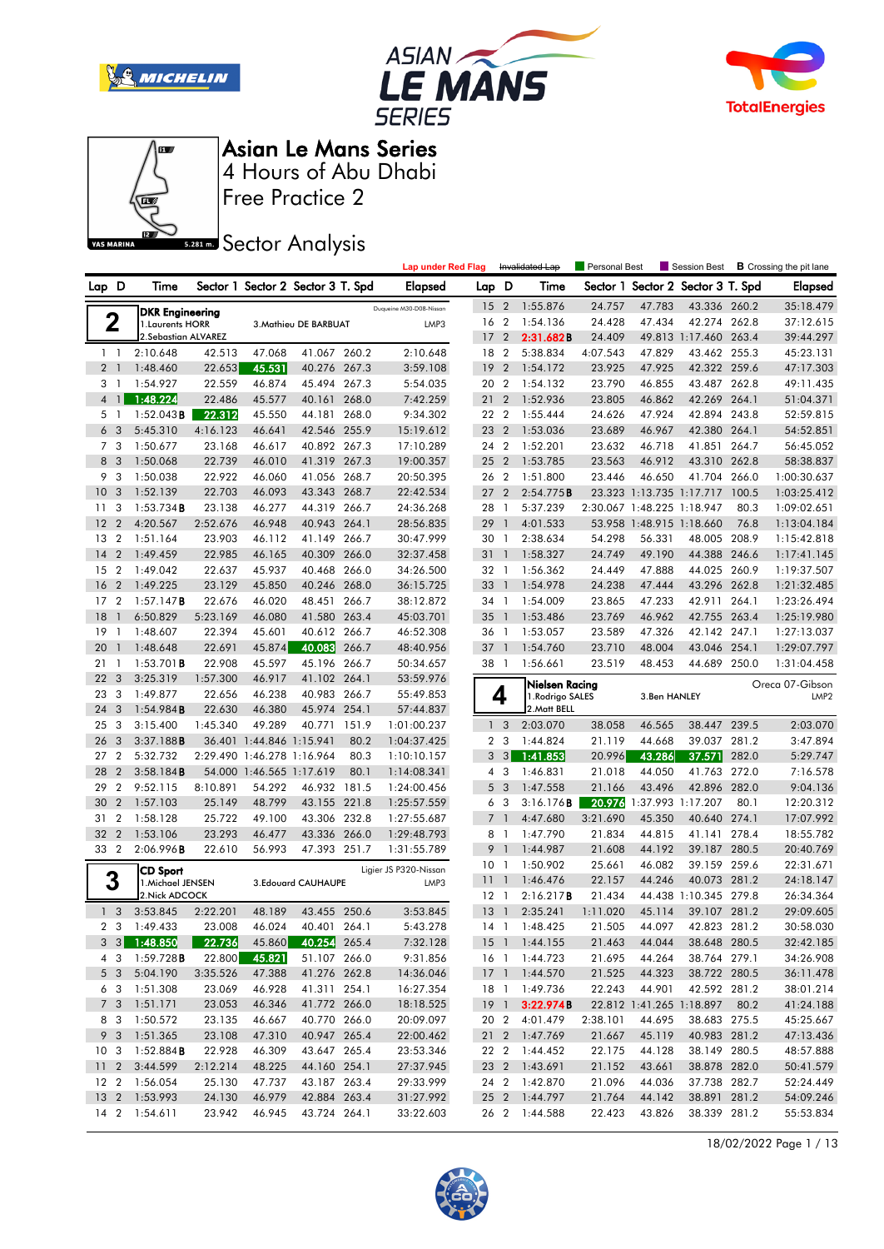







Free Practice 2

## **Sector Analysis**

|                |                  |                                       |          |                            |                                   |       | <b>Lap under Red Flag</b>     |                 |                          | Invalidated Lap | Personal Best |                            | Session Best                      |       | <b>B</b> Crossing the pit lane |
|----------------|------------------|---------------------------------------|----------|----------------------------|-----------------------------------|-------|-------------------------------|-----------------|--------------------------|-----------------|---------------|----------------------------|-----------------------------------|-------|--------------------------------|
| Lap D          |                  | Time                                  |          |                            | Sector 1 Sector 2 Sector 3 T. Spd |       | Elapsed                       | Lap             | D                        | Time            |               |                            | Sector 1 Sector 2 Sector 3 T. Spd |       | Elapsed                        |
|                |                  | <b>DKR Engineering</b>                |          |                            |                                   |       | Duqueine M30-D08-Nissan       | 15 <sub>2</sub> |                          | 1:55.876        | 24.757        | 47.783                     | 43.336 260.2                      |       | 35:18.479                      |
| 2              |                  | 1. Laurents HORR                      |          |                            | 3. Mathieu DE BARBUAT             |       | LMP3                          | 16 2            |                          | 1:54.136        | 24.428        | 47.434                     | 42.274 262.8                      |       | 37:12.615                      |
|                |                  | 2. Sebastian ALVAREZ                  |          |                            |                                   |       |                               | 17              | $\overline{2}$           | 2:31.682B       | 24.409        |                            | 49.813 1:17.460 263.4             |       | 39:44.297                      |
| $1\quad$       |                  | 2:10.648                              | 42.513   | 47.068                     | 41.067                            | 260.2 | 2:10.648                      | 18              | $\overline{2}$           | 5:38.834        | 4:07.543      | 47.829                     | 43.462 255.3                      |       | 45:23.131                      |
| 2 <sub>1</sub> |                  | 1:48.460                              | 22.653   | 45.531                     | 40.276 267.3                      |       | 3:59.108                      | 19              | $\overline{2}$           | 1:54.172        | 23.925        | 47.925                     | 42.322 259.6                      |       | 47:17.303                      |
| 3 1            |                  | 1:54.927                              | 22.559   | 46.874                     | 45.494 267.3                      |       | 5:54.035                      | 20              | $\overline{2}$           | 1:54.132        | 23.790        | 46.855                     | 43.487 262.8                      |       | 49:11.435                      |
| $\overline{4}$ | $\mathbf{1}$     | 1:48.224                              | 22.486   | 45.577                     | 40.161                            | 268.0 | 7:42.259                      | 21              | $\overline{2}$           | 1:52.936        | 23.805        | 46.862                     | 42.269                            | 264.1 | 51:04.371                      |
| 5 <sub>1</sub> |                  | 1:52.043B                             | 22.312   | 45.550                     | 44.181                            | 268.0 | 9:34.302                      | 22 2            |                          | 1:55.444        | 24.626        | 47.924                     | 42.894 243.8                      |       | 52:59.815                      |
| 6              | 3                | 5:45.310                              | 4:16.123 | 46.641                     | 42.546                            | 255.9 | 15:19.612                     | 23              | $\overline{2}$           | 1:53.036        | 23.689        | 46.967                     | 42.380 264.1                      |       | 54:52.851                      |
| 7 <sub>3</sub> |                  | 1:50.677                              | 23.168   | 46.617                     | 40.892 267.3                      |       | 17:10.289                     | 24 2            |                          | 1:52.201        | 23.632        | 46.718                     | 41.851 264.7                      |       | 56:45.052                      |
| 8              | 3                | 1:50.068                              | 22.739   | 46.010                     | 41.319 267.3                      |       | 19:00.357                     | $25 \t2$        |                          | 1:53.785        | 23.563        | 46.912                     | 43.310 262.8                      |       | 58:38.837                      |
| 9              | 3                | 1:50.038                              | 22.922   | 46.060                     | 41.056                            | 268.7 | 20:50.395                     | 26 2            |                          | 1:51.800        | 23.446        | 46.650                     | 41.704                            | 266.0 | 1:00:30.637                    |
| 10             | 3                | 1:52.139                              | 22.703   | 46.093                     | 43.343 268.7                      |       | 22:42.534                     | 27              | $\overline{2}$           | 2:54.775B       |               | 23.323 1:13.735 1:17.717   |                                   | 100.5 | 1:03:25.412                    |
| 11             | 3                | $1:53.734$ <b>B</b>                   | 23.138   | 46.277                     | 44.319 266.7                      |       | 24:36.268                     | 28              | - 1                      | 5:37.239        |               | 2:30.067 1:48.225 1:18.947 |                                   | 80.3  | 1:09:02.651                    |
| 12             | $\overline{2}$   | 4:20.567                              | 2:52.676 | 46.948                     | 40.943 264.1                      |       | 28:56.835                     | 29              | $\overline{1}$           | 4:01.533        |               | 53.958 1:48.915 1:18.660   |                                   | 76.8  | 1:13:04.184                    |
| 13             | $\overline{2}$   | 1:51.164                              | 23.903   | 46.112                     | 41.149 266.7                      |       | 30:47.999                     | 30              | $\overline{1}$           | 2:38.634        | 54.298        | 56.331                     | 48.005 208.9                      |       | 1:15:42.818                    |
| 14             | $\overline{2}$   | 1:49.459                              | 22.985   | 46.165                     | 40.309 266.0                      |       | 32:37.458                     | 31              | $\mathbf{1}$             | 1:58.327        | 24.749        | 49.190                     | 44.388 246.6                      |       | 1:17:41.145                    |
| 15             | $\overline{2}$   | 1:49.042                              | 22.637   | 45.937                     | 40.468 266.0                      |       | 34:26.500                     | 32 1            |                          | 1:56.362        | 24.449        | 47.888                     | 44.025 260.9                      |       | 1:19:37.507                    |
| 16             | $\overline{2}$   | 1:49.225                              | 23.129   | 45.850                     | 40.246 268.0                      |       | 36:15.725                     | 33              | $\overline{1}$           | 1:54.978        | 24.238        | 47.444                     | 43.296                            | 262.8 | 1:21:32.485                    |
| 17             | $\overline{2}$   | 1:57.147B                             | 22.676   | 46.020                     | 48.451 266.7                      |       | 38:12.872                     | 34              | $\overline{1}$           | 1:54.009        | 23.865        | 47.233                     | 42.911                            | 264.1 | 1:23:26.494                    |
| 18             | $\mathbf{1}$     | 6:50.829                              | 5:23.169 | 46.080                     | 41.580 263.4                      |       | 45:03.701                     | 35              | - 1                      | 1:53.486        | 23.769        | 46.962                     | 42.755 263.4                      |       | 1:25:19.980                    |
| 19             | 1                | 1:48.607                              | 22.394   | 45.601                     | 40.612 266.7                      |       | 46:52.308                     | 36 1            |                          | 1:53.057        | 23.589        | 47.326                     | 42.142 247.1                      |       | 1:27:13.037                    |
| 20             | $\mathbf{1}$     | 1:48.648                              | 22.691   | 45.874                     | 40.083                            | 266.7 | 48:40.956                     | 37              | $\overline{1}$           | 1:54.760        | 23.710        | 48.004                     | 43.046                            | 254.1 | 1:29:07.797                    |
| 21             | -1               | $1:53.701$ <b>B</b>                   | 22.908   | 45.597                     | 45.196 266.7                      |       | 50:34.657                     | 38              | $\overline{\phantom{a}}$ | 1:56.661        | 23.519        | 48.453                     | 44.689 250.0                      |       | 1:31:04.458                    |
| 22             | 3                | 3:25.319                              | 1:57.300 | 46.917                     | 41.102 264.1                      |       | 53:59.976                     |                 |                          | Nielsen Racing  |               |                            |                                   |       | Oreca 07-Gibson                |
| 23             | 3                | 1:49.877                              | 22.656   | 46.238                     | 40.983 266.7                      |       | 55:49.853                     |                 | 4                        | 1.Rodrigo SALES |               | 3.Ben HANLEY               |                                   |       | LMP <sub>2</sub>               |
| 24             | 3                | 1:54.984B                             | 22.630   | 46.380                     | 45.974 254.1                      |       | 57:44.837                     |                 |                          | 2. Matt BELL    |               |                            |                                   |       |                                |
| 25             | 3                | 3:15.400                              | 1:45.340 |                            |                                   |       |                               |                 |                          | 2:03.070        |               |                            |                                   |       |                                |
| 26             | 3                |                                       |          | 49.289                     | 40.771                            | 151.9 | 1:01:00.237                   | 1 <sup>3</sup>  |                          |                 | 38.058        | 46.565                     | 38.447 239.5                      |       | 2:03.070                       |
|                |                  | 3:37.188B                             |          | 36.401 1:44.846 1:15.941   |                                   | 80.2  | 1:04:37.425                   | 2 <sub>3</sub>  |                          | 1:44.824        | 21.119        | 44.668                     | 39.037 281.2                      |       | 3:47.894                       |
| 27             | $\overline{2}$   | 5:32.732                              |          | 2:29.490 1:46.278 1:16.964 |                                   | 80.3  | 1:10:10.157                   | 3               | $\mathbf{3}$             | 1:41.853        | 20.996        | 43.286                     | 37.571                            | 282.0 | 5:29.747                       |
| 28             | $\overline{2}$   | 3:58.184B                             |          | 54.000 1:46.565 1:17.619   |                                   | 80.1  | 1:14:08.341                   | 4               | -3                       | 1:46.831        | 21.018        | 44.050                     | 41.763                            | 272.0 | 7:16.578                       |
| 29             | $\overline{2}$   | 9:52.115                              | 8:10.891 | 54.292                     | 46.932                            | 181.5 | 1:24:00.456                   | 5               | $\overline{\mathbf{3}}$  | 1:47.558        | 21.166        | 43.496                     | 42.896 282.0                      |       | 9:04.136                       |
| 30             | $\overline{2}$   | 1:57.103                              | 25.149   | 48.799                     | 43.155 221.8                      |       | 1:25:57.559                   | 6               | -3                       | 3:16.176B       | 20.976        |                            | 1:37.993 1:17.207                 | 80.1  | 12:20.312                      |
| 31             | $\boldsymbol{2}$ | 1:58.128                              | 25.722   | 49.100                     | 43.306 232.8                      |       | 1:27:55.687                   | $\overline{7}$  | $\mathbf{1}$             | 4:47.680        | 3:21.690      | 45.350                     | 40.640                            | 274.1 | 17:07.992                      |
| 32             | $\overline{2}$   | 1:53.106                              | 23.293   | 46.477                     | 43.336                            | 266.0 | 1:29:48.793                   | 8               | - 1                      | 1:47.790        | 21.834        | 44.815                     | 41.141                            | 278.4 | 18:55.782                      |
| 33 2           |                  | 2:06.996B                             | 22.610   | 56.993                     | 47.393 251.7                      |       | 1:31:55.789                   | 9               | $\mathbf{1}$             | 1:44.987        | 21.608        | 44.192                     | 39.187 280.5                      |       | 20:40.769                      |
|                |                  |                                       |          |                            |                                   |       |                               | 10              | $\overline{\phantom{a}}$ | 1:50.902        | 25.661        | 46.082                     | 39.159 259.6                      |       | 22:31.671                      |
|                |                  | CD Sport<br>1. Michael JENSEN         |          |                            | 3.Edouard CAUHAUPE                |       | Ligier JS P320-Nissan<br>LMP3 | 11              | $\mathbf{1}$             | 1:46.476        | 22.157        | 44.246                     | 40.073                            | 281.2 | 24:18.147                      |
| 3              |                  | 2. Nick ADCOCK                        |          |                            |                                   |       |                               | 12              | - 1                      | 2:16.217B       | 21.434        |                            | 44.438 1:10.345 279.8             |       | 26:34.364                      |
| 1 <sup>3</sup> |                  | 3:53.845                              | 2:22.201 | 48.189                     | 43.455 250.6                      |       | 3:53.845                      | 13              | $\overline{1}$           | 2:35.241        | 1:11.020      | 45.114                     | 39.107 281.2                      |       | 29:09.605                      |
|                |                  | 2 3 1:49.433                          | 23.008   | 46.024                     | 40.401 264.1                      |       | 5:43.278                      |                 |                          | 14 1 1:48.425   | 21.505        | 44.097                     | 42.823 281.2                      |       | 30:58.030                      |
|                |                  | $3 \quad 3 \quad 1:48.850$            | 22.736   | 45.860                     | 40.254 265.4                      |       | 7:32.128                      |                 |                          | 15 1 1:44.155   | 21.463        | 44.044                     | 38.648 280.5                      |       | 32:42.185                      |
|                | 4 3              | $1:59.728$ B                          | 22.800   | 45.821                     | 51.107 266.0                      |       | 9:31.856                      |                 |                          | 16 1 1:44.723   | 21.695        | 44.264                     | 38.764 279.1                      |       | 34:26.908                      |
|                | 5 3              | 5:04.190                              | 3:35.526 | 47.388                     | 41.276 262.8                      |       | 14:36.046                     |                 |                          | 17 1 1:44.570   | 21.525        | 44.323                     | 38.722 280.5                      |       | 36:11.478                      |
|                |                  | 6 3 1:51.308                          | 23.069   | 46.928                     | 41.311 254.1                      |       | 16:27.354                     |                 |                          | 18 1 1:49.736   | 22.243        | 44.901                     | 42.592 281.2                      |       | 38:01.214                      |
|                |                  | 7 3 1:51.171                          | 23.053   | 46.346                     | 41.772 266.0                      |       | 18:18.525                     |                 |                          | 19 1 3:22.974B  |               |                            | 22.812 1:41.265 1:18.897 80.2     |       | 41:24.188                      |
| 8 3            |                  | 1:50.572                              | 23.135   | 46.667                     | 40.770 266.0                      |       | 20:09.097                     |                 | 20 2                     | 4:01.479        | 2:38.101      | 44.695                     | 38.683 275.5                      |       | 45:25.667                      |
|                |                  | 9 3 1:51.365                          | 23.108   | 47.310                     | 40.947 265.4                      |       | 22:00.462                     |                 |                          | 21 2 1:47.769   | 21.667        | 45.119                     | 40.983 281.2                      |       | 47:13.436                      |
|                |                  | $10 \quad 3 \quad 1:52.884 \text{ B}$ | 22.928   | 46.309                     | 43.647 265.4                      |       | 23:53.346                     |                 |                          | 22 2 1:44.452   | 22.175        | 44.128                     | 38.149 280.5                      |       | 48:57.888                      |
|                |                  | 11 2 3:44.599                         | 2:12.214 | 48.225                     | 44.160 254.1                      |       | 27:37.945                     |                 |                          | 23 2 1:43.691   | 21.152        | 43.661                     | 38.878 282.0                      |       | 50:41.579                      |
|                |                  | 12 2 1:56.054                         | 25.130   | 47.737                     | 43.187 263.4                      |       | 29:33.999                     |                 |                          | 24 2 1:42.870   | 21.096        | 44.036                     | 37.738 282.7                      |       | 52:24.449                      |
|                |                  | 13 2 1:53.993                         | 24.130   | 46.979                     | 42.884 263.4                      |       | 31:27.992                     |                 |                          | 25 2 1:44.797   | 21.764        | 44.142                     | 38.891 281.2                      |       | 54:09.246                      |

18/02/2022 Page 1 / 13

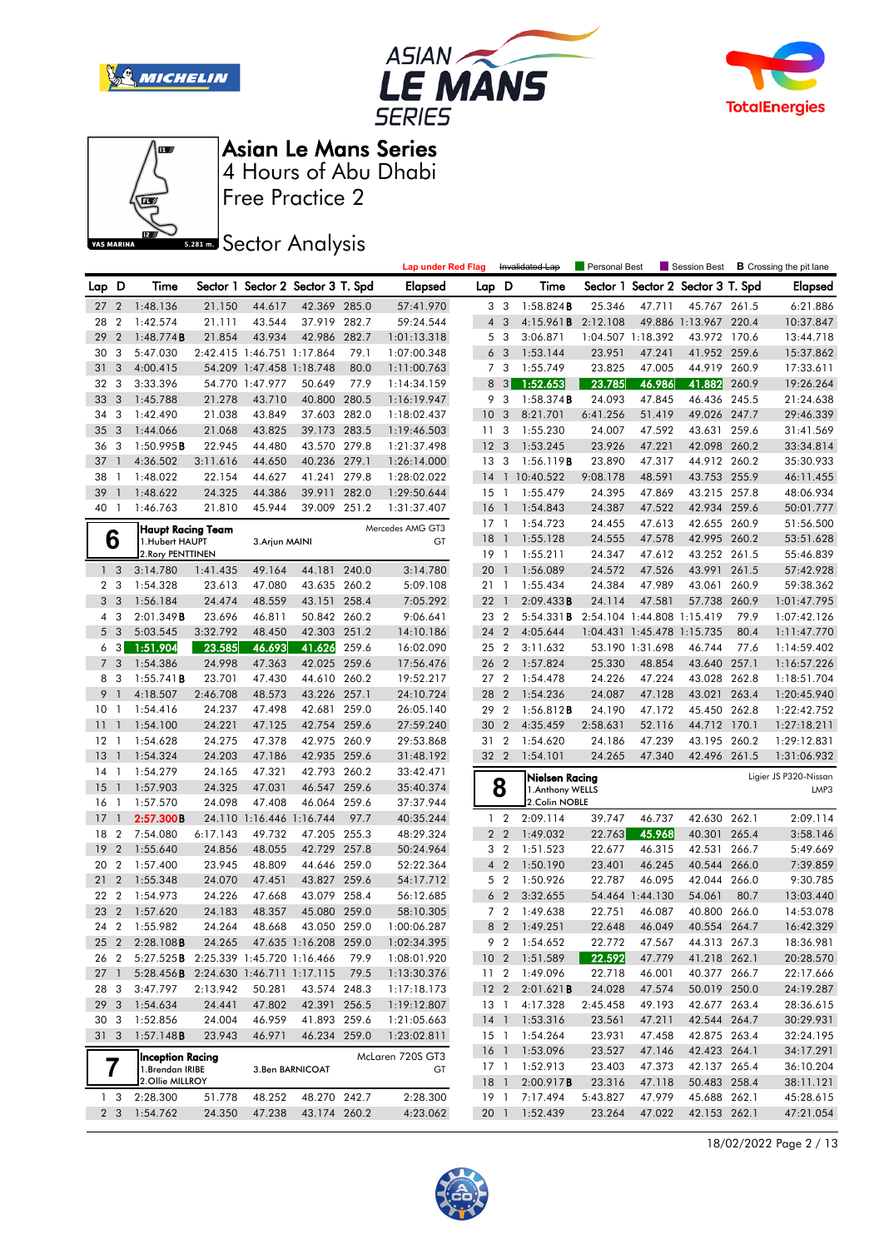







**Sector Analysis** 

|                 |                         |                                              |          |                            |                                   |       | <b>Lap under Red Flag</b> |                 |                | Invalidated Lap     | Personal Best     |                            | Session Best                      |       | <b>B</b> Crossing the pit lane |
|-----------------|-------------------------|----------------------------------------------|----------|----------------------------|-----------------------------------|-------|---------------------------|-----------------|----------------|---------------------|-------------------|----------------------------|-----------------------------------|-------|--------------------------------|
| Lap             | D                       | Time                                         |          |                            | Sector 1 Sector 2 Sector 3 T. Spd |       | <b>Elapsed</b>            | Lap D           |                | Time                |                   |                            | Sector 1 Sector 2 Sector 3 T. Spd |       | Elapsed                        |
| 27 <sub>2</sub> |                         | 1:48.136                                     | 21.150   | 44.617                     | 42.369 285.0                      |       | 57:41.970                 |                 | 3 <sub>3</sub> | 1:58.824B           | 25.346            | 47.711                     | 45.767 261.5                      |       | 6:21.886                       |
| 28              | $\overline{2}$          | 1:42.574                                     | 21.111   | 43.544                     | 37.919 282.7                      |       | 59:24.544                 |                 | 4 <sub>3</sub> | 4:15.961B           | 2:12.108          |                            | 49.886 1:13.967 220.4             |       | 10:37.847                      |
| 29              | $\overline{2}$          | 1:48.774B                                    | 21.854   | 43.934                     | 42.986 282.7                      |       | 1:01:13.318               | 5               | -3             | 3:06.871            | 1:04.507 1:18.392 |                            | 43.972 170.6                      |       | 13:44.718                      |
| 30              | 3                       | 5:47.030                                     |          | 2:42.415 1:46.751 1:17.864 |                                   | 79.1  | 1:07:00.348               |                 | 6 <sub>3</sub> | 1:53.144            | 23.951            | 47.241                     | 41.952 259.6                      |       | 15:37.862                      |
| 31              | 3                       | 4:00.415                                     |          | 54.209 1:47.458 1:18.748   |                                   | 80.0  | 1:11:00.763               |                 | 7 <sub>3</sub> | 1:55.749            | 23.825            | 47.005                     | 44.919 260.9                      |       | 17:33.611                      |
| 32              | 3                       | 3:33.396                                     |          | 54.770 1:47.977            | 50.649                            | 77.9  | 1:14:34.159               | 8               | 3              | 1:52.653            | 23.785            | 46.986                     | 41.882                            | 260.9 | 19:26.264                      |
| 33              | 3                       | 1:45.788                                     | 21.278   | 43.710                     | 40.800                            | 280.5 | 1:16:19.947               | 9               | 3              | $1:58.374$ <b>B</b> | 24.093            | 47.845                     | 46.436 245.5                      |       | 21:24.638                      |
| 34              | 3                       | 1:42.490                                     | 21.038   | 43.849                     | 37.603 282.0                      |       | 1:18:02.437               | 10              | -3             | 8:21.701            | 6:41.256          | 51.419                     | 49.026 247.7                      |       | 29:46.339                      |
| 35              | 3                       | 1:44.066                                     | 21.068   | 43.825                     | 39.173 283.5                      |       | 1:19:46.503               | 11 <sub>3</sub> |                | 1:55.230            | 24.007            | 47.592                     | 43.631 259.6                      |       | 31:41.569                      |
| 36              | -3                      | 1:50.995B                                    | 22.945   | 44.480                     | 43.570 279.8                      |       | 1:21:37.498               | 12 <sub>3</sub> |                | 1:53.245            | 23.926            | 47.221                     | 42.098 260.2                      |       | 33:34.814                      |
| 37              | $\overline{1}$          | 4:36.502                                     | 3:11.616 | 44.650                     | 40.236 279.1                      |       | 1:26:14.000               | 13              | -3             | 1:56.119B           | 23.890            | 47.317                     | 44.912 260.2                      |       | 35:30.933                      |
| 38              | -1                      | 1:48.022                                     | 22.154   | 44.627                     | 41.241                            | 279.8 | 1:28:02.022               | 14              | $\mathbf{1}$   | 10:40.522           | 9:08.178          | 48.591                     | 43.753 255.9                      |       | 46:11.455                      |
| 39              |                         | 1:48.622                                     | 24.325   | 44.386                     | 39.911                            | 282.0 | 1:29:50.644               | $15-1$          |                | 1:55.479            | 24.395            | 47.869                     | 43.215 257.8                      |       | 48:06.934                      |
| 40              | $\overline{1}$          | 1:46.763                                     | 21.810   | 45.944                     | 39.009 251.2                      |       | 1:31:37.407               | 16              | $\overline{1}$ | 1:54.843            | 24.387            | 47.522                     | 42.934 259.6                      |       | 50:01.777                      |
|                 |                         | <b>Haupt Racing Team</b>                     |          |                            |                                   |       | Mercedes AMG GT3          | 17              | $\overline{1}$ | 1:54.723            | 24.455            | 47.613                     | 42.655 260.9                      |       | 51:56.500                      |
|                 | 6                       | 1.Hubert HAUPT                               |          | 3. Arjun MAINI             |                                   |       | GT                        | 18              | $\overline{1}$ | 1:55.128            | 24.555            | 47.578                     | 42.995 260.2                      |       | 53:51.628                      |
|                 |                         | 2. Rory PENTTINEN                            |          |                            |                                   |       |                           | 19 1            |                | 1:55.211            | 24.347            | 47.612                     | 43.252 261.5                      |       | 55:46.839                      |
|                 | 1 <sub>3</sub>          | 3:14.780                                     | 1:41.435 | 49.164                     | 44.181 240.0                      |       | 3:14.780                  | 20              | $\overline{1}$ | 1:56.089            | 24.572            | 47.526                     | 43.991 261.5                      |       | 57:42.928                      |
| $\overline{2}$  | 3                       | 1:54.328                                     | 23.613   | 47.080                     | 43.635 260.2                      |       | 5:09.108                  | 21 1            |                | 1:55.434            | 24.384            | 47.989                     | 43.061 260.9                      |       | 59:38.362                      |
| 3               | $\overline{3}$          | 1:56.184                                     | 24.474   | 48.559                     | 43.151 258.4                      |       | 7:05.292                  | 22              | $\overline{1}$ | 2:09.433B           | 24.114            | 47.581                     | 57.738 260.9                      |       | 1:01:47.795                    |
| 4               | 3                       | 2:01.349B                                    | 23.696   | 46.811                     | 50.842 260.2                      |       | 9:06.641                  | 23 2            |                | 5:54.331B           |                   | 2:54.104 1:44.808 1:15.419 |                                   | 79.9  | 1:07:42.126                    |
|                 | 5 <sub>3</sub>          | 5:03.545                                     | 3:32.792 | 48.450                     | 42.303 251.2                      |       | 14:10.186                 | 24 2            |                | 4:05.644            |                   | 1:04.431 1:45.478 1:15.735 |                                   | 80.4  | 1:11:47.770                    |
| 6               | 3                       | 1:51.904                                     | 23.585   | 46.693                     | 41.626                            | 259.6 | 16:02.090                 | 25              | $\overline{2}$ | 3:11.632            |                   | 53.190 1:31.698            | 46.744                            | 77.6  | 1:14:59.402                    |
| 7 <sub>3</sub>  |                         | 1:54.386                                     | 24.998   | 47.363                     | 42.025 259.6                      |       | 17:56.476                 | 26 2            |                | 1:57.824            | 25.330            | 48.854                     | 43.640 257.1                      |       | 1:16:57.226                    |
| 8               | - 3                     | 1:55.741B                                    | 23.701   | 47.430                     | 44.610 260.2                      |       | 19:52.217                 | 27 2            |                | 1:54.478            | 24.226            | 47.224                     | 43.028 262.8                      |       | 1:18:51.704                    |
| 9               | $\mathbf{1}$            | 4:18.507                                     | 2:46.708 | 48.573                     | 43.226 257.1                      |       | 24:10.724                 | 28 2            |                | 1:54.236            | 24.087            | 47.128                     | 43.021                            | 263.4 | 1:20:45.940                    |
| 10              | $\overline{1}$          | 1:54.416                                     | 24.237   | 47.498                     | 42.681                            | 259.0 | 26:05.140                 | 29              | $\overline{2}$ | 1:56.812B           | 24.190            | 47.172                     | 45.450                            | 262.8 | 1:22:42.752                    |
| 11              | $\mathbf{1}$            | 1:54.100                                     | 24.221   | 47.125                     | 42.754 259.6                      |       | 27:59.240                 | 30              | $\overline{2}$ | 4:35.459            | 2:58.631          | 52.116                     | 44.712 170.1                      |       | 1:27:18.211                    |
| $12 \,$         | - 1                     | 1:54.628                                     | 24.275   | 47.378                     | 42.975 260.9                      |       | 29:53.868                 | 31 2            |                | 1:54.620            | 24.186            | 47.239                     | 43.195 260.2                      |       | 1:29:12.831                    |
| 13              | $\mathbf{1}$            | 1:54.324                                     | 24.203   | 47.186                     | 42.935 259.6                      |       | 31:48.192                 | 32 2            |                | 1:54.101            | 24.265            | 47.340                     | 42.496 261.5                      |       | 1:31:06.932                    |
| 14              | $\overline{1}$          | 1:54.279                                     | 24.165   | 47.321                     | 42.793 260.2                      |       | 33:42.471                 |                 |                | Nielsen Racing      |                   |                            |                                   |       | Ligier JS P320-Nissan          |
| 15              | $\mathbf{1}$            | 1:57.903                                     | 24.325   | 47.031                     | 46.547 259.6                      |       | 35:40.374                 |                 | 8              | 1. Anthony WELLS    |                   |                            |                                   |       | LMP3                           |
| 16              | $\overline{1}$          | 1:57.570                                     | 24.098   | 47.408                     | 46.064 259.6                      |       | 37:37.944                 |                 |                | 2.Colin NOBLE       |                   |                            |                                   |       |                                |
| 17              | $\mathbf{1}$            | 2:57.300B                                    |          | 24.110 1:16.446 1:16.744   |                                   | 97.7  | 40:35.244                 |                 | 1 <sub>2</sub> | 2:09.114            | 39.747            | 46.737                     | 42.630 262.1                      |       | 2:09.114                       |
| 18              | $\overline{2}$          | 7:54.080                                     | 6:17.143 | 49.732                     | 47.205                            | 255.3 | 48:29.324                 |                 | 2 <sub>2</sub> | 1:49.032            | 22.763            | 45.968                     | 40.301                            | 265.4 | 3:58.146                       |
| 19              | $\overline{2}$          | 1:55.640                                     | 24.856   | 48.055                     | 42.729 257.8                      |       | 50:24.964                 |                 | 3 <sub>2</sub> | 1:51.523            | 22.677            | 46.315                     | 42.531 266.7                      |       | 5:49.669                       |
| 20              | $\overline{2}$          | 1:57.400                                     | 23.945   | 48.809                     | 44.646 259.0                      |       | 52:22.364                 |                 | 4 <sup>2</sup> | 1:50.190            | 23.401            | 46.245                     | 40.544 266.0                      |       | 7:39.859                       |
| 21              | $\overline{2}$          | 1:55.348                                     | 24.070   | 47.451                     | 43.827 259.6                      |       | 54:17.712                 | 5               | $\overline{2}$ | 1:50.926            | 22.787            | 46.095                     | 42.044 266.0                      |       | 9:30.785                       |
| 22              | $\overline{2}$          | 1:54.973                                     | 24.226   | 47.668                     | 43.079                            | 258.4 | 56:12.685                 | 6               | $\overline{2}$ | 3:32.655            |                   | 54.464 1:44.130            | 54.061                            | 80.7  | 13:03.440                      |
| 23 2            |                         | 1:57.620                                     | 24.183   | 48.357                     | 45.080 259.0                      |       | 58:10.305                 |                 | 7 <sub>2</sub> | 1:49.638            | 22.751            | 46.087                     | 40.800 266.0                      |       | 14:53.078                      |
| 24              | $\overline{2}$          | 1:55.982                                     | 24.264   | 48.668                     | 43.050 259.0                      |       | 1:00:06.287               |                 | 8 2            | 1:49.251            | 22.648            | 46.049                     | 40.554 264.7                      |       | 16:42.329                      |
| 25 <sub>2</sub> |                         | 2:28.108B                                    | 24.265   |                            | 47.635 1:16.208 259.0             |       | 1:02:34.395               |                 | 9 2            | 1:54.652            | 22.772            | 47.567                     | 44.313 267.3                      |       | 18:36.981                      |
| 26 2            |                         | 5:27.525 <b>B</b> 2:25.339 1:45.720 1:16.466 |          |                            |                                   | 79.9  | 1:08:01.920               | 10 <sub>2</sub> |                | 1:51.589            | 22.592            | 47.779                     | 41.218 262.1                      |       | 20:28.570                      |
| $27-1$          |                         | 5:28.456B 2:24.630 1:46.711 1:17.115         |          |                            |                                   | 79.5  | 1:13:30.376               |                 |                | 11 2 1:49.096       | 22.718            | 46.001                     | 40.377 266.7                      |       | 22:17.666                      |
| 28 3            |                         | 3:47.797                                     | 2:13.942 | 50.281                     | 43.574 248.3                      |       | 1:17:18.173               | 12 <sub>2</sub> |                | 2:01.621B           | 24.028            | 47.574                     | 50.019 250.0                      |       | 24:19.287                      |
| 29              | $\mathbf{3}$            | 1:54.634                                     | 24.441   | 47.802                     | 42.391 256.5                      |       | 1:19:12.807               | 13 1            |                | 4:17.328            | 2:45.458          | 49.193                     | 42.677 263.4                      |       | 28:36.615                      |
| 30              | $\overline{\mathbf{3}}$ | 1:52.856                                     | 24.004   | 46.959                     | 41.893 259.6                      |       | 1:21:05.663               | 14 1            |                | 1:53.316            | 23.561            | 47.211                     | 42.544 264.7                      |       | 30:29.931                      |
| 31 3            |                         | 1:57.148B                                    | 23.943   | 46.971                     | 46.234 259.0                      |       | 1:23:02.811               |                 |                | 15 1 1:54.264       | 23.931            | 47.458                     | 42.875 263.4                      |       | 32:24.195                      |
|                 |                         | Inception Racing                             |          |                            |                                   |       | McLaren 720S GT3          | $16-1$          |                | 1:53.096            | 23.527            | 47.146                     | 42.423 264.1                      |       | 34:17.291                      |
|                 | 7                       | 1. Brendan IRIBE                             |          |                            | 3.Ben BARNICOAT                   |       | GT                        | 17 1            |                | 1:52.913            | 23.403            | 47.373                     | 42.137 265.4                      |       | 36:10.204                      |
|                 |                         | 2.Ollie MILLROY                              |          |                            |                                   |       |                           | 18 1            |                | 2:00.917 <b>B</b>   | 23.316            | 47.118                     | 50.483 258.4                      |       | 38:11.121                      |
| 1 <sub>3</sub>  |                         | 2:28.300                                     | 51.778   | 48.252                     | 48.270 242.7                      |       | 2:28.300                  | 19 1            |                | 7:17.494            | 5:43.827          | 47.979                     | 45.688 262.1                      |       | 45:28.615                      |
|                 | 2 <sub>3</sub>          | 1:54.762                                     | 24.350   | 47.238                     | 43.174 260.2                      |       | 4:23.062                  | 20 1            |                | 1:52.439            | 23.264            | 47.022                     | 42.153 262.1                      |       | 47:21.054                      |

18/02/2022 Page 2 / 13

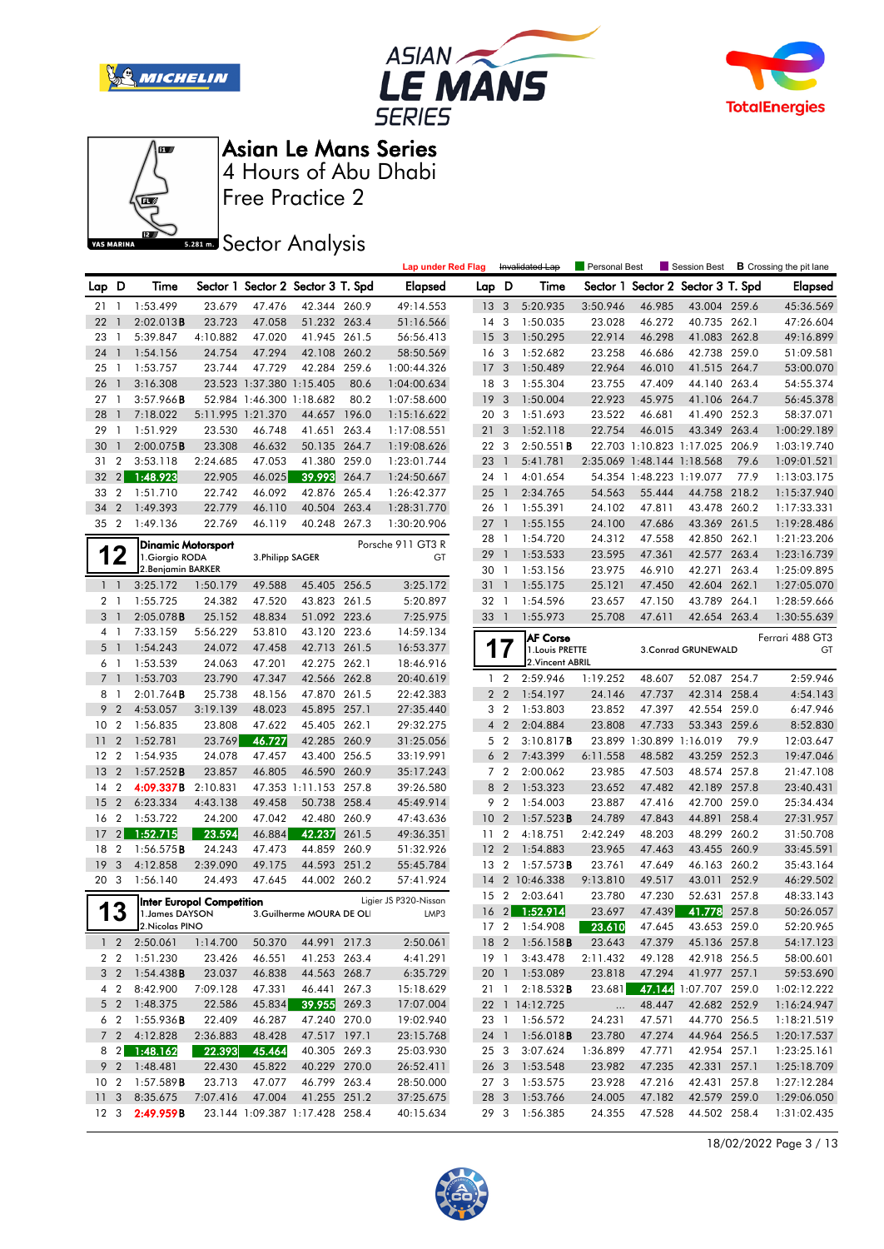







Free Practice 2

## **Sector Analysis**

|                |                  |                               |                                  |                          |                                   |       | <b>Lap under Red Flag</b> |                 |                | Invalidated Lap                    | Personal Best |                            | Session Best                   |       | <b>B</b> Crossing the pit lane |
|----------------|------------------|-------------------------------|----------------------------------|--------------------------|-----------------------------------|-------|---------------------------|-----------------|----------------|------------------------------------|---------------|----------------------------|--------------------------------|-------|--------------------------------|
| Lap D          |                  | Time                          |                                  |                          | Sector 1 Sector 2 Sector 3 T. Spd |       | <b>Elapsed</b>            | Lap             | D              | Time                               | Sector 1      |                            | Sector 2 Sector 3 T. Spd       |       | <b>Elapsed</b>                 |
| 211            |                  | 1:53.499                      | 23.679                           | 47.476                   | 42.344 260.9                      |       | 49:14.553                 | 13 <sup>3</sup> |                | 5:20.935                           | 3:50.946      | 46.985                     | 43.004 259.6                   |       | 45:36.569                      |
| 22             | $\overline{1}$   | 2:02.013B                     | 23.723                           | 47.058                   | 51.232 263.4                      |       | 51:16.566                 | 14 <sup>3</sup> |                | 1:50.035                           | 23.028        | 46.272                     | 40.735 262.1                   |       | 47:26.604                      |
| 23             | $\mathbf{1}$     | 5:39.847                      | 4:10.882                         | 47.020                   | 41.945 261.5                      |       | 56:56.413                 | 15 <sub>3</sub> |                | 1:50.295                           | 22.914        | 46.298                     | 41.083 262.8                   |       | 49:16.899                      |
| 24             | $\mathbf{1}$     | 1:54.156                      | 24.754                           | 47.294                   | 42.108 260.2                      |       | 58:50.569                 | 16 <sub>3</sub> |                | 1:52.682                           | 23.258        | 46.686                     | 42.738                         | 259.0 | 51:09.581                      |
| 25             | $\overline{1}$   | 1:53.757                      | 23.744                           | 47.729                   | 42.284 259.6                      |       | 1:00:44.326               | 17              | 3              | 1:50.489                           | 22.964        | 46.010                     | 41.515 264.7                   |       | 53:00.070                      |
| 26             | $\mathbf{1}$     | 3:16.308                      |                                  | 23.523 1:37.380 1:15.405 |                                   | 80.6  | 1:04:00.634               | 18 3            |                | 1:55.304                           | 23.755        | 47.409                     | 44.140 263.4                   |       | 54:55.374                      |
| 27             | $\mathbf{1}$     | 3:57.966B                     |                                  | 52.984 1:46.300 1:18.682 |                                   | 80.2  | 1:07:58.600               | 19              | 3              | 1:50.004                           | 22.923        | 45.975                     | 41.106 264.7                   |       | 56:45.378                      |
| 28             | $\mathbf{1}$     | 7:18.022                      | 5:11.995 1:21.370                |                          | 44.657                            | 196.0 | 1:15:16.622               | 20 3            |                | 1:51.693                           | 23.522        | 46.681                     | 41.490                         | 252.3 | 58:37.071                      |
| 29             | $\overline{1}$   | 1:51.929                      | 23.530                           | 46.748                   | 41.651 263.4                      |       | 1:17:08.551               | 21              | 3              | 1:52.118                           | 22.754        | 46.015                     | 43.349 263.4                   |       | 1:00:29.189                    |
| 30             | $\mathbf{1}$     | 2:00.075B                     | 23.308                           | 46.632                   | 50.135 264.7                      |       | 1:19:08.626               | 22 3            |                | 2:50.551B                          |               |                            | 22.703 1:10.823 1:17.025 206.9 |       | 1:03:19.740                    |
| 31             | $\overline{2}$   | 3:53.118                      | 2:24.685                         | 47.053                   | 41.380 259.0                      |       | 1:23:01.744               | 23              | $\mathbf{1}$   | 5:41.781                           |               | 2:35.069 1:48.144 1:18.568 |                                | 79.6  | 1:09:01.521                    |
| 32             | 2                | 1:48.923                      | 22.905                           | 46.025                   | 39.993                            | 264.7 | 1:24:50.667               | 24 1            |                | 4:01.654                           |               | 54.354 1:48.223 1:19.077   |                                | 77.9  | 1:13:03.175                    |
| 33             | $\overline{2}$   | 1:51.710                      | 22.742                           | 46.092                   | 42.876 265.4                      |       | 1:26:42.377               | 25              | $\overline{1}$ | 2:34.765                           | 54.563        | 55.444                     | 44.758 218.2                   |       | 1:15:37.940                    |
| 34             | $\overline{2}$   | 1:49.393                      | 22.779                           | 46.110                   | 40.504                            | 263.4 | 1:28:31.770               | 26 1            |                | 1:55.391                           | 24.102        | 47.811                     | 43.478 260.2                   |       | 1:17:33.331                    |
| 35             | $\overline{2}$   | 1:49.136                      | 22.769                           | 46.119                   | 40.248 267.3                      |       | 1:30:20.906               | $27-1$          |                | 1:55.155                           | 24.100        | 47.686                     | 43.369                         | 261.5 | 1:19:28.486                    |
|                |                  | <b>Dinamic Motorsport</b>     |                                  |                          |                                   |       | Porsche 911 GT3 R         | 28              | $\overline{1}$ | 1:54.720                           | 24.312        | 47.558                     | 42.850 262.1                   |       | 1:21:23.206                    |
|                | 2                | 1. Giorgio RODA               |                                  | 3. Philipp SAGER         |                                   |       | GT                        | 29              | $\mathbf{1}$   | 1:53.533                           | 23.595        | 47.361                     | 42.577 263.4                   |       | 1:23:16.739                    |
|                |                  | 2. Benjamin BARKER            |                                  |                          |                                   |       |                           | 30 1            |                | 1:53.156                           | 23.975        | 46.910                     | 42.271                         | 263.4 | 1:25:09.895                    |
| $1\quad$       |                  | 3:25.172                      | 1:50.179                         | 49.588                   | 45.405                            | 256.5 | 3:25.172                  | 31 1            |                | 1:55.175                           | 25.121        | 47.450                     | 42.604                         | 262.1 | 1:27:05.070                    |
| 2 <sub>1</sub> |                  | 1:55.725                      | 24.382                           | 47.520                   | 43.823 261.5                      |       | 5:20.897                  | 32              | $\overline{1}$ | 1:54.596                           | 23.657        | 47.150                     | 43.789                         | 264.1 | 1:28:59.666                    |
| 3              | $\mathbf{1}$     | 2:05.078B                     | 25.152                           | 48.834                   | 51.092 223.6                      |       | 7:25.975                  | 33 1            |                | 1:55.973                           | 25.708        | 47.611                     | 42.654 263.4                   |       | 1:30:55.639                    |
| 41             |                  | 7:33.159                      | 5:56.229                         | 53.810                   | 43.120 223.6                      |       | 14:59.134                 |                 |                |                                    |               |                            |                                |       | Ferrari 488 GT3                |
| 5 <sub>1</sub> |                  | 1:54.243                      | 24.072                           | 47.458                   | 42.713 261.5                      |       | 16:53.377                 | 1               | 7              | <b>AF Corse</b><br>1. Louis PRETTE |               |                            | 3. Conrad GRUNEWALD            |       | GT                             |
| 6              | $\overline{1}$   | 1:53.539                      | 24.063                           | 47.201                   | 42.275 262.1                      |       | 18:46.916                 |                 |                | 2. Vincent ABRIL                   |               |                            |                                |       |                                |
| 7 <sub>1</sub> |                  | 1:53.703                      | 23.790                           | 47.347                   | 42.566 262.8                      |       | 20:40.619                 |                 | 1 <sub>2</sub> | 2:59.946                           | 1:19.252      | 48.607                     | 52.087 254.7                   |       | 2:59.946                       |
| 8              | $\overline{1}$   | 2:01.764B                     | 25.738                           | 48.156                   | 47.870 261.5                      |       | 22:42.383                 |                 | 2 <sub>2</sub> | 1:54.197                           | 24.146        | 47.737                     | 42.314 258.4                   |       | 4:54.143                       |
| 9              | $\overline{2}$   | 4:53.057                      | 3:19.139                         | 48.023                   | 45.895 257.1                      |       | 27:35.440                 | 3               | $\overline{2}$ | 1:53.803                           | 23.852        | 47.397                     | 42.554                         | 259.0 | 6:47.946                       |
| 10             | $\overline{2}$   | 1:56.835                      | 23.808                           | 47.622                   | 45.405 262.1                      |       | 29:32.275                 |                 | 4 <sup>2</sup> | 2:04.884                           | 23.808        | 47.733                     | 53.343 259.6                   |       | 8:52.830                       |
| 11             | $\overline{2}$   | 1:52.781                      | 23.769                           | 46.727                   | 42.285 260.9                      |       | 31:25.056                 |                 | 5 <sub>2</sub> | 3:10.817B                          |               | 23.899 1:30.899 1:16.019   |                                | 79.9  | 12:03.647                      |
| $12 \,$        | $\overline{2}$   | 1:54.935                      | 24.078                           | 47.457                   | 43.400 256.5                      |       | 33:19.991                 |                 | 6 <sub>2</sub> | 7:43.399                           | 6:11.558      | 48.582                     | 43.259 252.3                   |       | 19:47.046                      |
| 13             | $\overline{2}$   | 1:57.252B                     | 23.857                           | 46.805                   | 46.590 260.9                      |       | 35:17.243                 |                 | 7 <sub>2</sub> | 2:00.062                           | 23.985        | 47.503                     | 48.574                         | 257.8 | 21:47.108                      |
| 14             | $\overline{2}$   | 4:09.337B                     | 2:10.831                         |                          | 47.353 1:11.153 257.8             |       | 39:26.580                 |                 | 8 2            | 1:53.323                           | 23.652        | 47.482                     | 42.189 257.8                   |       | 23:40.431                      |
| 15             | $\overline{2}$   | 6:23.334                      | 4:43.138                         | 49.458                   | 50.738 258.4                      |       | 45:49.914                 |                 | 9 <sub>2</sub> | 1:54.003                           | 23.887        | 47.416                     | 42.700 259.0                   |       | 25:34.434                      |
| 16             | $\overline{2}$   | 1:53.722                      | 24.200                           | 47.042                   | 42.480 260.9                      |       | 47:43.636                 | 10 <sub>2</sub> |                | 1:57.523B                          | 24.789        | 47.843                     | 44.891                         | 258.4 | 27:31.957                      |
| 17             | $\overline{2}$   | 1:52.715                      | 23.594                           | 46.884                   | 42.237                            | 261.5 | 49:36.351                 | 11              | $\overline{2}$ | 4:18.751                           | 2:42.249      | 48.203                     | 48.299                         | 260.2 | 31:50.708                      |
| 18             | $\overline{2}$   | 1:56.575B                     | 24.243                           | 47.473                   | 44.859 260.9                      |       | 51:32.926                 | 12              | $\overline{2}$ | 1:54.883                           | 23.965        | 47.463                     | 43.455 260.9                   |       | 33:45.591                      |
| 19             | 3                | 4:12.858                      | 2:39.090                         | 49.175                   | 44.593 251.2                      |       | 55:45.784                 | 13              | $\overline{2}$ | 1:57.573B                          | 23.761        | 47.649                     | 46.163 260.2                   |       | 35:43.164                      |
| 20             | - 3              | 1:56.140                      | 24.493                           | 47.645                   | 44.002 260.2                      |       | 57:41.924                 | 14              |                | 2 10:46.338                        | 9:13.810      | 49.517                     | 43.011                         | 252.9 | 46:29.502                      |
|                |                  |                               |                                  |                          |                                   |       | Ligier JS P320-Nissan     | 15              | $\overline{2}$ | 2:03.641                           | 23.780        | 47.230                     | 52.631                         | 257.8 | 48:33.143                      |
| 1              | $\boldsymbol{3}$ | 1. James DAYSON               | <b>Inter Europol Competition</b> |                          | 3.Guilherme MOURA DE OLI          |       | LMP3                      | 16 <sub>2</sub> |                | 1:52.914                           | 23.697        | 47.439                     | 41.778 257.8                   |       | 50:26.057                      |
|                |                  | $\blacksquare$ 2.Nicolas PINO |                                  |                          |                                   |       |                           |                 |                | 17 2 1:54.908                      | 23.610        | 47.645                     | 43.653 259.0                   |       | 52:20.965                      |
|                |                  | $1 \quad 2 \quad 2:50.061$    | 1:14.700                         | 50.370                   | 44.991 217.3                      |       | 2:50.061                  |                 |                | 18 2 1:56.158 <b>B</b>             | 23.643        | 47.379                     | 45.136 257.8                   |       | 54:17.123                      |
|                |                  | 2 2 1:51.230                  | 23.426                           | 46.551                   | 41.253 263.4                      |       | 4:41.291                  | 19 1            |                | 3:43.478                           | 2:11.432      | 49.128                     | 42.918 256.5                   |       | 58:00.601                      |
|                |                  | 3 2 1:54.438 <b>B</b>         | 23.037                           | 46.838                   | 44.563 268.7                      |       | 6:35.729                  |                 |                | 20 1 1:53.089                      | 23.818        | 47.294                     | 41.977 257.1                   |       | 59:53.690                      |
|                |                  | 4 2 8:42.900                  | 7:09.128                         | 47.331                   | 46.441 267.3                      |       | 15:18.629                 |                 |                | 21 1 2:18.532 <b>B</b>             | 23.681        |                            | 47.144 1:07.707 259.0          |       | 1:02:12.222                    |
|                |                  | 5 2 1:48.375                  | 22.586                           | 45.834                   | 39.955 269.3                      |       | 17:07.004                 |                 |                | 22 1 14:12.725                     | $\ldots$      | 48.447                     | 42.682 252.9                   |       | 1:16:24.947                    |
|                |                  | 6 2 1:55.936 <b>B</b>         | 22.409                           | 46.287                   | 47.240 270.0                      |       | 19:02.940                 |                 |                | 23 1 1:56.572                      | 24.231        | 47.571                     | 44.770 256.5                   |       | 1:18:21.519                    |
|                |                  | 7 2 4:12.828                  | 2:36.883                         | 48.428                   | 47.517 197.1                      |       | 23:15.768                 |                 |                | 24 1 1:56.018 <b>B</b>             | 23.780        | 47.274                     | 44.964 256.5                   |       | 1:20:17.537                    |
|                |                  | 8 2 1:48.162                  | 22.393                           | 45.464                   | 40.305 269.3                      |       | 25:03.930                 |                 |                | 25 3 3:07.624                      | 1:36.899      | 47.771                     | 42.954 257.1                   |       | 1:23:25.161                    |
|                |                  | 9 2 1:48.481                  | 22.430                           | 45.822                   | 40.229 270.0                      |       | 26:52.411                 |                 |                | 26 3 1:53.548                      | 23.982        | 47.235                     | 42.331 257.1                   |       | 1:25:18.709                    |
|                |                  | 10 2 1:57.589 <b>B</b>        | 23.713                           | 47.077                   | 46.799 263.4                      |       | 28:50.000                 |                 |                | 27 3 1:53.575                      | 23.928        | 47.216                     | 42.431 257.8                   |       | 1:27:12.284                    |
|                |                  | 11 3 8:35.675                 | 7:07.416                         | 47.004                   | 41.255 251.2                      |       | 37:25.675                 |                 |                | 28 3 1:53.766                      | 24.005        | 47.182                     | 42.579 259.0                   |       | 1:29:06.050                    |
|                |                  | 12 3 2:49.959B                |                                  |                          | 23.144 1:09.387 1:17.428 258.4    |       | 40:15.634                 |                 |                | 29 3 1:56.385                      | 24.355        | 47.528                     | 44.502 258.4                   |       | 1:31:02.435                    |

18/02/2022 Page 3 / 13

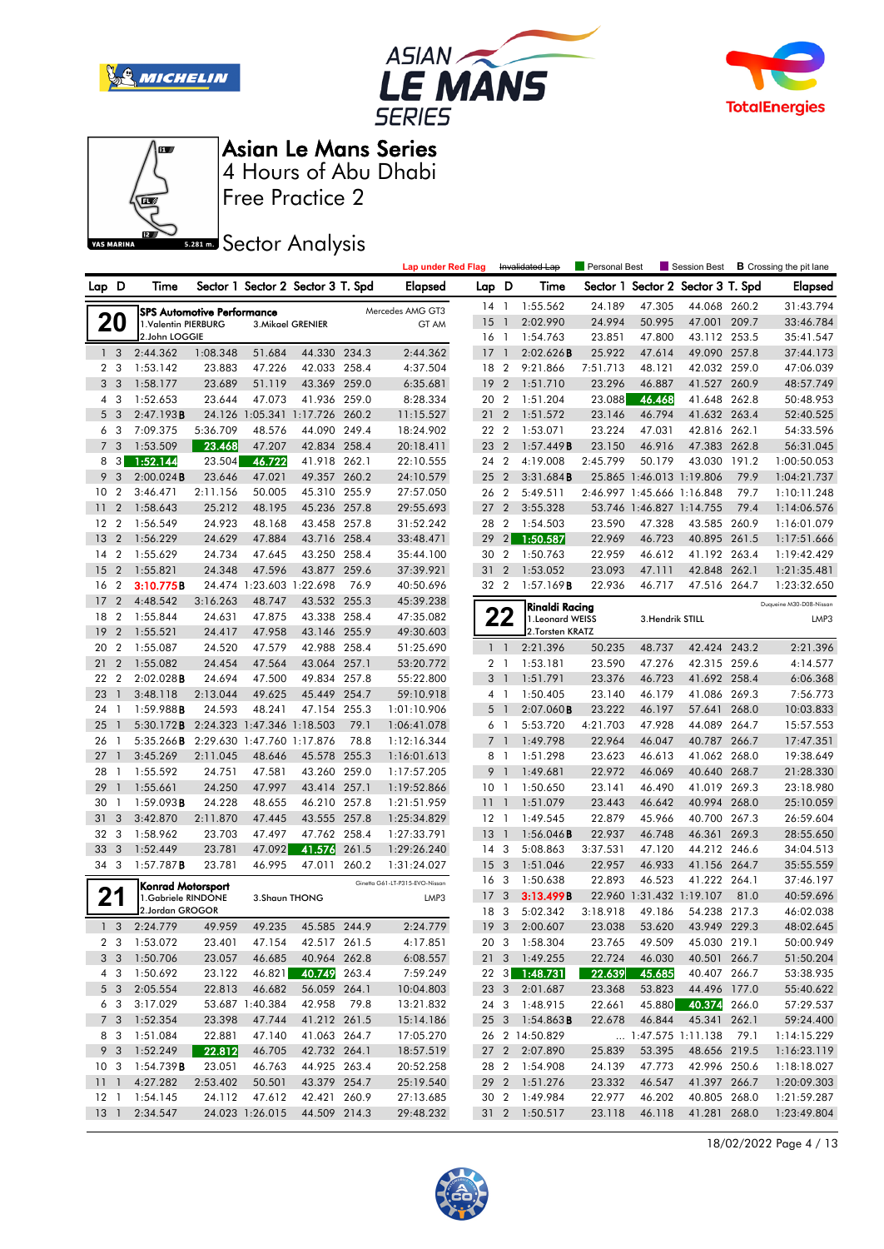







# **Sector Analysis**

|                 |                |                                         |                                   |                          |                                   |       | <b>Lap under Red Flag</b>      |                 |                          | Invalidated Lap                    | <b>Personal Best</b> |                            | Session Best                    |       | <b>B</b> Crossing the pit lane |
|-----------------|----------------|-----------------------------------------|-----------------------------------|--------------------------|-----------------------------------|-------|--------------------------------|-----------------|--------------------------|------------------------------------|----------------------|----------------------------|---------------------------------|-------|--------------------------------|
| Lap D           |                | Time                                    |                                   |                          | Sector 1 Sector 2 Sector 3 T. Spd |       | <b>Elapsed</b>                 | Lap D           |                          | Time                               | Sector 1             |                            | Sector 2 Sector 3 T. Spd        |       | <b>Elapsed</b>                 |
|                 |                |                                         |                                   |                          |                                   |       | Mercedes AMG GT3               | $14-1$          |                          | 1:55.562                           | 24.189               | 47.305                     | 44.068 260.2                    |       | 31:43.794                      |
|                 | 20             | 1.Valentin PIERBURG                     | <b>SPS Automotive Performance</b> |                          | 3. Mikael GRENIER                 |       | GT AM                          | 15              | $\overline{1}$           | 2:02.990                           | 24.994               | 50.995                     | 47.001                          | 209.7 | 33:46.784                      |
|                 |                | 2.John LOGGIE                           |                                   |                          |                                   |       |                                | 16 1            |                          | 1:54.763                           | 23.851               | 47.800                     | 43.112 253.5                    |       | 35:41.547                      |
|                 | 1 <sub>3</sub> | 2:44.362                                | 1:08.348                          | 51.684                   | 44.330 234.3                      |       | 2:44.362                       | 17              | $\overline{1}$           | 2:02.626B                          | 25.922               | 47.614                     | 49.090 257.8                    |       | 37:44.173                      |
| $\overline{2}$  | 3              | 1:53.142                                | 23.883                            | 47.226                   | 42.033                            | 258.4 | 4:37.504                       | 18              | $\overline{2}$           | 9:21.866                           | 7:51.713             | 48.121                     | 42.032 259.0                    |       | 47:06.039                      |
| 3 <sub>3</sub>  |                | 1:58.177                                | 23.689                            | 51.119                   | 43.369 259.0                      |       | 6:35.681                       | 19              | $\overline{2}$           | 1:51.710                           | 23.296               | 46.887                     | 41.527 260.9                    |       | 48:57.749                      |
|                 | 4 3            | 1:52.653                                | 23.644                            | 47.073                   | 41.936 259.0                      |       | 8:28.334                       | 20 2            |                          | 1:51.204                           | 23.088               | 46.468                     | 41.648 262.8                    |       | 50:48.953                      |
| 5               | $\overline{3}$ | 2:47.193B                               |                                   |                          | 24.126 1:05.341 1:17.726 260.2    |       | 11:15.527                      | 21              | $\overline{2}$           | 1:51.572                           | 23.146               | 46.794                     | 41.632 263.4                    |       | 52:40.525                      |
| 6               | 3              | 7:09.375                                | 5:36.709                          | 48.576                   | 44.090                            | 249.4 | 18:24.902                      | 22 2            |                          | 1:53.071                           | 23.224               | 47.031                     | 42.816 262.1                    |       | 54:33.596                      |
| $\overline{7}$  | 3              | 1:53.509                                | 23.468                            | 47.207                   | 42.834 258.4                      |       | 20:18.411                      | 23 2            |                          | 1:57.449B                          | 23.150               | 46.916                     | 47.383 262.8                    |       | 56:31.045                      |
| 8               | 3              | 1:52.144                                | 23.504                            | 46.722                   | 41.918 262.1                      |       | 22:10.555                      | 24 2            |                          | 4:19.008                           | 2:45.799             | 50.179                     | 43.030 191.2                    |       | 1:00:50.053                    |
| 9               | $\mathbf{3}$   | 2:00.024B                               | 23.646                            | 47.021                   | 49.357                            | 260.2 | 24:10.579                      | 25 <sub>2</sub> |                          | 3:31.684B                          |                      | 25.865 1:46.013 1:19.806   |                                 | 79.9  | 1:04:21.737                    |
| 10              | $\overline{2}$ | 3:46.471                                | 2:11.156                          | 50.005                   | 45.310 255.9                      |       | 27:57.050                      | 26 2            |                          | 5:49.511                           |                      | 2:46.997 1:45.666 1:16.848 |                                 | 79.7  | 1:10:11.248                    |
| 11              | $\overline{2}$ | 1:58.643                                | 25.212                            | 48.195                   | 45.236 257.8                      |       | 29:55.693                      | 27              | $\overline{2}$           | 3:55.328                           |                      | 53.746 1:46.827 1:14.755   |                                 | 79.4  | 1:14:06.576                    |
| 12              | $\overline{2}$ | 1:56.549                                | 24.923                            | 48.168                   | 43.458 257.8                      |       | 31:52.242                      | 28              | $\overline{2}$           | 1:54.503                           | 23.590               | 47.328                     | 43.585 260.9                    |       | 1:16:01.079                    |
| 13              | $\overline{2}$ | 1:56.229                                | 24.629                            | 47.884                   | 43.716 258.4                      |       | 33:48.471                      | 29              | $\overline{2}$           | 1:50.587                           | 22.969               | 46.723                     | 40.895 261.5                    |       | 1:17:51.666                    |
| 14              | $\overline{2}$ | 1:55.629                                | 24.734                            | 47.645                   | 43.250 258.4                      |       | 35:44.100                      | 30              | $\overline{2}$           | 1:50.763                           | 22.959               | 46.612                     | 41.192                          | 263.4 | 1:19:42.429                    |
| 15              | $\overline{2}$ | 1:55.821                                | 24.348                            | 47.596                   | 43.877                            | 259.6 | 37:39.921                      | 31              | $\overline{2}$           | 1:53.052                           | 23.093               | 47.111                     | 42.848 262.1                    |       | 1:21:35.481                    |
| 16              | $\overline{2}$ | 3:10.775B                               |                                   | 24.474 1:23.603 1:22.698 |                                   | 76.9  | 40:50.696                      | 32 2            |                          | 1:57.169B                          | 22.936               | 46.717                     | 47.516 264.7                    |       | 1:23:32.650                    |
| 17              | $\overline{2}$ | 4:48.542                                | 3:16.263                          | 48.747                   | 43.532 255.3                      |       | 45:39.238                      |                 |                          |                                    |                      |                            |                                 |       | Duqueine M30-D08-Nissan        |
| 18              | $\overline{2}$ | 1:55.844                                | 24.631                            | 47.875                   | 43.338                            | 258.4 | 47:35.082                      |                 | 22                       | Rinaldi Racing<br>1. Leonard WEISS |                      | 3. Hendrik STILL           |                                 |       | LMP3                           |
| 19              | $\overline{2}$ | 1:55.521                                | 24.417                            | 47.958                   | 43.146 255.9                      |       | 49:30.603                      |                 |                          | 2.Torsten KRATZ                    |                      |                            |                                 |       |                                |
| 20              | $\overline{2}$ | 1:55.087                                | 24.520                            | 47.579                   | 42.988 258.4                      |       | 51:25.690                      |                 | $1\quad$                 | 2:21.396                           | 50.235               | 48.737                     | 42.424 243.2                    |       | 2:21.396                       |
| 21              | $\overline{2}$ | 1:55.082                                | 24.454                            | 47.564                   | 43.064 257.1                      |       | 53:20.772                      |                 | 2 <sub>1</sub>           | 1:53.181                           | 23.590               | 47.276                     | 42.315 259.6                    |       | 4:14.577                       |
| 22              | $\overline{2}$ | 2:02.028B                               | 24.694                            | 47.500                   | 49.834                            | 257.8 | 55:22.800                      | 3 <sup>1</sup>  |                          | 1:51.791                           | 23.376               | 46.723                     | 41.692 258.4                    |       | 6:06.368                       |
| 23              | $\overline{1}$ | 3:48.118                                | 2:13.044                          | 49.625                   | 45.449 254.7                      |       | 59:10.918                      |                 | 4 1                      | 1:50.405                           | 23.140               | 46.179                     | 41.086 269.3                    |       | 7:56.773                       |
| 24              | - 1            | 1:59.988B                               | 24.593                            | 48.241                   | 47.154 255.3                      |       | 1:01:10.906                    | 5               | $\overline{\phantom{a}}$ | $2:07.060$ <b>B</b>                | 23.222               | 46.197                     | 57.641                          | 268.0 | 10:03.833                      |
| 25              | $\mathbf{1}$   | 5:30.172B                               | 2:24.323 1:47.346 1:18.503        |                          |                                   | 79.1  | 1:06:41.078                    |                 | 6 1                      | 5:53.720                           | 4:21.703             | 47.928                     | 44.089 264.7                    |       | 15:57.553                      |
| 26              | -1             | 5:35.266B                               | 2:29.630 1:47.760 1:17.876        |                          |                                   | 78.8  | 1:12:16.344                    | 7 <sup>1</sup>  |                          | 1:49.798                           | 22.964               | 46.047                     | 40.787                          | 266.7 | 17:47.351                      |
| 27              | $\mathbf{1}$   | 3:45.269                                | 2:11.045                          | 48.646                   | 45.578 255.3                      |       | 1:16:01.613                    |                 | 8 1                      | 1:51.298                           | 23.623               | 46.613                     | 41.062 268.0                    |       | 19:38.649                      |
| 28              | -1             | 1:55.592                                | 24.751                            | 47.581                   | 43.260 259.0                      |       | 1:17:57.205                    | 9 1             |                          | 1:49.681                           | 22.972               | 46.069                     | 40.640 268.7                    |       | 21:28.330                      |
| 29              | $\mathbf{1}$   | 1:55.661                                | 24.250                            | 47.997                   | 43.414 257.1                      |       | 1:19:52.866                    | 10 <sub>1</sub> |                          | 1:50.650                           | 23.141               | 46.490                     | 41.019 269.3                    |       | 23:18.980                      |
| 30              | 1              | 1:59.093B                               | 24.228                            | 48.655                   | 46.210 257.8                      |       | 1:21:51.959                    | 11              | -1                       | 1:51.079                           | 23.443               | 46.642                     | 40.994 268.0                    |       | 25:10.059                      |
| 31              | 3              | 3:42.870                                | 2:11.870                          | 47.445                   | 43.555 257.8                      |       | 1:25:34.829                    | 12 <sub>1</sub> |                          | 1:49.545                           | 22.879               | 45.966                     | 40.700 267.3                    |       | 26:59.604                      |
| 32              | 3              | 1:58.962                                | 23.703                            | 47.497                   | 47.762 258.4                      |       | 1:27:33.791                    | 13              | $\overline{1}$           | 1:56.046B                          | 22.937               | 46.748                     | 46.361                          | 269.3 | 28:55.650                      |
| 33              | 3              | 1:52.449                                | 23.781                            | 47.092                   | 41.576                            | 261.5 | 1:29:26.240                    | 14              | 3                        | 5:08.863                           | 3:37.531             | 47.120                     | 44.212                          | 246.6 | 34:04.513                      |
| 34 3            |                | $1:57.787$ <b>B</b>                     | 23.781                            | 46.995                   | 47.011                            | 260.2 | 1:31:24.027                    | 15              | $\overline{3}$           | 1:51.046                           | 22.957               | 46.933                     | 41.156 264.7                    |       | 35:55.559                      |
|                 |                |                                         |                                   |                          |                                   |       | Ginetta G61-LT-P315-EVO-Nissan | 16              | 3                        | 1:50.638                           | 22.893               | 46.523                     | 41.222 264.1                    |       | 37:46.197                      |
| 21              |                | Konrad Motorsport<br>1.Gabriele RINDONE |                                   | 3. Shaun THONG           |                                   |       | LMP3                           | 17              | 3                        | 3:13.499B                          |                      | 22.960 1:31.432 1:19.107   |                                 | 81.0  | 40:59.696                      |
|                 |                | 2.Jordan GROGOR                         |                                   |                          |                                   |       |                                | 18              | $\mathbf{3}$             | 5:02.342                           | 3:18.918             | 49.186                     | 54.238 217.3                    |       | 46:02.038                      |
|                 | 1 <sup>3</sup> | 2:24.779                                | 49.959                            | 49.235                   | 45.585 244.9                      |       | 2:24.779                       | 19 <sub>3</sub> |                          | 2:00.607                           | 23.038               | 53.620                     | 43.949 229.3                    |       | 48:02.645                      |
|                 |                | 2 3 1:53.072                            | 23.401                            | 47.154                   | 42.517 261.5                      |       | 4:17.851                       |                 |                          | 20 3 1:58.304                      | 23.765               | 49.509                     | 45.030 219.1                    |       | 50:00.949                      |
|                 |                | 3 3 1:50.706                            | 23.057                            | 46.685                   | 40.964 262.8                      |       | 6:08.557                       |                 |                          | 21 3 1:49.255                      | 22.724               | 46.030                     | 40.501 266.7                    |       | 51:50.204                      |
|                 |                | 4 3 1:50.692                            | 23.122                            | 46.821                   | 40.749 263.4                      |       | 7:59.249                       |                 |                          | 22 3 1:48.731                      | 22.639               | 45.685                     | 40.407 266.7                    |       | 53:38.935                      |
|                 | $5\quad3$      | 2:05.554                                | 22.813                            | 46.682                   | 56.059 264.1                      |       | 10:04.803                      |                 |                          | 23 3 2:01.687                      | 23.368               | 53.823                     | 44.496 177.0                    |       | 55:40.622                      |
|                 | 6 3            | 3:17.029                                |                                   | 53.687 1:40.384          | 42.958 79.8                       |       | 13:21.832                      |                 |                          | 24 3 1:48.915                      | 22.661               |                            | 45.880 40.374 266.0             |       | 57:29.537                      |
|                 |                | 7 3 1:52.354                            | 23.398                            | 47.744                   | 41.212 261.5                      |       | 15:14.186                      |                 |                          | 25 3 1:54.863 <b>B</b>             | 22.678               | 46.844                     | 45.341 262.1                    |       | 59:24.400                      |
|                 | 8 3            | 1:51.084                                | 22.881                            | 47.140                   | 41.063 264.7                      |       | 17:05.270                      |                 |                          | 26 2 14:50.829                     |                      |                            | $\ldots$ 1:47.575 1:11.138 79.1 |       | 1:14:15.229                    |
|                 | 9 3            | 1:52.249                                | 22.812                            | 46.705                   | 42.732 264.1                      |       | 18:57.519                      |                 |                          | 27 2 2:07.890                      | 25.839               | 53.395                     | 48.656 219.5                    |       | 1:16:23.119                    |
| 10 <sub>3</sub> |                | 1:54.739 <b>B</b>                       | 23.051                            | 46.763                   | 44.925 263.4                      |       | 20:52.258                      |                 |                          | 28 2 1:54.908                      | 24.139               | 47.773                     | 42.996 250.6                    |       | 1:18:18.027                    |
|                 |                | 11 1 4:27.282                           | 2:53.402                          | 50.501                   | 43.379 254.7                      |       | 25:19.540                      |                 |                          | 29 2 1:51.276                      | 23.332               | 46.547                     | 41.397 266.7                    |       | 1:20:09.303                    |
|                 |                | 12 1 1:54.145                           | 24.112                            | 47.612                   | 42.421 260.9                      |       | 27:13.685                      |                 |                          | 30 2 1:49.984                      | 22.977               | 46.202                     | 40.805 268.0                    |       | 1:21:59.287                    |
|                 |                | 13 1 2:34.547                           |                                   | 24.023 1:26.015          | 44.509 214.3                      |       | 29:48.232                      |                 |                          | 31 2 1:50.517                      | 23.118               | 46.118                     | 41.281 268.0                    |       | 1:23:49.804                    |

18/02/2022 Page 4 / 13

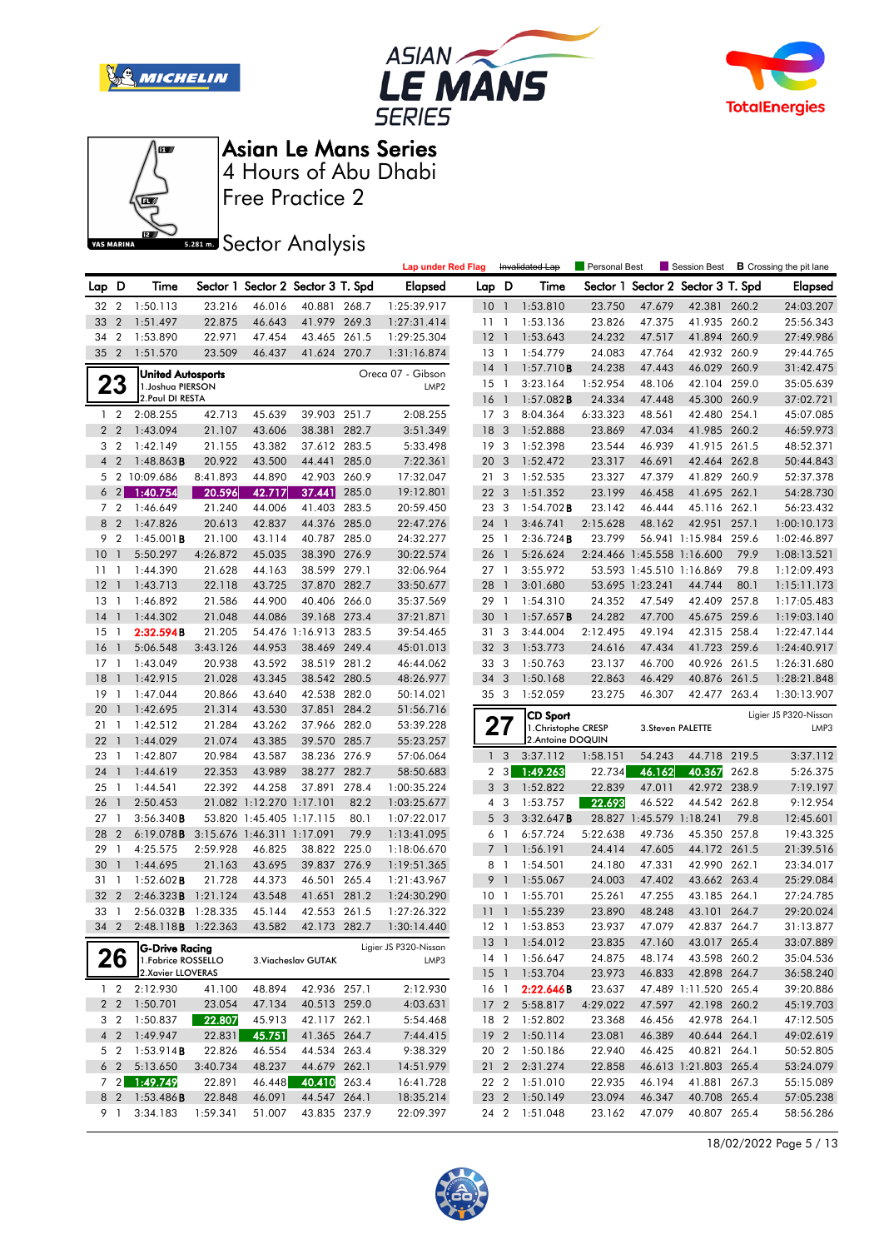







Free Practice 2

## **Sector Analysis**

|                |                |                            |          |                            |                                   |       | <b>Lap under Red Flag</b> |                 |                   | Invalidated Lap     | Personal Best |                            | Session Best                      |       | <b>B</b> Crossing the pit lane |
|----------------|----------------|----------------------------|----------|----------------------------|-----------------------------------|-------|---------------------------|-----------------|-------------------|---------------------|---------------|----------------------------|-----------------------------------|-------|--------------------------------|
| Lap D          |                | Time                       |          |                            | Sector 1 Sector 2 Sector 3 T. Spd |       | Elapsed                   | Lap D           |                   | Time                |               |                            | Sector 1 Sector 2 Sector 3 T. Spd |       | <b>Elapsed</b>                 |
| 32 2           |                | 1:50.113                   | 23.216   | 46.016                     | 40.881 268.7                      |       | 1:25:39.917               | 10 <sub>1</sub> |                   | 1:53.810            | 23.750        | 47.679                     | 42.381 260.2                      |       | 24:03.207                      |
| 33             | $\overline{2}$ | 1:51.497                   | 22.875   | 46.643                     | 41.979                            | 269.3 | 1:27:31.414               | 11 <sub>1</sub> |                   | 1:53.136            | 23.826        | 47.375                     | 41.935 260.2                      |       | 25:56.343                      |
| 34             | $\overline{2}$ | 1:53.890                   | 22.971   | 47.454                     | 43.465                            | 261.5 | 1:29:25.304               | 12              | $\overline{1}$    | 1:53.643            | 24.232        | 47.517                     | 41.894 260.9                      |       | 27:49.986                      |
| 35             | $\overline{2}$ | 1:51.570                   | 23.509   | 46.437                     | 41.624 270.7                      |       | 1:31:16.874               | 13              | $\overline{1}$    | 1:54.779            | 24.083        | 47.764                     | 42.932 260.9                      |       | 29:44.765                      |
|                |                | <b>United Autosports</b>   |          |                            |                                   |       | Oreca 07 - Gibson         | 14              | $\overline{1}$    | 1:57.710B           | 24.238        | 47.443                     | 46.029 260.9                      |       | 31:42.475                      |
|                | 23             | 1. Joshua PIERSON          |          |                            |                                   |       | LMP <sub>2</sub>          | $15-1$          |                   | 3:23.164            | 1:52.954      | 48.106                     | 42.104 259.0                      |       | 35:05.639                      |
|                |                | 2. Paul DI RESTA           |          |                            |                                   |       |                           | 16              | $\overline{1}$    | 1:57.082B           | 24.334        | 47.448                     | 45.300 260.9                      |       | 37:02.721                      |
|                | $1\quad2$      | 2:08.255                   | 42.713   | 45.639                     | 39.903 251.7                      |       | 2:08.255                  | 17 <sub>3</sub> |                   | 8:04.364            | 6:33.323      | 48.561                     | 42.480                            | 254.1 | 45:07.085                      |
|                | 2 <sub>2</sub> | 1:43.094                   | 21.107   | 43.606                     | 38.381                            | 282.7 | 3:51.349                  | 18              | - 3               | 1:52.888            | 23.869        | 47.034                     | 41.985 260.2                      |       | 46:59.973                      |
|                | 3 <sub>2</sub> | 1:42.149                   | 21.155   | 43.382                     | 37.612 283.5                      |       | 5:33.498                  | 19 <sup>3</sup> |                   | 1:52.398            | 23.544        | 46.939                     | 41.915 261.5                      |       | 48:52.371                      |
| $\overline{4}$ | $\overline{2}$ | $1:48.863$ B               | 20.922   | 43.500                     | 44.441                            | 285.0 | 7:22.361                  | 20 <sub>3</sub> |                   | 1:52.472            | 23.317        | 46.691                     | 42.464 262.8                      |       | 50:44.843                      |
| 5              |                | 2 10:09.686                | 8:41.893 | 44.890                     | 42.903                            | 260.9 | 17:32.047                 | 21              | 3                 | 1:52.535            | 23.327        | 47.379                     | 41.829                            | 260.9 | 52:37.378                      |
|                | $6\quad2$      | 1:40.754                   | 20.596   | 42.717                     | 37.441                            | 285.0 | 19:12.801                 | 22 <sub>3</sub> |                   | 1:51.352            | 23.199        | 46.458                     | 41.695 262.1                      |       | 54:28.730                      |
|                | 7 <sub>2</sub> | 1:46.649                   | 21.240   | 44.006                     | 41.403 283.5                      |       | 20:59.450                 | 23              | -3                | $1:54.702$ <b>B</b> | 23.142        | 46.444                     | 45.116                            | 262.1 | 56:23.432                      |
| 8              | $\overline{2}$ | 1:47.826                   | 20.613   | 42.837                     | 44.376                            | 285.0 | 22:47.276                 | 24              | $\overline{1}$    | 3:46.741            | 2:15.628      | 48.162                     | 42.951                            | 257.1 | 1:00:10.173                    |
| 9              | $\overline{2}$ | $1:45.001$ <b>B</b>        | 21.100   | 43.114                     | 40.787 285.0                      |       | 24:32.277                 | 25              | $\mathbf{1}$      | 2:36.724B           | 23.799        |                            | 56.941 1:15.984                   | 259.6 | 1:02:46.897                    |
| 10             | $\mathbf{1}$   | 5:50.297                   | 4:26.872 | 45.035                     | 38.390 276.9                      |       | 30:22.574                 | 26              |                   | 5:26.624            |               | 2:24.466 1:45.558 1:16.600 |                                   | 79.9  | 1:08:13.521                    |
| 11             | -1             | 1:44.390                   | 21.628   | 44.163                     | 38.599 279.1                      |       | 32:06.964                 | 27 <sub>1</sub> |                   | 3:55.972            |               | 53.593 1:45.510 1:16.869   |                                   | 79.8  | 1:12:09.493                    |
| 12             | $\overline{1}$ | 1:43.713                   | 22.118   | 43.725                     | 37.870 282.7                      |       | 33:50.677                 | 28              | $\overline{1}$    | 3:01.680            |               | 53.695 1:23.241            | 44.744                            | 80.1  | 1:15:11.173                    |
| 13             | $\mathbf{1}$   | 1:46.892                   | 21.586   | 44.900                     | 40.406 266.0                      |       | 35:37.569                 | 29              | $\overline{1}$    | 1:54.310            | 24.352        | 47.549                     | 42.409                            | 257.8 | 1:17:05.483                    |
| 14             | $\overline{1}$ | 1:44.302                   | 21.048   | 44.086                     | 39.168 273.4                      |       | 37:21.871                 | 30              | $\overline{1}$    | 1:57.657B           | 24.282        | 47.700                     | 45.675 259.6                      |       | 1:19:03.140                    |
| 15             | -1             | 2:32.594B                  | 21.205   |                            | 54.476 1:16.913 283.5             |       | 39:54.465                 | 31              | 3                 | 3:44.004            | 2:12.495      | 49.194                     | 42.315                            | 258.4 | 1:22:47.144                    |
| <b>16</b>      | $\overline{1}$ | 5:06.548                   | 3:43.126 | 44.953                     | 38.469 249.4                      |       | 45:01.013                 | 32 <sub>3</sub> |                   | 1:53.773            | 24.616        | 47.434                     | 41.723                            | 259.6 | 1:24:40.917                    |
| 17             | $\mathbf{1}$   | 1:43.049                   | 20.938   | 43.592                     | 38.519 281.2                      |       | 46:44.062                 | 33              | 3                 | 1:50.763            | 23.137        | 46.700                     | 40.926                            | 261.5 | 1:26:31.680                    |
| 18             | $\mathbf{1}$   | 1:42.915                   | 21.028   | 43.345                     | 38.542 280.5                      |       | 48:26.977                 | 34 <sub>3</sub> |                   | 1:50.168            | 22.863        | 46.429                     | 40.876 261.5                      |       | 1:28:21.848                    |
| 19             | $\mathbf{1}$   | 1:47.044                   | 20.866   | 43.640                     | 42.538 282.0                      |       | 50:14.021                 | 35 <sub>3</sub> |                   | 1:52.059            | 23.275        | 46.307                     | 42.477 263.4                      |       | 1:30:13.907                    |
| 20             | $\mathbf{1}$   | 1:42.695                   | 21.314   | 43.530                     | 37.851 284.2                      |       | 51:56.716                 |                 |                   | <b>CD Sport</b>     |               |                            |                                   |       | Ligier JS P320-Nissan          |
| 21             | $\mathbf{1}$   | 1:42.512                   | 21.284   | 43.262                     | 37.966 282.0                      |       | 53:39.228                 | 27              |                   | 1. Christophe CRESP |               | 3. Steven PALETTE          |                                   |       | LMP3                           |
| 22             | $\overline{1}$ | 1:44.029                   | 21.074   | 43.385                     | 39.570 285.7                      |       | 55:23.257                 |                 |                   | 2. Antoine DOQUIN   |               |                            |                                   |       |                                |
| 23             | $\mathbf{1}$   | 1:42.807                   | 20.984   | 43.587                     | 38.236 276.9                      |       | 57:06.064                 | $\mathbf{1}$    | 3                 | 3:37.112            | 1:58.151      | 54.243                     | 44.718 219.5                      |       | 3:37.112                       |
| 24             | $\overline{1}$ | 1:44.619                   | 22.353   | 43.989                     | 38.277 282.7                      |       | 58:50.683                 | 2               | $\lceil 3 \rceil$ | 1:49.263            | 22.734        | 46.162                     | 40.367                            | 262.8 | 5:26.375                       |
| 25             | $\overline{1}$ | 1:44.541                   | 22.392   | 44.258                     | 37.891 278.4                      |       | 1:00:35.224               | 3 <sub>3</sub>  |                   | 1:52.822            | 22.839        | 47.011                     | 42.972 238.9                      |       | 7:19.197                       |
| 26             | $\overline{1}$ | 2:50.453                   |          | 21.082 1:12.270 1:17.101   |                                   | 82.2  | 1:03:25.677               |                 | 43                | 1:53.757            | 22.693        | 46.522                     | 44.542 262.8                      |       | 9:12.954                       |
| 27             | $\mathbf{1}$   | 3:56.340B                  |          | 53.820 1:45.405 1:17.115   |                                   | 80.1  | 1:07:22.017               | 5 <sub>3</sub>  |                   | 3:32.647B           |               | 28.827 1:45.579 1:18.241   |                                   | 79.8  | 12:45.601                      |
| 28             | $\overline{2}$ | 6:19.078B                  |          | 3:15.676 1:46.311 1:17.091 |                                   | 79.9  | 1:13:41.095               | 6 1             |                   | 6:57.724            | 5:22.638      | 49.736                     | 45.350                            | 257.8 | 19:43.325                      |
| 29             | $\mathbf{1}$   | 4:25.575                   | 2:59.928 | 46.825                     | 38.822 225.0                      |       | 1:18:06.670               | $\overline{7}$  | $\mathbf{1}$      | 1:56.191            | 24.414        | 47.605                     | 44.172 261.5                      |       | 21:39.516                      |
| 30             | $\overline{1}$ | 1:44.695                   | 21.163   | 43.695                     | 39.837 276.9                      |       | 1:19:51.365               | 8 1             |                   | 1:54.501            | 24.180        | 47.331                     | 42.990 262.1                      |       | 23:34.017                      |
| 31             | $\overline{1}$ | $1:52.602$ <b>B</b>        | 21.728   | 44.373                     | 46.501 265.4                      |       | 1:21:43.967               | 9               | $\overline{1}$    | 1:55.067            | 24.003        | 47.402                     | 43.662 263.4                      |       | 25:29.084                      |
| 32             | $\overline{2}$ | 2:46.323B                  | 1:21.124 | 43.548                     | 41.651                            | 281.2 | 1:24:30.290               | 10              | -1                | 1:55.701            | 25.261        | 47.255                     | 43.185                            | 264.1 | 27:24.785                      |
| 33 1           |                | 2:56.032 <b>B</b> 1:28.335 |          | 45.144                     | 42.553 261.5                      |       | 1:27:26.322               | 11              | $\overline{1}$    | 1:55.239            | 23.890        | 48.248                     | 43.101 264.7                      |       | 29:20.024                      |
|                | 34 2           | 2:48.118 <b>B</b> 1:22.363 |          | 43.582                     | 42.173 282.7                      |       | 1:30:14.440               |                 | $12-1$            | 1:53.853            | 23.937        | 47.079                     | 42.837 264.7                      |       | 31:13.877                      |
|                |                | G-Drive Racing             |          |                            |                                   |       | Ligier JS P320-Nissan     |                 |                   | 13 1 1:54.012       | 23.835        | 47.160                     | 43.017 265.4                      |       | 33:07.889                      |
|                | 26             | 1. Fabrice ROSSELLO        |          |                            | 3. Viacheslav GUTAK               |       | LMP3                      | 14 1            |                   | 1:56.647            | 24.875        | 48.174                     | 43.598 260.2                      |       | 35:04.536                      |
|                |                | 2. Xavier LLOVERAS         |          |                            |                                   |       |                           |                 |                   | 15 1 1:53.704       | 23.973        | 46.833                     | 42.898 264.7                      |       | 36:58.240                      |
|                | $1\quad 2$     | 2:12.930                   | 41.100   | 48.894                     | 42.936 257.1                      |       | 2:12.930                  | 16 1            |                   | 2:22.646B           | 23.637        |                            | 47.489 1:11.520 265.4             |       | 39:20.886                      |
|                |                | 2 2 1:50.701               | 23.054   | 47.134                     | 40.513 259.0                      |       | 4:03.631                  |                 |                   | 17 2 5:58.817       | 4:29.022      | 47.597                     | 42.198 260.2                      |       | 45:19.703                      |
|                | 3 <sub>2</sub> | 1:50.837                   | 22.807   | 45.913                     | 42.117 262.1                      |       | 5:54.468                  | 18 2            |                   | 1:52.802            | 23.368        | 46.456                     | 42.978 264.1                      |       | 47:12.505                      |
|                |                | 4 2 1:49.947               | 22.831   | 45.751                     | 41.365 264.7                      |       | 7:44.415                  |                 |                   | 19 2 1:50.114       | 23.081        | 46.389                     | 40.644 264.1                      |       | 49:02.619                      |
|                | 5 2            | 1:53.914B                  | 22.826   | 46.554                     | 44.534 263.4                      |       | 9:38.329                  | 20 2            |                   | 1:50.186            | 22.940        | 46.425                     | 40.821 264.1                      |       | 50:52.805                      |
|                | 6 <sub>2</sub> | 5:13.650                   | 3:40.734 | 48.237                     | 44.679 262.1                      |       | 14:51.979                 |                 |                   | 21 2 2:31.274       | 22.858        |                            | 46.613 1:21.803 265.4             |       | 53:24.079                      |
|                |                | 7 2 1:49.749               | 22.891   | 46.448                     | 40.410 263.4                      |       | 16:41.728                 | 22 2            |                   | 1:51.010            | 22.935        | 46.194                     | 41.881 267.3                      |       | 55:15.089                      |
|                |                | 8 2 1:53.486 <b>B</b>      | 22.848   | 46.091                     | 44.547 264.1                      |       | 18:35.214                 |                 |                   | 23 2 1:50.149       | 23.094        | 46.347                     | 40.708 265.4                      |       | 57:05.238                      |
|                | 9 1            | 3:34.183                   | 1:59.341 | 51.007                     | 43.835 237.9                      |       | 22:09.397                 |                 |                   | 24 2 1:51.048       | 23.162        | 47.079                     | 40.807 265.4                      |       | 58:56.286                      |

18/02/2022 Page 5 / 13

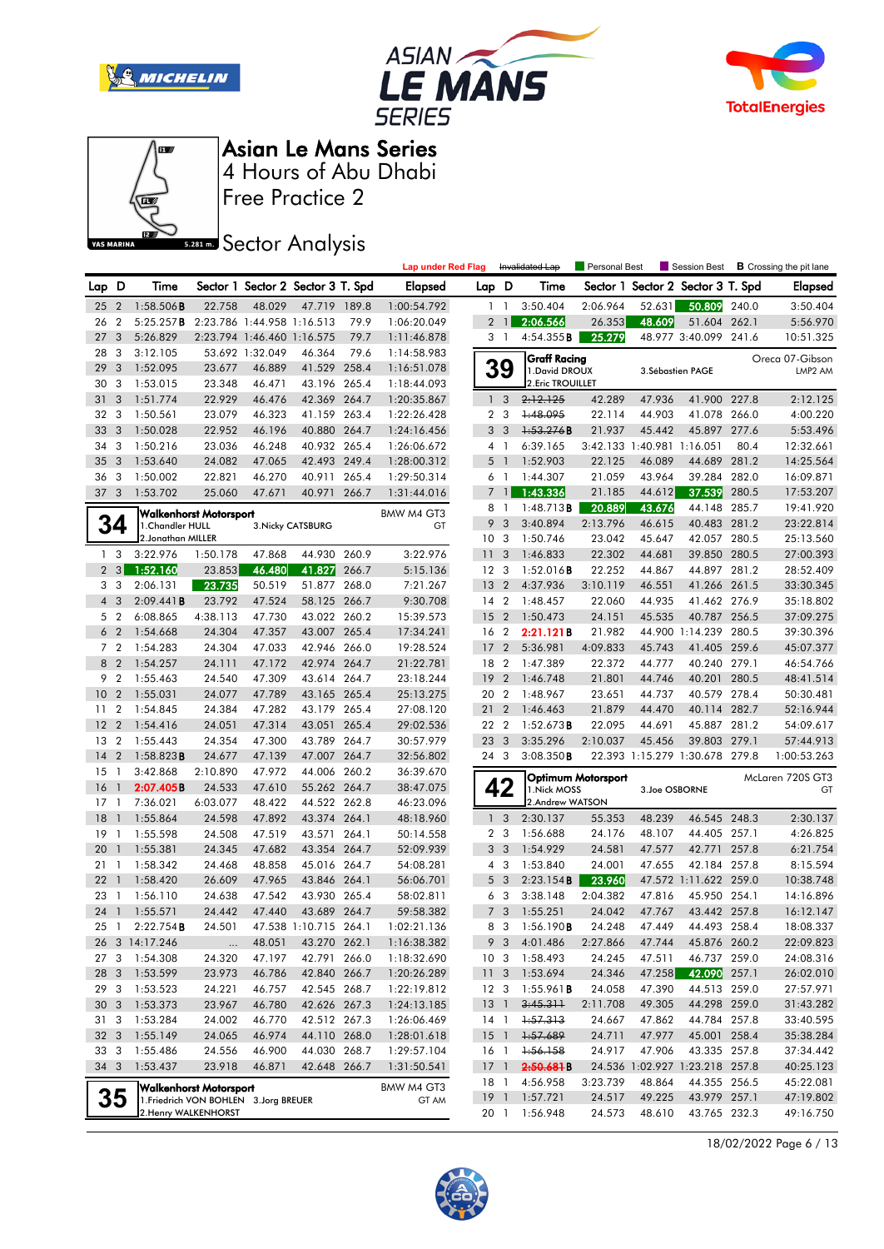







Free Practice 2

### **Sector Analysis**

|                 |                         |                                        |                            |                            |                                   |       | <b>Lap under Red Flag</b> |                 |                         | Invalidated Lap       | Personal Best             |                            | Session Best                      |       | <b>B</b> Crossing the pit lane |
|-----------------|-------------------------|----------------------------------------|----------------------------|----------------------------|-----------------------------------|-------|---------------------------|-----------------|-------------------------|-----------------------|---------------------------|----------------------------|-----------------------------------|-------|--------------------------------|
| Lap D           |                         | Time                                   |                            |                            | Sector 1 Sector 2 Sector 3 T. Spd |       | <b>Elapsed</b>            | Lap D           |                         | Time                  |                           |                            | Sector 1 Sector 2 Sector 3 T. Spd |       | Elapsed                        |
| 25              | $\overline{2}$          | $1:58.506$ <b>B</b>                    | 22.758                     | 48.029                     | 47.719                            | 189.8 | 1:00:54.792               |                 | $1\quad1$               | 3:50.404              | 2:06.964                  | 52.631                     | 50.809                            | 240.0 | 3:50.404                       |
| 26              | $\overline{2}$          | 5:25.257B                              | 2:23.786 1:44.958 1:16.513 |                            |                                   | 79.9  | 1:06:20.049               |                 | $2 \mid$                | 2:06.566              | 26.353                    | 48.609                     | 51.604 262.1                      |       | 5:56.970                       |
| 27              | 3                       | 5:26.829                               |                            | 2:23.794 1:46.460 1:16.575 |                                   | 79.7  | 1:11:46.878               |                 | 3 1                     | 4:54.355B             | 25.279                    |                            | 48.977 3:40.099                   | 241.6 | 10:51.325                      |
| 28              | 3                       | 3:12.105                               |                            | 53.692 1:32.049            | 46.364                            | 79.6  | 1:14:58.983               |                 |                         | <b>Graff Racing</b>   |                           |                            |                                   |       | Oreca 07-Gibson                |
| 29              | 3                       | 1:52.095                               | 23.677                     | 46.889                     | 41.529 258.4                      |       | 1:16:51.078               |                 | 39                      | 1. David DROUX        |                           |                            | 3. Sébastien PAGE                 |       | LMP <sub>2</sub> AM            |
| 30              | 3                       | 1:53.015                               | 23.348                     | 46.471                     | 43.196 265.4                      |       | 1:18:44.093               |                 |                         | 2. Eric TROUILLET     |                           |                            |                                   |       |                                |
| 31              | 3                       | 1:51.774                               | 22.929                     | 46.476                     | 42.369 264.7                      |       | 1:20:35.867               |                 | 1 <sup>3</sup>          | 2:12.125              | 42.289                    | 47.936                     | 41.900 227.8                      |       | 2:12.125                       |
| 32              | - 3                     | 1:50.561                               | 23.079                     | 46.323                     | 41.159 263.4                      |       | 1:22:26.428               |                 | 2 <sub>3</sub>          | 1:48.095              | 22.114                    | 44.903                     | 41.078 266.0                      |       | 4:00.220                       |
| 33              | 3                       | 1:50.028                               | 22.952                     | 46.196                     | 40.880 264.7                      |       | 1:24:16.456               | 3               | $\overline{\mathbf{3}}$ | 1:53.276B             | 21.937                    | 45.442                     | 45.897 277.6                      |       | 5:53.496                       |
| 34              | 3                       | 1:50.216                               | 23.036                     | 46.248                     | 40.932 265.4                      |       | 1:26:06.672               |                 | $4-1$                   | 6:39.165              |                           | 3:42.133 1:40.981 1:16.051 |                                   | 80.4  | 12:32.661                      |
| 35              | 3                       | 1:53.640                               | 24.082                     | 47.065                     | 42.493 249.4                      |       | 1:28:00.312               |                 | $5-1$                   | 1:52.903              | 22.125                    | 46.089                     | 44.689 281.2                      |       | 14:25.564                      |
| 36              | 3                       | 1:50.002                               | 22.821                     | 46.270                     | 40.911 265.4                      |       | 1:29:50.314               |                 | 6 1                     | 1:44.307              | 21.059                    | 43.964                     | 39.284 282.0                      |       | 16:09.871                      |
| 37 <sub>3</sub> |                         | 1:53.702                               | 25.060                     | 47.671                     | 40.971                            | 266.7 | 1:31:44.016               |                 | 7 <sup>1</sup>          | 1:43.336              | 21.185                    | 44.612                     | 37.539                            | 280.5 | 17:53.207                      |
|                 |                         | Walkenhorst Motorsport                 |                            |                            |                                   |       | BMW M4 GT3                | 8               | $\overline{1}$          | $1:48.713$ B          | 20.889                    | 43.676                     | 44.148 285.7                      |       | 19:41.920                      |
|                 | 34                      | 1. Chandler HULL                       |                            |                            | 3. Nicky CATSBURG                 |       | GT                        | 9               | $\overline{3}$          | 3:40.894              | 2:13.796                  | 46.615                     | 40.483 281.2                      |       | 23:22.814                      |
|                 |                         | 2. Jonathan MILLER                     |                            |                            |                                   |       |                           | 10 <sup>3</sup> |                         | 1:50.746              | 23.042                    | 45.647                     | 42.057 280.5                      |       | 25:13.560                      |
|                 | 1 <sub>3</sub>          | 3:22.976                               | 1:50.178                   | 47.868                     | 44.930 260.9                      |       | 3:22.976                  | 11 <sub>3</sub> |                         | 1:46.833              | 22.302                    | 44.681                     | 39.850 280.5                      |       | 27:00.393                      |
|                 | $2 \quad 3$             | 1:52.160                               | 23.853                     | 46.480                     | 41.827                            | 266.7 | 5:15.136                  | 12 <sup>3</sup> |                         | $1:52.016$ B          | 22.252                    | 44.867                     | 44.897 281.2                      |       | 28:52.409                      |
|                 | 3 <sub>3</sub>          | 2:06.131                               | 23.735                     | 50.519                     | 51.877 268.0                      |       | 7:21.267                  | 13              | $\overline{2}$          | 4:37.936              | 3:10.119                  | 46.551                     | 41.266 261.5                      |       | 33:30.345                      |
|                 | $4\quad3$               | 2:09.441B                              | 23.792                     | 47.524                     | 58.125 266.7                      |       | 9:30.708                  | 14 2            |                         | 1:48.457              | 22.060                    | 44.935                     | 41.462 276.9                      |       | 35:18.802                      |
|                 | 5 <sub>2</sub>          | 6:08.865                               | 4:38.113                   | 47.730                     | 43.022 260.2                      |       | 15:39.573                 | 15              | $\overline{2}$          | 1:50.473              | 24.151                    | 45.535                     | 40.787 256.5                      |       | 37:09.275                      |
|                 | 6 <sub>2</sub>          | 1:54.668                               | 24.304                     | 47.357                     | 43.007 265.4                      |       | 17:34.241                 | 16 2            |                         | 2:21.121B             | 21.982                    |                            | 44.900 1:14.239                   | 280.5 | 39:30.396                      |
|                 | 7 <sub>2</sub>          | 1:54.283                               | 24.304                     | 47.033                     | 42.946 266.0                      |       | 19:28.524                 | 17              | $\overline{2}$          | 5:36.981              | 4:09.833                  | 45.743                     | 41.405 259.6                      |       | 45:07.377                      |
|                 | 8 2                     | 1:54.257                               | 24.111                     | 47.172                     | 42.974 264.7                      |       | 21:22.781                 | 18 2            |                         | 1:47.389              | 22.372                    | 44.777                     | 40.240 279.1                      |       | 46:54.766                      |
| 9               | $\overline{2}$          | 1:55.463                               | 24.540                     | 47.309                     | 43.614 264.7                      |       | 23:18.244                 | 19 <sup>2</sup> |                         | 1:46.748              | 21.801                    | 44.746                     | 40.201 280.5                      |       | 48:41.514                      |
| 10              | $\overline{2}$          | 1:55.031                               | 24.077                     | 47.789                     | 43.165 265.4                      |       | 25:13.275                 | 20              | $\overline{2}$          | 1:48.967              | 23.651                    | 44.737                     | 40.579 278.4                      |       | 50:30.481                      |
| 11              | $\overline{2}$          | 1:54.845                               | 24.384                     | 47.282                     | 43.179 265.4                      |       | 27:08.120                 | 21              | $\overline{2}$          | 1:46.463              | 21.879                    | 44.470                     | 40.114 282.7                      |       | 52:16.944                      |
| 12              | $\overline{2}$          | 1:54.416                               | 24.051                     | 47.314                     | 43.051 265.4                      |       | 29:02.536                 | 22 2            |                         | 1:52.673B             | 22.095                    | 44.691                     | 45.887 281.2                      |       | 54:09.617                      |
| 13              | $\overline{2}$          | 1:55.443                               | 24.354                     | 47.300                     | 43.789 264.7                      |       | 30:57.979                 | 23 3            |                         | 3:35.296              | 2:10.037                  | 45.456                     | 39.803 279.1                      |       | 57:44.913                      |
| 14              | $\overline{2}$          | $1:58.823$ <b>B</b>                    | 24.677                     | 47.139                     | 47.007 264.7                      |       | 32:56.802                 | 24 3            |                         | 3:08.350B             |                           |                            | 22.393 1:15.279 1:30.678 279.8    |       | 1:00:53.263                    |
| 15              | $\mathbf{1}$            | 3:42.868                               | 2:10.890                   | 47.972                     | 44.006 260.2                      |       | 36:39.670                 |                 |                         |                       | <b>Optimum Motorsport</b> |                            |                                   |       | McLaren 720S GT3               |
| 16              | $\mathbf{1}$            | 2:07.405B                              | 24.533                     | 47.610                     | 55.262 264.7                      |       | 38:47.075                 |                 | 42                      | 1. Nick MOSS          |                           | 3.Joe OSBORNE              |                                   |       | GT                             |
| 17              | $\mathbf{1}$            | 7:36.021                               | 6:03.077                   | 48.422                     | 44.522 262.8                      |       | 46:23.096                 |                 |                         | 2.Andrew WATSON       |                           |                            |                                   |       |                                |
| 18              | $\mathbf{1}$            | 1:55.864                               | 24.598                     | 47.892                     | 43.374 264.1                      |       | 48:18.960                 |                 | 1 <sup>3</sup>          | 2:30.137              | 55.353                    | 48.239                     | 46.545 248.3                      |       | 2:30.137                       |
| 19              | - 1                     | 1:55.598                               | 24.508                     | 47.519                     | 43.571 264.1                      |       | 50:14.558                 |                 | 2 <sub>3</sub>          | 1:56.688              | 24.176                    | 48.107                     | 44.405 257.1                      |       | 4:26.825                       |
| 20              | $\mathbf{1}$            | 1:55.381                               | 24.345                     | 47.682                     | 43.354 264.7                      |       | 52:09.939                 | 3               | $\overline{\mathbf{3}}$ | 1:54.929              | 24.581                    | 47.577                     | 42.771 257.8                      |       | 6:21.754                       |
| 21              | $\mathbf{1}$            | 1:58.342                               | 24.468                     | 48.858                     | 45.016 264.7                      |       | 54:08.281                 |                 | 4 3                     | 1:53.840              | 24.001                    | 47.655                     | 42.184 257.8                      |       | 8:15.594                       |
| 22              | $\overline{1}$          | 1:58.420                               | 26.609                     | 47.965                     | 43.846 264.1                      |       | 56:06.701                 | 5               | $\overline{\mathbf{3}}$ | 2:23.154B             | 23.960                    |                            | 47.572 1:11.622 259.0             |       | 10:38.748                      |
| 23              | $\overline{1}$          | 1:56.110                               | 24.638                     | 47.542                     | 43.930 265.4                      |       | 58:02.811                 |                 | 6 3                     | 3:38.148              | 2:04.382                  | 47.816                     | 45.950 254.1                      |       | 14:16.896                      |
|                 |                         | 24 1 1:55.571                          | 24.442                     | 47.440                     | 43.689 264.7                      |       | 59:58.382                 |                 | 7 <sub>3</sub>          | 1:55.251              | 24.042                    | 47.767                     | 43.442 257.8                      |       | 16:12.147                      |
|                 |                         | 25 1 2:22.754B                         | 24.501                     |                            | 47.538 1:10.715 264.1             |       | 1:02:21.136               |                 |                         | 8 3 1:56.190 <b>B</b> | 24.248                    | 47.449                     | 44.493 258.4                      |       | 18:08.337                      |
|                 |                         | 26 3 14:17.246                         | $\ldots$                   | 48.051                     | 43.270 262.1                      |       | 1:16:38.382               |                 | 9 3                     | 4:01.486              | 2:27.866                  | 47.744                     | 45.876 260.2                      |       | 22:09.823                      |
| 27 3            |                         | 1:54.308                               | 24.320                     | 47.197                     | 42.791 266.0                      |       | 1:18:32.690               | 10 <sub>3</sub> |                         | 1:58.493              | 24.245                    | 47.511                     | 46.737 259.0                      |       | 24:08.316                      |
| 28              | $\mathbf{3}$            | 1:53.599                               | 23.973                     | 46.786                     | 42.840 266.7                      |       | 1:20:26.289               | 11 <sub>3</sub> |                         | 1:53.694              | 24.346                    | 47.258                     | 42.090 257.1                      |       | 26:02.010                      |
| 29              | $\mathbf{3}$            | 1:53.523                               | 24.221                     | 46.757                     | 42.545 268.7                      |       | 1:22:19.812               | 12 3            |                         | 1:55.961 <b>B</b>     | 24.058                    | 47.390                     | 44.513 259.0                      |       | 27:57.971                      |
| 30              | $\mathbf{3}$            | 1:53.373                               | 23.967                     | 46.780                     | 42.626 267.3                      |       | 1:24:13.185               | 13              | $\overline{1}$          | 3:45.311              | 2:11.708                  | 49.305                     | 44.298 259.0                      |       | 31:43.282                      |
| 31 3            |                         | 1:53.284                               | 24.002                     | 46.770                     | 42.512 267.3                      |       | 1:26:06.469               |                 | 14 1                    | 1:57.313              | 24.667                    | 47.862                     | 44.784 257.8                      |       | 33:40.595                      |
| 32              | $\overline{\mathbf{3}}$ | 1:55.149                               | 24.065                     | 46.974                     | 44.110 268.0                      |       | 1:28:01.618               | $15-1$          |                         | 1:57.689              | 24.711                    | 47.977                     | 45.001 258.4                      |       | 35:38.284                      |
| 33              | $\mathbf{3}$            | 1:55.486                               | 24.556                     | 46.900                     | 44.030 268.7                      |       | 1:29:57.104               | 16 1            |                         | 1:56.158              | 24.917                    | 47.906                     | 43.335 257.8                      |       | 37:34.442                      |
| 34 3            |                         | 1:53.437                               | 23.918                     | 46.871                     | 42.648 266.7                      |       | 1:31:50.541               | $17-1$          |                         | 2.50.681B             |                           |                            | 24.536 1:02.927 1:23.218 257.8    |       | 40:25.123                      |
|                 |                         | Walkenhorst Motorsport                 |                            |                            |                                   |       | BMW M4 GT3                | 18 1            |                         | 4:56.958              | 3:23.739                  | 48.864                     | 44.355 256.5                      |       | 45:22.081                      |
|                 | 35                      | 1. Friedrich VON BOHLEN 3. Jorg BREUER |                            |                            |                                   |       | GT AM                     | $19-1$          |                         | 1:57.721              | 24.517                    | 49.225                     | 43.979 257.1                      |       | 47:19.802                      |
|                 |                         | 2. Henry WALKENHORST                   |                            |                            |                                   |       |                           | 20 1            |                         | 1:56.948              | 24.573                    | 48.610                     | 43.765 232.3                      |       | 49:16.750                      |

18/02/2022 Page 6 / 13

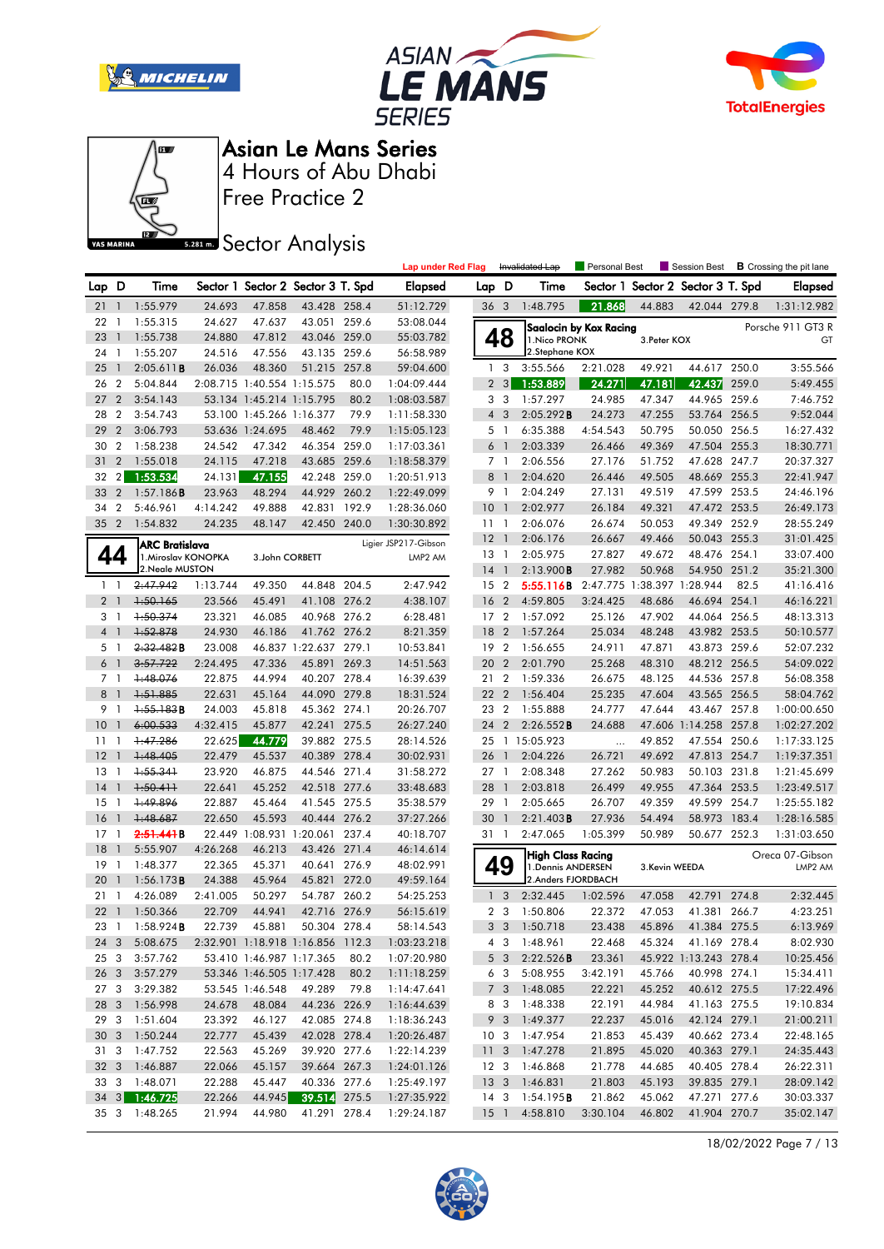







**Sector Analysis** 

|                 |                          |                        |          |                          |                                   |       | <b>Lap under Red Flag</b> |                 |                | Invalidated Lap          | Personal Best              |               | Session Best                      |       | <b>B</b> Crossing the pit lane |
|-----------------|--------------------------|------------------------|----------|--------------------------|-----------------------------------|-------|---------------------------|-----------------|----------------|--------------------------|----------------------------|---------------|-----------------------------------|-------|--------------------------------|
| Lap D           |                          | Time                   |          |                          | Sector 1 Sector 2 Sector 3 T. Spd |       | <b>Elapsed</b>            | Lap D           |                | Time                     |                            |               | Sector 1 Sector 2 Sector 3 T. Spd |       | <b>Elapsed</b>                 |
| $21 \quad 1$    |                          | 1:55.979               | 24.693   | 47.858                   | 43.428 258.4                      |       | 51:12.729                 | 36 <sub>3</sub> |                | 1:48.795                 | 21.868                     | 44.883        | 42.044 279.8                      |       | 1:31:12.982                    |
| 22              | $\mathbf{1}$             | 1:55.315               | 24.627   | 47.637                   | 43.051 259.6                      |       | 53:08.044                 |                 |                |                          | Saalocin by Kox Racing     |               |                                   |       | Porsche 911 GT3 R              |
| 23              | $\overline{1}$           | 1:55.738               | 24.880   | 47.812                   | 43.046 259.0                      |       | 55:03.782                 |                 | 48             | 1. Nico PRONK            |                            | 3. Peter KOX  |                                   |       | GT                             |
| 24 1            |                          | 1:55.207               | 24.516   | 47.556                   | 43.135 259.6                      |       | 56:58.989                 |                 |                | 2.Stephane KOX           |                            |               |                                   |       |                                |
| 25              | $\overline{\phantom{a}}$ | 2:05.611B              | 26.036   | 48.360                   | 51.215 257.8                      |       | 59:04.600                 |                 | 1 <sub>3</sub> | 3:55.566                 | 2:21.028                   | 49.921        | 44.617 250.0                      |       | 3:55.566                       |
| 26              | $\overline{2}$           | 5:04.844               |          |                          | 2:08.715 1:40.554 1:15.575        | 80.0  | 1:04:09.444               |                 | 2 <sub>3</sub> | 1:53.889                 | 24.271                     | 47.181        | 42.437                            | 259.0 | 5:49.455                       |
| 27              | $\overline{2}$           | 3:54.143               |          | 53.134 1:45.214 1:15.795 |                                   | 80.2  | 1:08:03.587               |                 | 3 <sub>3</sub> | 1:57.297                 | 24.985                     | 47.347        | 44.965 259.6                      |       | 7:46.752                       |
| 28              | $\overline{2}$           | 3:54.743               |          | 53.100 1:45.266 1:16.377 |                                   | 79.9  | 1:11:58.330               | $\overline{4}$  | 3              | 2:05.292B                | 24.273                     | 47.255        | 53.764 256.5                      |       | 9:52.044                       |
| 29              | $\overline{2}$           | 3:06.793               |          | 53.636 1:24.695          | 48.462                            | 79.9  | 1:15:05.123               |                 | 5 <sub>1</sub> | 6:35.388                 | 4:54.543                   | 50.795        | 50.050 256.5                      |       | 16:27.432                      |
| 30              | $\overline{2}$           | 1:58.238               | 24.542   | 47.342                   | 46.354 259.0                      |       | 1:17:03.361               |                 | 6 <sup>1</sup> | 2:03.339                 | 26.466                     | 49.369        | 47.504 255.3                      |       | 18:30.771                      |
| 31              | $\overline{2}$           | 1:55.018               | 24.115   | 47.218                   | 43.685 259.6                      |       | 1:18:58.379               |                 | 7 1            | 2:06.556                 | 27.176                     | 51.752        | 47.628                            | 247.7 | 20:37.327                      |
| 32              | $2\vert$                 | 1:53.534               | 24.131   | 47.155                   | 42.248 259.0                      |       | 1:20:51.913               |                 | 8 <sup>1</sup> | 2:04.620                 | 26.446                     | 49.505        | 48.669 255.3                      |       | 22:41.947                      |
| 33              | $\overline{2}$           | 1:57.186B              | 23.963   | 48.294                   | 44.929 260.2                      |       | 1:22:49.099               | 9 1             |                | 2:04.249                 | 27.131                     | 49.519        | 47.599 253.5                      |       | 24:46.196                      |
| 34              | $\overline{2}$           | 5:46.961               | 4:14.242 | 49.888                   | 42.831                            | 192.9 | 1:28:36.060               | 10 <sub>1</sub> |                | 2:02.977                 | 26.184                     | 49.321        | 47.472 253.5                      |       | 26:49.173                      |
| 35 2            |                          | 1:54.832               | 24.235   | 48.147                   | 42.450 240.0                      |       | 1:30:30.892               | 11              | $\overline{1}$ | 2:06.076                 | 26.674                     | 50.053        | 49.349 252.9                      |       | 28:55.249                      |
|                 |                          | ARC Bratislava         |          |                          |                                   |       | Ligier JSP217-Gibson      | $12-1$          |                | 2:06.176                 | 26.667                     | 49.466        | 50.043 255.3                      |       | 31:01.425                      |
| 44              |                          | 1. Miroslav KONOPKA    |          | 3.John CORBETT           |                                   |       | LMP2 AM                   | $13-1$          |                | 2:05.975                 | 27.827                     | 49.672        | 48.476 254.1                      |       | 33:07.400                      |
|                 |                          | 2. Neale MUSTON        |          |                          |                                   |       |                           | $14-1$          |                | 2:13.900B                | 27.982                     | 50.968        | 54.950 251.2                      |       | 35:21.300                      |
| $1\quad$        |                          | 2:47.942               | 1:13.744 | 49.350                   | 44.848 204.5                      |       | 2:47.942                  | 15 2            |                | 5:55.116B                | 2:47.775 1:38.397 1:28.944 |               |                                   | 82.5  | 41:16.416                      |
| $\overline{2}$  | $\overline{1}$           | $+50.165$              | 23.566   | 45.491                   | 41.108 276.2                      |       | 4:38.107                  | 16              | $\overline{2}$ | 4:59.805                 | 3:24.425                   | 48.686        | 46.694 254.1                      |       | 46:16.221                      |
| 3 1             |                          | 1:50.374               | 23.321   | 46.085                   | 40.968 276.2                      |       | 6:28.481                  | 17 <sub>2</sub> |                | 1:57.092                 | 25.126                     | 47.902        | 44.064 256.5                      |       | 48:13.313                      |
| $\overline{4}$  | $\overline{1}$           | 1:52.878               | 24.930   | 46.186                   | 41.762 276.2                      |       | 8:21.359                  | 18              | $\overline{2}$ | 1:57.264                 | 25.034                     | 48.248        | 43.982 253.5                      |       | 50:10.577                      |
| 5 1             |                          | 2,32,482B              | 23.008   |                          | 46.837 1:22.637 279.1             |       | 10:53.841                 | 19 <sup>2</sup> |                | 1:56.655                 | 24.911                     | 47.871        | 43.873 259.6                      |       | 52:07.232                      |
| 6               | $\overline{1}$           | 3:57.722               | 2:24.495 | 47.336                   | 45.891 269.3                      |       | 14:51.563                 | 20              | $\overline{2}$ | 2:01.790                 | 25.268                     | 48.310        | 48.212 256.5                      |       | 54:09.022                      |
| $7^{\circ}$     | $\mathbf{1}$             | +:48.076               | 22.875   | 44.994                   | 40.207 278.4                      |       | 16:39.639                 | 21 2            |                | 1:59.336                 | 26.675                     | 48.125        | 44.536 257.8                      |       | 56:08.358                      |
| 8               | $\mathbf{1}$             | 1:51.885               | 22.631   | 45.164                   | 44.090 279.8                      |       | 18:31.524                 | 22              | $\overline{2}$ | 1:56.404                 | 25.235                     | 47.604        | 43.565                            | 256.5 | 58:04.762                      |
| 9               | $\mathbf{1}$             | $+55.183B$             | 24.003   | 45.818                   | 45.362 274.1                      |       | 20:26.707                 | 23 2            |                | 1:55.888                 | 24.777                     | 47.644        | 43.467 257.8                      |       | 1:00:00.650                    |
| 10              | $\mathbf{1}$             | 6:00.533               | 4:32.415 | 45.877                   | 42.241 275.5                      |       | 26:27.240                 | 24              | $\overline{2}$ | 2:26.552B                | 24.688                     |               | 47.606 1:14.258 257.8             |       | 1:02:27.202                    |
| 11              | $\mathbf{1}$             | +:47.286               | 22.625   | 44.779                   | 39.882 275.5                      |       | 28:14.526                 |                 |                | 25 1 15:05.923           | $\ldots$                   | 49.852        | 47.554 250.6                      |       | 1:17:33.125                    |
| 12              | $\mathbf{1}$             | $+48.405$              | 22.479   | 45.537                   | 40.389 278.4                      |       | 30:02.931                 | 26 1            |                | 2:04.226                 | 26.721                     | 49.692        | 47.813 254.7                      |       | 1:19:37.351                    |
| 13              | -1                       | $+55.34+$              | 23.920   | 46.875                   | 44.546 271.4                      |       | 31:58.272                 | 27 1            |                | 2:08.348                 | 27.262                     | 50.983        | 50.103 231.8                      |       | 1:21:45.699                    |
| 14              | $\mathbf{1}$             | $+50.411$              | 22.641   | 45.252                   | 42.518 277.6                      |       | 33:48.683                 | 28 1            |                | 2:03.818                 | 26.499                     | 49.955        | 47.364 253.5                      |       | 1:23:49.517                    |
| 15              | $\mathbf{1}$             | +:49.896               | 22.887   | 45.464                   | 41.545 275.5                      |       | 35:38.579                 | 29 1            |                | 2:05.665                 | 26.707                     | 49.359        | 49.599                            | 254.7 | 1:25:55.182                    |
| 16              | $\mathbf{1}$             | 1:48.687               | 22.650   | 45.593                   | 40.444 276.2                      |       | 37:27.266                 | 30              | $\overline{1}$ | 2:21.403B                | 27.936                     | 54.494        | 58.973                            | 183.4 | 1:28:16.585                    |
| $17-1$          |                          | 2.51.441B              |          |                          | 22.449 1:08.931 1:20.061 237.4    |       | 40:18.707                 | 31 1            |                | 2:47.065                 | 1:05.399                   | 50.989        | 50.677 252.3                      |       | 1:31:03.650                    |
| 18              | $\mathbf{1}$             | 5:55.907               | 4:26.268 | 46.213                   | 43.426 271.4                      |       | 46:14.614                 |                 |                | <b>High Class Racing</b> |                            |               |                                   |       | Oreca 07-Gibson                |
| 19              | $\overline{1}$           | 1:48.377               | 22.365   | 45.371                   | 40.641 276.9                      |       | 48:02.991                 |                 | 49             | 1. Dennis ANDERSEN       |                            | 3.Kevin WEEDA |                                   |       | LMP2 AM                        |
| 20              | $\overline{1}$           | 1:56.173B              | 24.388   | 45.964                   | 45.821 272.0                      |       | 49:59.164                 |                 |                | 2.Anders FJORDBACH       |                            |               |                                   |       |                                |
| 21              | $\overline{1}$           | 4:26.089               | 2:41.005 | 50.297                   | 54.787 260.2                      |       | 54:25.253                 |                 | 1 <sub>3</sub> | 2:32.445                 | 1:02.596                   | 47.058        | 42.791 274.8                      |       | 2:32.445                       |
|                 | 22 1                     | 1:50.366               | 22.709   | 44.941                   | 42.716 276.9                      |       | 56:15.619                 |                 | 2 <sub>3</sub> | 1:50.806                 | 22.372                     | 47.053        | 41.381 266.7                      |       | 4:23.251                       |
|                 |                          | 23 1 1:58.924 <b>B</b> |          |                          | 22.739 45.881 50.304 278.4        |       | 58:14.543                 |                 |                | 3 3 1:50.718             | 23.438                     |               | 45.896 41.384 275.5               |       | 6:13.969                       |
|                 | 24 3                     | 5:08.675               |          |                          | 2:32.901 1:18.918 1:16.856 112.3  |       | 1:03:23.218               |                 |                | 4 3 1:48.961             | 22.468                     |               | 45.324 41.169 278.4               |       | 8:02.930                       |
| 25 <sub>3</sub> |                          | 3:57.762               |          |                          | 53.410 1:46.987 1:17.365          | 80.2  | 1:07:20.980               |                 | $5\quad3$      | 2:22.526B                | 23.361                     |               | 45.922 1:13.243 278.4             |       | 10:25.456                      |
|                 |                          | 26 3 3:57.279          |          |                          | 53.346 1:46.505 1:17.428          | 80.2  | 1:11:18.259               |                 |                | 6 3 5:08.955             | 3:42.191                   | 45.766        | 40.998 274.1                      |       | 15:34.411                      |
| 27 3            |                          | 3:29.382               |          | 53.545 1:46.548          | 49.289                            | 79.8  | 1:14:47.641               |                 |                | 7 3 1:48.085             | 22.221                     | 45.252        | 40.612 275.5                      |       | 17:22.496                      |
|                 |                          | 28 3 1:56.998          | 24.678   | 48.084                   | 44.236 226.9                      |       | 1:16:44.639               |                 | 8 3            | 1:48.338                 | 22.191                     | 44.984        | 41.163 275.5                      |       | 19:10.834                      |
|                 |                          | 29 3 1:51.604          | 23.392   | 46.127                   | 42.085 274.8                      |       | 1:18:36.243               |                 | 9 3            | 1:49.377                 | 22.237                     | 45.016        | 42.124 279.1                      |       | 21:00.211                      |
|                 |                          | 30 3 1:50.244          | 22.777   | 45.439                   | 42.028 278.4                      |       | 1:20:26.487               |                 |                | 10 3 1:47.954            | 21.853                     | 45.439        | 40.662 273.4                      |       | 22:48.165                      |
| 31 3            |                          | 1:47.752               | 22.563   | 45.269                   | 39.920 277.6                      |       | 1:22:14.239               |                 |                | 11 3 1:47.278            | 21.895                     | 45.020        | 40.363 279.1                      |       | 24:35.443                      |
|                 |                          | 32 3 1:46.887          | 22.066   | 45.157                   | 39.664 267.3                      |       | 1:24:01.126               | 12 <sup>3</sup> |                | 1:46.868                 | 21.778                     | 44.685        | 40.405 278.4                      |       | 26:22.311                      |
|                 |                          | 33 3 1:48.071          | 22.288   | 45.447                   | 40.336 277.6                      |       | 1:25:49.197               |                 |                | 13 3 1:46.831            | 21.803                     | 45.193        | 39.835 279.1                      |       | 28:09.142                      |
|                 |                          | 34 3 1:46.725          | 22.266   | 44.945                   | 39.514 275.5                      |       | 1:27:35.922               |                 |                | 14 3 1:54.195 <b>B</b>   | 21.862                     | 45.062        | 47.271 277.6                      |       | 30:03.337                      |
|                 |                          | 35 3 1:48.265          | 21.994   | 44.980                   | 41.291 278.4                      |       | 1:29:24.187               |                 |                | 15 1 4:58.810            | 3:30.104                   | 46.802        | 41.904 270.7                      |       | 35:02.147                      |

18/02/2022 Page 7 / 13

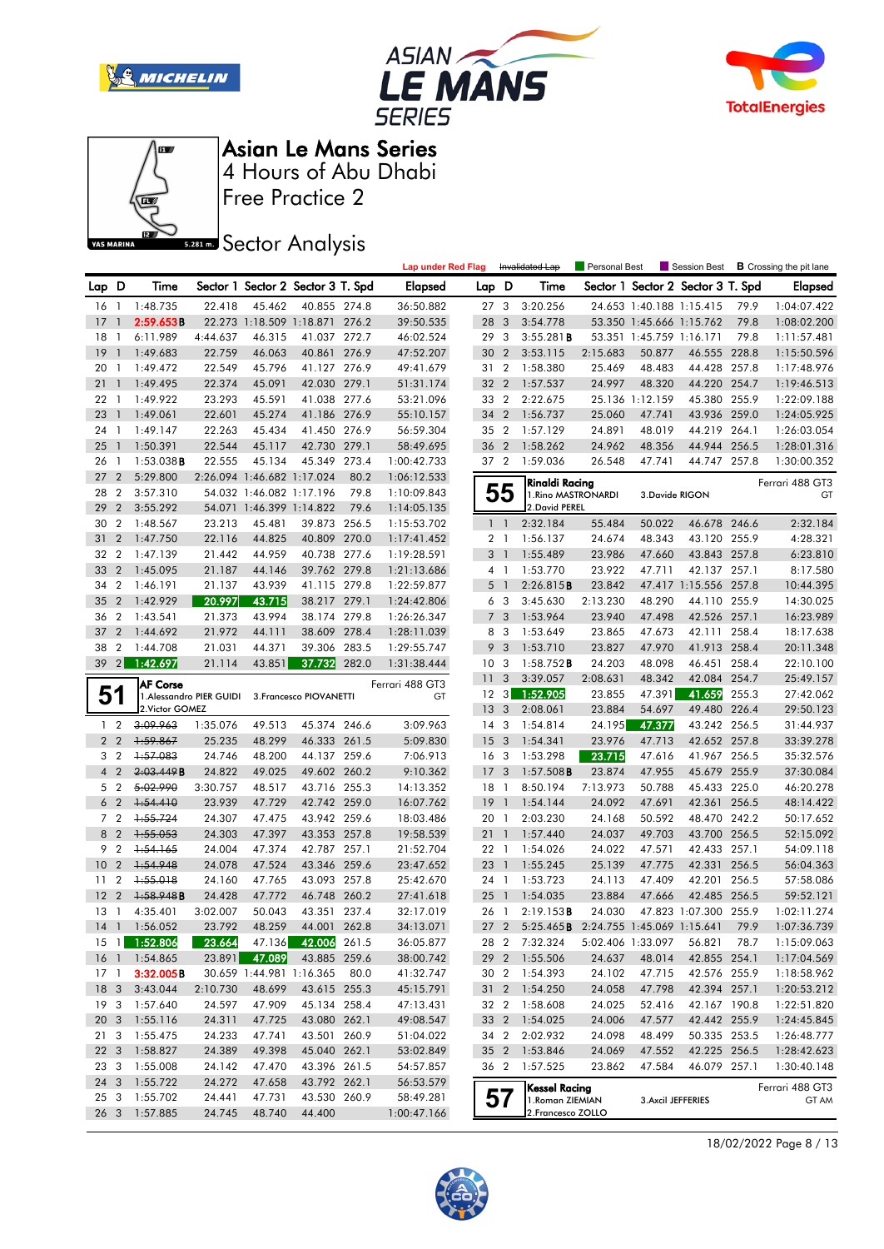







Free Practice 2

**Sector Analysis** 

|                 |                         |                   |                          |                            |                                   |       | <b>Lap under Red Flag</b> |                 |                         | Invalidated Lap                                   | Personal Best |                          |                                   |       | Session Best <b>B</b> Crossing the pit lane |
|-----------------|-------------------------|-------------------|--------------------------|----------------------------|-----------------------------------|-------|---------------------------|-----------------|-------------------------|---------------------------------------------------|---------------|--------------------------|-----------------------------------|-------|---------------------------------------------|
| Lap D           |                         | Time              |                          |                            | Sector 1 Sector 2 Sector 3 T. Spd |       | <b>Elapsed</b>            | Lap D           |                         | Time                                              |               |                          | Sector 1 Sector 2 Sector 3 T. Spd |       | <b>Elapsed</b>                              |
| $16-1$          |                         | 1:48.735          | 22.418                   | 45.462                     | 40.855 274.8                      |       | 36:50.882                 | 27 <sub>3</sub> |                         | 3:20.256                                          |               | 24.653 1:40.188 1:15.415 |                                   | 79.9  | 1:04:07.422                                 |
| 17              | $\overline{1}$          | 2:59.653B         |                          |                            | 22.273 1:18.509 1:18.871 276.2    |       | 39:50.535                 | 28 3            |                         | 3:54.778                                          |               | 53.350 1:45.666 1:15.762 |                                   | 79.8  | 1:08:02.200                                 |
| 18              | $\overline{1}$          | 6:11.989          | 4:44.637                 | 46.315                     | 41.037 272.7                      |       | 46:02.524                 | 29 3            |                         | 3:55.281B                                         |               | 53.351 1:45.759 1:16.171 |                                   | 79.8  | 1:11:57.481                                 |
| 19              | $\overline{1}$          | 1:49.683          | 22.759                   | 46.063                     | 40.861 276.9                      |       | 47:52.207                 | 30              | $\overline{2}$          | 3:53.115                                          | 2:15.683      | 50.877                   | 46.555 228.8                      |       | 1:15:50.596                                 |
| 20              | $\overline{1}$          | 1:49.472          | 22.549                   | 45.796                     | 41.127 276.9                      |       | 49:41.679                 | 31 2            |                         | 1:58.380                                          | 25.469        | 48.483                   | 44.428 257.8                      |       | 1:17:48.976                                 |
| 21              | $\overline{1}$          | 1:49.495          | 22.374                   | 45.091                     | 42.030 279.1                      |       | 51:31.174                 | 32 2            |                         | 1:57.537                                          | 24.997        | 48.320                   | 44.220 254.7                      |       | 1:19:46.513                                 |
| 22              | - 1                     | 1:49.922          | 23.293                   | 45.591                     | 41.038 277.6                      |       | 53:21.096                 | 33 2            |                         | 2:22.675                                          |               | 25.136 1:12.159          | 45.380 255.9                      |       | 1:22:09.188                                 |
| 23              | -1                      | 1:49.061          | 22.601                   | 45.274                     | 41.186 276.9                      |       | 55:10.157                 | 34              | $\overline{2}$          | 1:56.737                                          | 25.060        | 47.741                   | 43.936 259.0                      |       | 1:24:05.925                                 |
| 24              | $\overline{1}$          | 1:49.147          | 22.263                   | 45.434                     | 41.450 276.9                      |       | 56:59.304                 | 35 2            |                         | 1:57.129                                          | 24.891        | 48.019                   | 44.219 264.1                      |       | 1:26:03.054                                 |
| 25              | $\overline{1}$          | 1:50.391          | 22.544                   | 45.117                     | 42.730 279.1                      |       | 58:49.695                 | 36 2            |                         | 1:58.262                                          | 24.962        | 48.356                   | 44.944 256.5                      |       | 1:28:01.316                                 |
| 26              | $\overline{1}$          | 1:53.038B         | 22.555                   | 45.134                     | 45.349                            | 273.4 | 1:00:42.733               | 37 2            |                         | 1:59.036                                          | 26.548        | 47.741                   | 44.747 257.8                      |       | 1:30:00.352                                 |
| 27              | $\overline{2}$          | 5:29.800          |                          | 2:26.094 1:46.682 1:17.024 |                                   | 80.2  | 1:06:12.533               |                 |                         | Rinaldi Racing                                    |               |                          |                                   |       | Ferrari 488 GT3                             |
| 28              | $\overline{2}$          | 3:57.310          |                          | 54.032 1:46.082 1:17.196   |                                   | 79.8  | 1:10:09.843               |                 | 55                      | 1. Rino MASTRONARDI                               |               | 3. Davide RIGON          |                                   |       | GT                                          |
| 29              | $\overline{2}$          | 3:55.292          |                          | 54.071 1:46.399 1:14.822   |                                   | 79.6  | 1:14:05.135               |                 |                         | 2. David PEREL                                    |               |                          |                                   |       |                                             |
| 30              | $\overline{2}$          | 1:48.567          | 23.213                   | 45.481                     | 39.873 256.5                      |       | 1:15:53.702               |                 | $1\quad$                | 2:32.184                                          | 55.484        | 50.022                   | 46.678 246.6                      |       | 2:32.184                                    |
| 31              | $\overline{2}$          | 1:47.750          | 22.116                   | 44.825                     | 40.809 270.0                      |       | 1:17:41.452               |                 | 2 <sub>1</sub>          | 1:56.137                                          | 24.674        | 48.343                   | 43.120 255.9                      |       | 4:28.321                                    |
| 32              | $\overline{2}$          | 1:47.139          | 21.442                   | 44.959                     | 40.738 277.6                      |       | 1:19:28.591               |                 | 3 <sup>1</sup>          | 1:55.489                                          | 23.986        | 47.660                   | 43.843 257.8                      |       | 6:23.810                                    |
| 33              | $\overline{2}$          | 1:45.095          | 21.187                   | 44.146                     | 39.762 279.8                      |       | 1:21:13.686               |                 | $4-1$                   | 1:53.770                                          | 23.922        | 47.711                   | 42.137 257.1                      |       | 8:17.580                                    |
| 34              | $\overline{2}$          | 1:46.191          | 21.137                   | 43.939                     | 41.115 279.8                      |       | 1:22:59.877               |                 | 5 <sub>1</sub>          | 2:26.815B                                         | 23.842        |                          | 47.417 1:15.556 257.8             |       | 10:44.395                                   |
| 35              | $\overline{2}$          | 1:42.929          | 20.997                   | 43.715                     | 38.217 279.1                      |       | 1:24:42.806               |                 | 6 <sub>3</sub>          | 3:45.630                                          | 2:13.230      | 48.290                   | 44.110 255.9                      |       | 14:30.025                                   |
| 36              | $\overline{2}$          | 1:43.541          | 21.373                   | 43.994                     | 38.174 279.8                      |       | 1:26:26.347               |                 | 7 <sub>3</sub>          | 1:53.964                                          | 23.940        | 47.498                   | 42.526 257.1                      |       | 16:23.989                                   |
| 37              | $\overline{2}$          | 1:44.692          | 21.972                   | 44.111                     | 38.609                            | 278.4 | 1:28:11.039               | 8               | $\overline{\mathbf{3}}$ | 1:53.649                                          | 23.865        | 47.673                   | 42.111                            | 258.4 | 18:17.638                                   |
| 38              | $\overline{2}$          | 1:44.708          | 21.031                   | 44.371                     | 39.306 283.5                      |       | 1:29:55.747               | 9               | $\overline{3}$          | 1:53.710                                          | 23.827        | 47.970                   | 41.913 258.4                      |       | 20:11.348                                   |
| 39              | $\vert$ 2               | 1:42.697          | 21.114                   | 43.851                     | 37.732 282.0                      |       | 1:31:38.444               | 10 <sup>3</sup> |                         | 1:58.752B                                         | 24.203        | 48.098                   | 46.451 258.4                      |       | 22:10.100                                   |
|                 |                         | <b>AF Corse</b>   |                          |                            |                                   |       | Ferrari 488 GT3           | 11              | 3                       | 3:39.057                                          | 2:08.631      | 48.342                   | 42.084 254.7                      |       | 25:49.157                                   |
| 51              |                         |                   | 1. Alessandro PIER GUIDI |                            | 3. Francesco PIOVANETTI           |       | GT                        | 12 <sup>3</sup> |                         | 1:52.905                                          | 23.855        | 47.391                   | 41.659                            | 255.3 | 27:42.062                                   |
|                 |                         | 2. Victor GOMEZ   |                          |                            |                                   |       |                           | 13 <sup>3</sup> |                         | 2:08.061                                          | 23.884        | 54.697                   | 49.480 226.4                      |       | 29:50.123                                   |
| 1 <sub>2</sub>  |                         | 3:09.963          | 1:35.076                 | 49.513                     | 45.374 246.6                      |       | 3:09.963                  | 14 <sup>3</sup> |                         | 1:54.814                                          | 24.195        | 47.377                   | 43.242 256.5                      |       | 31:44.937                                   |
|                 | 2 <sub>2</sub>          | 1:59.867          | 25.235                   | 48.299                     | 46.333 261.5                      |       | 5:09.830                  | 15 <sub>3</sub> |                         | 1:54.341                                          | 23.976        | 47.713                   | 42.652 257.8                      |       | 33:39.278                                   |
| 3 <sub>2</sub>  |                         | 1:57.083          | 24.746                   | 48.200                     | 44.137 259.6                      |       | 7:06.913                  | 16 <sub>3</sub> |                         | 1:53.298                                          | 23.715        | 47.616                   | 41.967 256.5                      |       | 35:32.576                                   |
| $\overline{4}$  | $\overline{2}$          | 2:03.449B         | 24.822                   | 49.025                     | 49.602 260.2                      |       | 9:10.362                  | 17 <sub>3</sub> |                         | $1:57.508$ <b>B</b>                               | 23.874        | 47.955                   | 45.679 255.9                      |       | 37:30.084                                   |
| 5 <sub>2</sub>  |                         | 5:02.990          | 3:30.757                 | 48.517                     | 43.716 255.3                      |       | 14:13.352                 | $18-1$          |                         | 8:50.194                                          | 7:13.973      | 50.788                   | 45.433 225.0                      |       | 46:20.278                                   |
|                 | 6 <sub>2</sub>          | 1:54.410          | 23.939                   | 47.729                     | 42.742 259.0                      |       | 16:07.762                 | $19-1$          |                         | 1:54.144                                          | 24.092        | 47.691                   | 42.361                            | 256.5 | 48:14.422                                   |
| 7 <sub>2</sub>  |                         | $+55.724$         | 24.307                   | 47.475                     | 43.942 259.6                      |       | 18:03.486                 | 20 1            |                         | 2:03.230                                          | 24.168        | 50.592                   | 48.470 242.2                      |       | 50:17.652                                   |
| 8 2             |                         | 1:55.053          | 24.303                   | 47.397                     | 43.353 257.8                      |       | 19:58.539                 | 211             |                         | 1:57.440                                          | 24.037        | 49.703                   | 43.700 256.5                      |       | 52:15.092                                   |
| 9               | $\overline{2}$          | 1:54.165          | 24.004                   | 47.374                     | 42.787 257.1                      |       | 21:52.704                 | 22 1            |                         | 1:54.026                                          | 24.022        | 47.571                   | 42.433 257.1                      |       | 54:09.118                                   |
| 10              | $\overline{2}$          | 1:54.948          | 24.078                   | 47.524                     | 43.346 259.6                      |       | 23:47.652                 | 23 1            |                         | 1:55.245                                          | 25.139        | 47.775                   | 42.331                            | 256.5 | 56:04.363                                   |
| 11              | $\overline{2}$          | 1:55.018          | 24.160                   | 47.765                     | 43.093 257.8                      |       | 25:42.670                 | 24 1            |                         | 1:53.723                                          | 24.113        | 47.409                   | 42.201                            | 256.5 | 57:58.086                                   |
| 12              | $\overline{2}$          | 1.58.948B         | 24.428                   | 47.772                     | 46.748 260.2                      |       | 27:41.618                 | 25              | $\overline{1}$          | 1:54.035                                          | 23.884        | 47.666                   | 42.485 256.5                      |       | 59:52.121                                   |
| $13 \quad 1$    |                         | 4:35.401          | 3:02.007                 | 50.043                     | 43.351 237.4                      |       | 32:17.019                 | 26 1            |                         | 2:19.153B                                         | 24.030        |                          | 47.823 1:07.300 255.9             |       | 1:02:11.274                                 |
|                 |                         | 14 1 1:56.052     | 23.792                   | 48.259                     | 44.001 262.8                      |       | 34:13.071                 |                 |                         | 27 2 5:25.465 <b>B</b> 2:24.755 1:45.069 1:15.641 |               |                          |                                   | 79.9  | 1:07:36.739                                 |
| $15 \quad 1$    |                         | 1:52.806          | 23.664                   | 47.136                     | 42.006                            | 261.5 | 36:05.877                 |                 |                         | 28 2 7:32.324                                     |               | 5:02.406 1:33.097        | 56.821                            | 78.7  | 1:15:09.063                                 |
|                 |                         | 16 1 1:54.865     | 23.891                   | 47.089                     | 43.885 259.6                      |       | 38:00.742                 |                 | 29 2                    | 1:55.506                                          | 24.637        | 48.014                   | 42.855 254.1                      |       | 1:17:04.569                                 |
| $17-1$          |                         | 3:32.005B         |                          | 30.659 1:44.981 1:16.365   |                                   | 80.0  | 41:32.747                 | 30 2            |                         | 1:54.393                                          | 24.102        | 47.715                   | 42.576 255.9                      |       | 1:18:58.962                                 |
| 18              |                         | $3\quad 3:43.044$ | 2:10.730                 | 48.699                     | 43.615 255.3                      |       | 45:15.791                 |                 |                         | 31 2 1:54.250                                     | 24.058        | 47.798                   | 42.394 257.1                      |       | 1:20:53.212                                 |
| 19 <sup>3</sup> |                         | 1:57.640          | 24.597                   | 47.909                     | 45.134 258.4                      |       | 47:13.431                 | 32 2            |                         | 1:58.608                                          | 24.025        | 52.416                   | 42.167 190.8                      |       | 1:22:51.820                                 |
| 20 <sub>3</sub> |                         | 1:55.116          | 24.311                   | 47.725                     | 43.080 262.1                      |       | 49:08.547                 |                 |                         | 33 2 1:54.025                                     | 24.006        | 47.577                   | 42.442 255.9                      |       | 1:24:45.845                                 |
| 21 3            |                         | 1:55.475          | 24.233                   | 47.741                     | 43.501 260.9                      |       | 51:04.022                 | 34 2            |                         | 2:02.932                                          | 24.098        | 48.499                   | 50.335 253.5                      |       | 1:26:48.777                                 |
| 22              | $\mathbf{3}$            | 1:58.827          | 24.389                   | 49.398                     | 45.040 262.1                      |       | 53:02.849                 | 35 2            |                         | 1:53.846                                          | 24.069        | 47.552                   | 42.225 256.5                      |       | 1:28:42.623                                 |
| 23              | $\overline{\mathbf{3}}$ | 1:55.008          | 24.142                   | 47.470                     | 43.396 261.5                      |       | 54:57.857                 | 36 2            |                         | 1:57.525                                          | 23.862        | 47.584                   | 46.079 257.1                      |       | 1:30:40.148                                 |
| 24 3            |                         | 1:55.722          | 24.272                   | 47.658                     | 43.792 262.1                      |       | 56:53.579                 |                 |                         | <b>Kessel Racing</b>                              |               |                          |                                   |       | Ferrari 488 GT3                             |
| 25 3            |                         | 1:55.702          | 24.441                   | 47.731                     | 43.530 260.9                      |       | 58:49.281                 |                 | 57                      | 1. Roman ZIEMIAN                                  |               | 3. Axcil JEFFERIES       |                                   |       | GT AM                                       |
| 26 3            |                         | 1:57.885          | 24.745                   | 48.740                     | 44.400                            |       | 1:00:47.166               |                 |                         | 2. Francesco ZOLLO                                |               |                          |                                   |       |                                             |

18/02/2022 Page 8 / 13

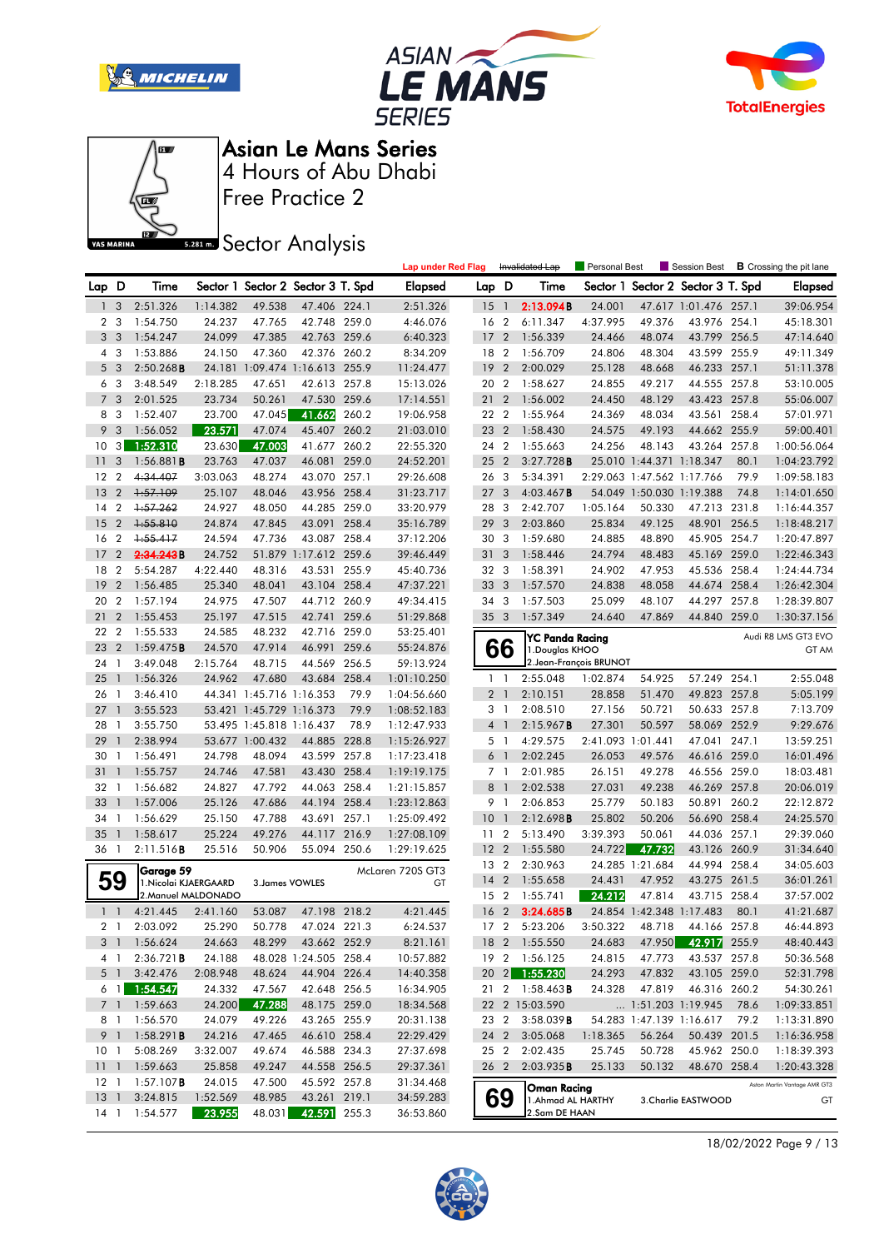







Free Practice 2

**Sector Analysis** 

|                 |                |                        |                     |                                   |                       |       | <b>Lap under Red Flag</b> |                 |                         | Invalidated Lap        | Personal Best           |                            | Session Best                      |       | <b>B</b> Crossing the pit lane |
|-----------------|----------------|------------------------|---------------------|-----------------------------------|-----------------------|-------|---------------------------|-----------------|-------------------------|------------------------|-------------------------|----------------------------|-----------------------------------|-------|--------------------------------|
| Lap D           |                | Time                   |                     | Sector 1 Sector 2 Sector 3 T. Spd |                       |       | Elapsed                   | Lap D           |                         | Time                   |                         |                            | Sector 1 Sector 2 Sector 3 T. Spd |       | Elapsed                        |
| 1 <sub>3</sub>  |                | 2:51.326               | 1:14.382            | 49.538                            | 47.406 224.1          |       | 2:51.326                  | 15 <sub>1</sub> |                         | 2:13.094B              | 24.001                  |                            | 47.617 1:01.476 257.1             |       | 39:06.954                      |
| 2               | 3              | 1:54.750               | 24.237              | 47.765                            | 42.748 259.0          |       | 4:46.076                  | 16              | $\overline{2}$          | 6:11.347               | 4:37.995                | 49.376                     | 43.976 254.1                      |       | 45:18.301                      |
|                 | 3 <sub>3</sub> | 1:54.247               | 24.099              | 47.385                            | 42.763 259.6          |       | 6:40.323                  | 17              | $\overline{2}$          | 1:56.339               | 24.466                  | 48.074                     | 43.799 256.5                      |       | 47:14.640                      |
|                 | 4 3            | 1:53.886               | 24.150              | 47.360                            | 42.376 260.2          |       | 8:34.209                  | 18 2            |                         | 1:56.709               | 24.806                  | 48.304                     | 43.599 255.9                      |       | 49:11.349                      |
|                 | 5 <sub>3</sub> | 2:50.268B              |                     | 24.181 1:09.474 1:16.613 255.9    |                       |       | 11:24.477                 | 19              | $\overline{2}$          | 2:00.029               | 25.128                  | 48.668                     | 46.233 257.1                      |       | 51:11.378                      |
|                 | 6 3            | 3:48.549               | 2:18.285            | 47.651                            | 42.613 257.8          |       | 15:13.026                 | 20 2            |                         | 1:58.627               | 24.855                  | 49.217                     | 44.555 257.8                      |       | 53:10.005                      |
|                 | 7 <sub>3</sub> | 2:01.525               | 23.734              | 50.261                            | 47.530 259.6          |       | 17:14.551                 | 21              | $\overline{2}$          | 1:56.002               | 24.450                  | 48.129                     | 43.423 257.8                      |       | 55:06.007                      |
|                 | 8 3            | 1:52.407               | 23.700              | 47.045                            | 41.662                | 260.2 | 19:06.958                 | 22 2            |                         | 1:55.964               | 24.369                  | 48.034                     | 43.561 258.4                      |       | 57:01.971                      |
| 9               | 3              | 1:56.052               | 23.571              | 47.074                            | 45.407 260.2          |       | 21:03.010                 | 23 2            |                         | 1:58.430               | 24.575                  | 49.193                     | 44.662 255.9                      |       | 59:00.401                      |
| 10              | 3              | 1:52.310               | 23.630              | 47.003                            | 41.677 260.2          |       | 22:55.320                 | 24 2            |                         | 1:55.663               | 24.256                  | 48.143                     | 43.264 257.8                      |       | 1:00:56.064                    |
| 11              | 3              | $1:56.881$ <b>B</b>    | 23.763              | 47.037                            | 46.081                | 259.0 | 24:52.201                 | 25              | $\overline{2}$          | 3:27.728B              |                         | 25.010 1:44.371 1:18.347   |                                   | 80.1  | 1:04:23.792                    |
| 12              | $\overline{2}$ | 4:34.407               | 3:03.063            | 48.274                            | 43.070 257.1          |       | 29:26.608                 | 26              | 3                       | 5:34.391               |                         | 2:29.063 1:47.562 1:17.766 |                                   | 79.9  | 1:09:58.183                    |
| 13              | $\overline{2}$ | 1:57.109               | 25.107              | 48.046                            | 43.956 258.4          |       | 31:23.717                 | 27              | 3                       | $4:03.467$ B           |                         | 54.049 1:50.030 1:19.388   |                                   | 74.8  | 1:14:01.650                    |
| 14              | $\overline{2}$ | 1:57.262               | 24.927              | 48.050                            | 44.285 259.0          |       | 33:20.979                 | 28              | $\mathbf{3}$            | 2:42.707               | 1:05.164                | 50.330                     | 47.213 231.8                      |       | 1:16:44.357                    |
| 15              | $\overline{2}$ | 1:55.810               | 24.874              | 47.845                            | 43.091                | 258.4 | 35:16.789                 | 29              | 3                       | 2:03.860               | 25.834                  | 49.125                     | 48.901                            | 256.5 | 1:18:48.217                    |
| 16              | $\overline{2}$ | $+55.417$              | 24.594              | 47.736                            | 43.087 258.4          |       | 37:12.206                 | 30 3            |                         | 1:59.680               | 24.885                  | 48.890                     | 45.905 254.7                      |       | 1:20:47.897                    |
| 17              | $\overline{2}$ | 2:34.243B              | 24.752              |                                   | 51.879 1:17.612 259.6 |       | 39:46.449                 | 31 <sub>3</sub> |                         | 1:58.446               | 24.794                  | 48.483                     | 45.169 259.0                      |       | 1:22:46.343                    |
| 18              | $\overline{2}$ | 5:54.287               | 4:22.440            | 48.316                            | 43.531 255.9          |       | 45:40.736                 | 32 3            |                         | 1:58.391               | 24.902                  | 47.953                     | 45.536 258.4                      |       | 1:24:44.734                    |
| 19              | $\overline{2}$ | 1:56.485               | 25.340              | 48.041                            | 43.104 258.4          |       | 47:37.221                 | 33              | $\overline{\mathbf{3}}$ | 1:57.570               | 24.838                  | 48.058                     | 44.674                            | 258.4 | 1:26:42.304                    |
| 20              | $\overline{2}$ | 1:57.194               | 24.975              | 47.507                            | 44.712 260.9          |       | 49:34.415                 | 34              | 3                       | 1:57.503               | 25.099                  | 48.107                     | 44.297 257.8                      |       | 1:28:39.807                    |
| 21              | $\overline{2}$ | 1:55.453               | 25.197              | 47.515                            | 42.741                | 259.6 | 51:29.868                 | 35 3            |                         | 1:57.349               | 24.640                  | 47.869                     | 44.840 259.0                      |       | 1:30:37.156                    |
| 22              | $\overline{2}$ | 1:55.533               | 24.585              | 48.232                            | 42.716 259.0          |       | 53:25.401                 |                 |                         | YC Panda Racing        |                         |                            |                                   |       | Audi R8 LMS GT3 EVO            |
| 23              | $\overline{2}$ | 1:59.475B              | 24.570              | 47.914                            | 46.991                | 259.6 | 55:24.876                 |                 | 66                      | 1. Douglas KHOO        |                         |                            |                                   |       | GT AM                          |
| 24              | $\mathbf{1}$   | 3:49.048               | 2:15.764            | 48.715                            | 44.569 256.5          |       | 59:13.924                 |                 |                         |                        | 2. Jean-François BRUNOT |                            |                                   |       |                                |
| 25              | $\overline{1}$ | 1:56.326               | 24.962              | 47.680                            | 43.684 258.4          |       | 1:01:10.250               |                 | $1\quad$                | 2:55.048               | 1:02.874                | 54.925                     | 57.249 254.1                      |       | 2:55.048                       |
| 26              | $\mathbf{1}$   | 3:46.410               |                     | 44.341 1:45.716 1:16.353          |                       | 79.9  | 1:04:56.660               |                 | 2 <sub>1</sub>          | 2:10.151               | 28.858                  | 51.470                     | 49.823 257.8                      |       | 5:05.199                       |
| 27              | $\mathbf{1}$   | 3:55.523               |                     | 53.421 1:45.729 1:16.373          |                       | 79.9  | 1:08:52.183               |                 | 3 1                     | 2:08.510               | 27.156                  | 50.721                     | 50.633 257.8                      |       | 7:13.709                       |
| 28              | -1             | 3:55.750               |                     | 53.495 1:45.818 1:16.437          |                       | 78.9  | 1:12:47.933               |                 | $4-1$                   | 2:15.967B              | 27.301                  | 50.597                     | 58.069 252.9                      |       | 9:29.676                       |
| 29              | $\overline{1}$ | 2:38.994               |                     | 53.677 1:00.432                   | 44.885 228.8          |       | 1:15:26.927               |                 | 5 <sub>1</sub>          | 4:29.575               | 2:41.093 1:01.441       |                            | 47.041 247.1                      |       | 13:59.251                      |
| 30              | $\mathbf{1}$   | 1:56.491               | 24.798              | 48.094                            | 43.599 257.8          |       | 1:17:23.418               | 6               | $\overline{1}$          | 2:02.245               | 26.053                  | 49.576                     | 46.616 259.0                      |       | 16:01.496                      |
| 31              | $\mathbf{1}$   | 1:55.757               | 24.746              | 47.581                            | 43.430 258.4          |       | 1:19:19.175               |                 | 7 <sub>1</sub>          | 2:01.985               | 26.151                  | 49.278                     | 46.556 259.0                      |       | 18:03.481                      |
| 32 1            |                | 1:56.682               | 24.827              | 47.792                            | 44.063 258.4          |       | 1:21:15.857               | 8               | $\overline{1}$          | 2:02.538               | 27.031                  | 49.238                     | 46.269 257.8                      |       | 20:06.019                      |
| 33              | $\mathbf{1}$   | 1:57.006               | 25.126              | 47.686                            | 44.194 258.4          |       | 1:23:12.863               | 9               | $\overline{1}$          | 2:06.853               | 25.779                  | 50.183                     | 50.891 260.2                      |       | 22:12.872                      |
| 34              | $\mathbf{1}$   | 1:56.629               | 25.150              | 47.788                            | 43.691                | 257.1 | 1:25:09.492               | 10              | $\overline{1}$          | 2:12.698B              | 25.802                  | 50.206                     | 56.690 258.4                      |       | 24:25.570                      |
| 35              |                | 1:58.617               | 25.224              | 49.276                            | 44.117                | 216.9 | 1:27:08.109               | 11 <sub>2</sub> |                         | 5:13.490               | 3:39.393                | 50.061                     | 44.036 257.1                      |       | 29:39.060                      |
| 36 1            |                | 2:11.516B              | 25.516              | 50.906                            | 55.094 250.6          |       | 1:29:19.625               | 12 <sub>2</sub> |                         | 1:55.580               | 24.722                  | 47.732                     | 43.126 260.9                      |       | 31:34.640                      |
|                 |                | Garage 59              |                     |                                   |                       |       | McLaren 720S GT3          | 13 2            |                         | 2:30.963               |                         | 24.285 1:21.684            | 44.994 258.4                      |       | 34:05.603                      |
|                 | 59             | 1. Nicolai KJAERGAARD  |                     | 3. James VOWLES                   |                       |       | GT                        | 14              | $\overline{2}$          | 1:55.658               | 24.431                  | 47.952                     | 43.275 261.5                      |       | 36:01.261                      |
|                 |                |                        | 2. Manuel MALDONADO |                                   |                       |       |                           | 15 2            |                         | 1:55.741               | 24.212                  | 47.814                     | 43.715 258.4                      |       | 37:57.002                      |
|                 | $1\quad$       | 4:21.445               | 2:41.160            | 53.087                            | 47.198 218.2          |       | 4:21.445                  | 16 <sub>2</sub> |                         | 3:24.685B              |                         | 24.854 1:42.348 1:17.483   |                                   | 80.1  | 41:21.687                      |
|                 | 2 <sub>1</sub> | 2:03.092 25.290        |                     | 50.778                            | 47.024 221.3          |       | 6:24.537                  |                 |                         | 17 2 5:23.206          | 3:50.322                | 48.718                     | 44.166 257.8                      |       | 46:44.893                      |
|                 |                | 3 1 1:56.624           | 24.663              | 48.299                            | 43.662 252.9          |       | 8:21.161                  |                 |                         | 18 2 1:55.550          | 24.683                  | 47.950                     | 42.917 255.9                      |       | 48:40.443                      |
|                 | 4 1            | 2:36.721B              | 24.188              |                                   | 48.028 1:24.505 258.4 |       | 10:57.882                 |                 |                         | 19 2 1:56.125          | 24.815                  | 47.773                     | 43.537 257.8                      |       | 50:36.568                      |
|                 | 5 1            | 3:42.476               | 2:08.948            | 48.624                            | 44.904 226.4          |       | 14:40.358                 |                 |                         | 20 2 1:55.230          | 24.293                  | 47.832                     | 43.105 259.0                      |       | 52:31.798                      |
|                 | $6 \quad 1$    | 1:54.547               | 24.332              | 47.567                            | 42.648 256.5          |       | 16:34.905                 |                 |                         | 21 2 1:58.463 <b>B</b> | 24.328                  | 47.819                     | 46.316 260.2                      |       | 54:30.261                      |
|                 |                | 7 1 1:59.663           | 24.200              | 47.288                            | 48.175 259.0          |       | 18:34.568                 |                 |                         | 22 2 15:03.590         |                         |                            | 1:51.203 1:19.945                 | 78.6  | 1:09:33.851                    |
|                 |                | 8 1 1:56.570           | 24.079              | 49.226                            | 43.265 255.9          |       | 20:31.138                 |                 |                         | 23 2 3:58.039 <b>B</b> |                         |                            | 54.283 1:47.139 1:16.617          | 79.2  | 1:13:31.890                    |
|                 |                | 9 1 1:58.291 <b>B</b>  | 24.216              | 47.465                            | 46.610 258.4          |       | 22:29.429                 | 24 2            |                         | 3:05.068               | 1:18.365                | 56.264                     | 50.439 201.5                      |       | 1:16:36.958                    |
| 10 <sub>1</sub> |                | 5:08.269               | 3:32.007            | 49.674                            | 46.588 234.3          |       | 27:37.698                 |                 | 25 2                    | 2:02.435               | 25.745                  | 50.728                     | 45.962 250.0                      |       | 1:18:39.393                    |
|                 |                | 11 1 1:59.663          | 25.858              | 49.247                            | 44.558 256.5          |       | 29:37.361                 |                 | 26 2                    | 2:03.935B              | 25.133                  | 50.132                     | 48.670 258.4                      |       | 1:20:43.328                    |
|                 |                | 12 1 1:57.107 <b>B</b> | 24.015              | 47.500                            | 45.592 257.8          |       | 31:34.468                 |                 |                         | Oman Racing            |                         |                            |                                   |       | Aston Martin Vantage AMR GT3   |
| $13-1$          |                | 3:24.815               | 1:52.569            | 48.985                            | 43.261 219.1          |       | 34:59.283                 |                 | 69                      | 1.Ahmad AL HARTHY      |                         |                            | 3. Charlie EASTWOOD               |       | GT                             |
|                 |                | 14 1 1:54.577          | 23.955              | 48.031                            | 42.591 255.3          |       | 36:53.860                 |                 |                         | 2.Sam DE HAAN          |                         |                            |                                   |       |                                |

18/02/2022 Page 9 / 13

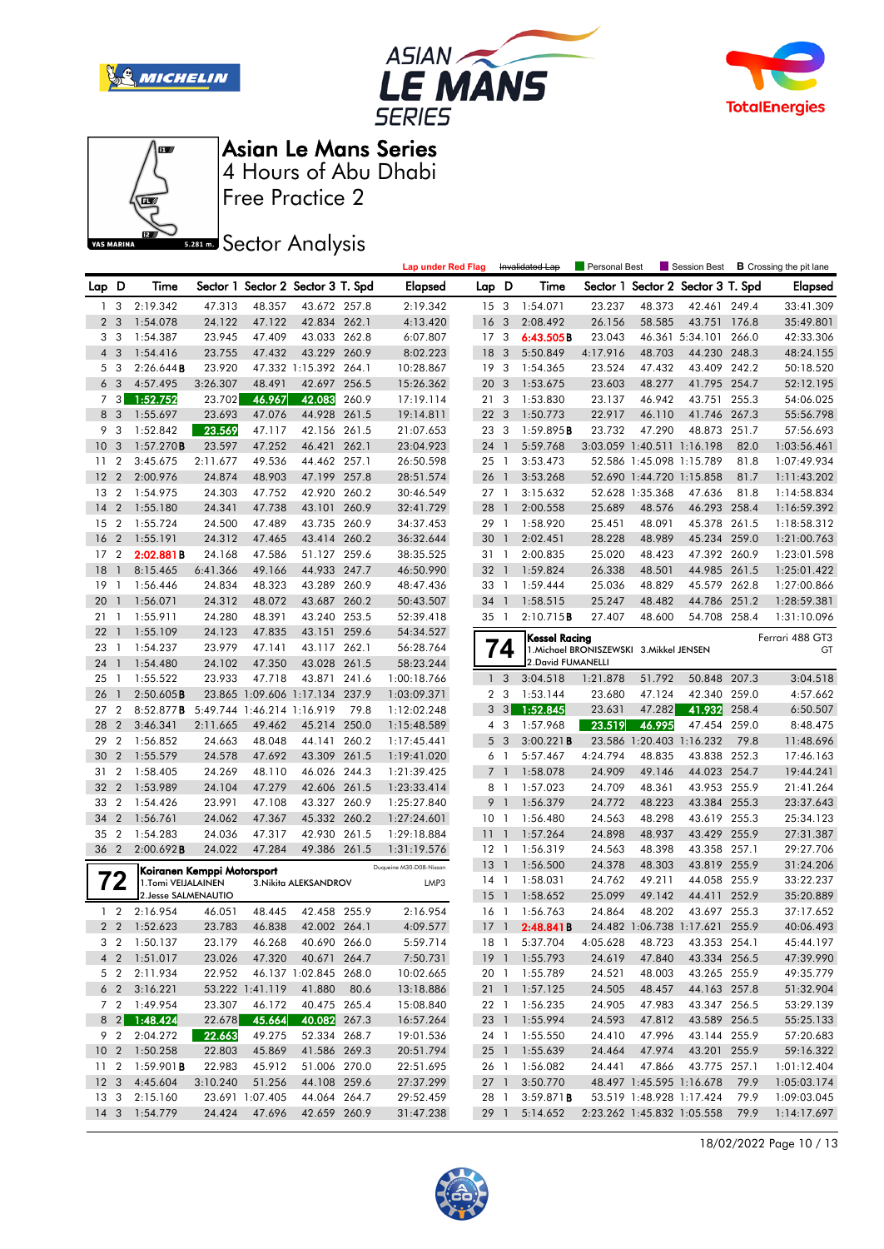







Free Practice 2

**Sector Analysis** 

|       |                |                        |                            |                            |                                   |       | <b>Lap under Red Flag</b> |                 |                         | Invalidated Lap    | Personal Best                            |                            | Session Best                      |       | <b>B</b> Crossing the pit lane |
|-------|----------------|------------------------|----------------------------|----------------------------|-----------------------------------|-------|---------------------------|-----------------|-------------------------|--------------------|------------------------------------------|----------------------------|-----------------------------------|-------|--------------------------------|
| Lap D |                | Time                   |                            |                            | Sector 1 Sector 2 Sector 3 T. Spd |       | <b>Elapsed</b>            | Lap D           |                         | Time               |                                          |                            | Sector 1 Sector 2 Sector 3 T. Spd |       | <b>Elapsed</b>                 |
|       | 1 <sub>3</sub> | 2:19.342               | 47.313                     | 48.357                     | 43.672 257.8                      |       | 2:19.342                  | 15 <sup>3</sup> |                         | 1:54.071           | 23.237                                   | 48.373                     | 42.461 249.4                      |       | 33:41.309                      |
|       | 2 <sub>3</sub> | 1:54.078               | 24.122                     | 47.122                     | 42.834 262.1                      |       | 4:13.420                  | 16 <sub>3</sub> |                         | 2:08.492           | 26.156                                   | 58.585                     | 43.751 176.8                      |       | 35:49.801                      |
| 3     | - 3            | 1:54.387               | 23.945                     | 47.409                     | 43.033 262.8                      |       | 6:07.807                  | 17 <sub>3</sub> |                         | 6:43.505B          | 23.043                                   |                            | 46.361 5:34.101                   | 266.0 | 42:33.306                      |
|       | 4 <sup>3</sup> | 1:54.416               | 23.755                     | 47.432                     | 43.229 260.9                      |       | 8:02.223                  | 18              | 3                       | 5:50.849           | 4:17.916                                 | 48.703                     | 44.230 248.3                      |       | 48:24.155                      |
|       | 5 3            | 2:26.644B              | 23.920                     |                            | 47.332 1:15.392 264.1             |       | 10:28.867                 | 19 <sup>3</sup> |                         | 1:54.365           | 23.524                                   | 47.432                     | 43.409 242.2                      |       | 50:18.520                      |
|       | 6 <sub>3</sub> | 4:57.495               | 3:26.307                   | 48.491                     | 42.697                            | 256.5 | 15:26.362                 | 20              | 3                       | 1:53.675           | 23.603                                   | 48.277                     | 41.795 254.7                      |       | 52:12.195                      |
|       | 7 3            | 1:52.752               | 23.702                     | 46.967                     | 42.083                            | 260.9 | 17:19.114                 | 213             |                         | 1:53.830           | 23.137                                   | 46.942                     | 43.751                            | 255.3 | 54:06.025                      |
|       | 8 3            | 1:55.697               | 23.693                     | 47.076                     | 44.928 261.5                      |       | 19:14.811                 | 22              | 3                       | 1:50.773           | 22.917                                   | 46.110                     | 41.746 267.3                      |       | 55:56.798                      |
| 9     | -3             | 1:52.842               | 23.569                     | 47.117                     | 42.156 261.5                      |       | 21:07.653                 | 23 3            |                         | 1:59.895B          | 23.732                                   | 47.290                     | 48.873 251.7                      |       | 57:56.693                      |
| 10    | 3              | 1:57.270B              | 23.597                     | 47.252                     | 46.421                            | 262.1 | 23:04.923                 | 24 1            |                         | 5:59.768           |                                          | 3:03.059 1:40.511 1:16.198 |                                   | 82.0  | 1:03:56.461                    |
| 11    | $\overline{2}$ | 3:45.675               | 2:11.677                   | 49.536                     | 44.462 257.1                      |       | 26:50.598                 | 25 1            |                         | 3:53.473           |                                          | 52.586 1:45.098 1:15.789   |                                   | 81.8  | 1:07:49.934                    |
| 12    | $\overline{2}$ | 2:00.976               | 24.874                     | 48.903                     | 47.199 257.8                      |       | 28:51.574                 | 26              | $\mathbf{1}$            | 3:53.268           |                                          | 52.690 1:44.720 1:15.858   |                                   | 81.7  | 1:11:43.202                    |
| 13    | $\overline{2}$ | 1:54.975               | 24.303                     | 47.752                     | 42.920 260.2                      |       | 30:46.549                 | 27 1            |                         | 3:15.632           |                                          | 52.628 1:35.368            | 47.636                            | 81.8  | 1:14:58.834                    |
| 14    | $\overline{2}$ | 1:55.180               | 24.341                     | 47.738                     | 43.101                            | 260.9 | 32:41.729                 | 28 1            |                         | 2:00.558           | 25.689                                   | 48.576                     | 46.293 258.4                      |       | 1:16:59.392                    |
| 15    | $\overline{2}$ | 1:55.724               | 24.500                     | 47.489                     | 43.735 260.9                      |       | 34:37.453                 | 29 1            |                         | 1:58.920           | 25.451                                   | 48.091                     | 45.378 261.5                      |       | 1:18:58.312                    |
| 16    | $\overline{2}$ | 1:55.191               | 24.312                     | 47.465                     | 43.414 260.2                      |       | 36:32.644                 | 30              | $\mathbf{1}$            | 2:02.451           | 28.228                                   | 48.989                     | 45.234 259.0                      |       | 1:21:00.763                    |
| 17    | $\overline{2}$ | 2:02.881B              | 24.168                     | 47.586                     | 51.127 259.6                      |       | 38:35.525                 | 31 1            |                         | 2:00.835           | 25.020                                   | 48.423                     | 47.392 260.9                      |       | 1:23:01.598                    |
| 18    | $\mathbf{1}$   | 8:15.465               | 6:41.366                   | 49.166                     | 44.933 247.7                      |       | 46:50.990                 | 32 1            |                         | 1:59.824           | 26.338                                   | 48.501                     | 44.985 261.5                      |       | 1:25:01.422                    |
| 19    | -1             | 1:56.446               | 24.834                     | 48.323                     | 43.289                            | 260.9 | 48:47.436                 | 33 1            |                         | 1:59.444           | 25.036                                   | 48.829                     | 45.579                            | 262.8 | 1:27:00.866                    |
| 20    | $\overline{1}$ | 1:56.071               | 24.312                     | 48.072                     | 43.687 260.2                      |       | 50:43.507                 | 34              | $\mathbf{1}$            | 1:58.515           | 25.247                                   | 48.482                     | 44.786                            | 251.2 | 1:28:59.381                    |
| 21    | -1             | 1:55.911               | 24.280                     | 48.391                     | 43.240 253.5                      |       | 52:39.418                 | 35 1            |                         | 2:10.715B          | 27.407                                   | 48.600                     | 54.708 258.4                      |       | 1:31:10.096                    |
| 22    | $\overline{1}$ | 1:55.109               | 24.123                     | 47.835                     | 43.151 259.6                      |       | 54:34.527                 |                 |                         | Kessel Racing      |                                          |                            |                                   |       | Ferrari 488 GT3                |
| 23    | -1             | 1:54.237               | 23.979                     | 47.141                     | 43.117 262.1                      |       | 56:28.764                 |                 | 74                      |                    | 1. Michael BRONISZEWSKI 3. Mikkel JENSEN |                            |                                   |       | GT                             |
| 24    | $\overline{1}$ | 1:54.480               | 24.102                     | 47.350                     | 43.028 261.5                      |       | 58:23.244                 |                 |                         | 2. David FUMANELLI |                                          |                            |                                   |       |                                |
| 25    | -1             | 1:55.522               | 23.933                     | 47.718                     | 43.871                            | 241.6 | 1:00:18.766               | $\mathbf{1}$    | $\overline{3}$          | 3:04.518           | 1:21.878                                 | 51.792                     | 50.848 207.3                      |       | 3:04.518                       |
| 26    | $\overline{1}$ | 2:50.605B              |                            |                            | 23.865 1:09.606 1:17.134 237.9    |       | 1:03:09.371               |                 | 2 <sub>3</sub>          | 1:53.144           | 23.680                                   | 47.124                     | 42.340 259.0                      |       | 4:57.662                       |
| 27    | $\overline{2}$ | 8:52.877B              |                            | 5:49.744 1:46.214 1:16.919 |                                   | 79.8  | 1:12:02.248               | 3               | $\overline{\mathbf{3}}$ | 1:52.845           | 23.631                                   | 47.282                     | 41.932                            | 258.4 | 6:50.507                       |
| 28    | $\overline{2}$ | 3:46.341               | 2:11.665                   | 49.462                     | 45.214 250.0                      |       | 1:15:48.589               |                 | 4 3                     | 1:57.968           | 23.519                                   | 46.995                     | 47.454 259.0                      |       | 8:48.475                       |
| 29    | $\overline{2}$ | 1:56.852               | 24.663                     | 48.048                     | 44.141 260.2                      |       | 1:17:45.441               | 5               | $\overline{\mathbf{3}}$ | 3:00.221B          |                                          | 23.586 1:20.403 1:16.232   |                                   | 79.8  | 11:48.696                      |
| 30    | $\overline{2}$ | 1:55.579               | 24.578                     | 47.692                     | 43.309                            | 261.5 | 1:19:41.020               | 6 1             |                         | 5:57.467           | 4:24.794                                 | 48.835                     | 43.838 252.3                      |       | 17:46.163                      |
| 31    | $\overline{2}$ | 1:58.405               | 24.269                     | 48.110                     | 46.026 244.3                      |       | 1:21:39.425               | 7 <sup>1</sup>  |                         | 1:58.078           | 24.909                                   | 49.146                     | 44.023 254.7                      |       | 19:44.241                      |
| 32    | $\overline{2}$ | 1:53.989               | 24.104                     | 47.279                     | 42.606 261.5                      |       | 1:23:33.414               | 8 1             |                         | 1:57.023           | 24.709                                   | 48.361                     | 43.953 255.9                      |       | 21:41.264                      |
| 33    | $\overline{2}$ | 1:54.426               | 23.991                     | 47.108                     | 43.327 260.9                      |       | 1:25:27.840               | 9 <sub>1</sub>  |                         | 1:56.379           | 24.772                                   | 48.223                     | 43.384 255.3                      |       | 23:37.643                      |
| 34    | $\overline{2}$ | 1:56.761               | 24.062                     | 47.367                     | 45.332 260.2                      |       | 1:27:24.601               | 10 <sub>1</sub> |                         | 1:56.480           | 24.563                                   | 48.298                     | 43.619 255.3                      |       | 25:34.123                      |
| 35    | $\overline{2}$ | 1:54.283               | 24.036                     | 47.317                     | 42.930 261.5                      |       | 1:29:18.884               | 11              | $\mathbf{1}$            | 1:57.264           | 24.898                                   | 48.937                     | 43.429 255.9                      |       | 27:31.387                      |
| 36 2  |                | 2:00.692B              | 24.022                     | 47.284                     | 49.386 261.5                      |       | 1:31:19.576               | $12-1$          |                         | 1:56.319           | 24.563                                   | 48.398                     | 43.358 257.1                      |       | 29:27.706                      |
|       |                |                        | Koiranen Kemppi Motorsport |                            |                                   |       | Duqueine M30-D08-Nissan   | 13              | $\overline{1}$          | 1:56.500           | 24.378                                   | 48.303                     | 43.819 255.9                      |       | 31:24.206                      |
|       | 72             | 1.Tomi VEIJALAINEN     |                            |                            | 3. Nikita ALEKSANDROV             |       | LMP3                      | $14-1$          |                         | 1:58.031           | 24.762                                   | 49.211                     | 44.058 255.9                      |       | 33:22.237                      |
|       |                | 2. Jesse SALMENAUTIO   |                            |                            |                                   |       |                           | 15              | $\overline{1}$          | 1:58.652           | 25.099                                   | 49.142                     | 44.411                            | 252.9 | 35:20.889                      |
|       | $1\quad 2$     | 2:16.954               | 46.051                     | 48.445                     | 42.458 255.9                      |       | 2:16.954                  | 16 1            |                         | 1:56.763           | 24.864                                   | 48.202                     | 43.697 255.3                      |       | 37:17.652                      |
|       |                | 2 2 1:52.623           | 23.783 46.838              |                            | 42.002 264.1                      |       | 4:09.577                  |                 |                         | 17 1 2:48.841B     |                                          |                            | 24.482 1:06.738 1:17.621 255.9    |       | 40:06.493                      |
|       |                | 3 2 1:50.137           | 23.179                     | 46.268                     | 40.690 266.0                      |       | 5:59.714                  |                 |                         | 18 1 5:37.704      | 4:05.628                                 | 48.723                     | 43.353 254.1                      |       | 45:44.197                      |
|       |                | 4 2 1:51.017           | 23.026                     | 47.320                     | 40.671 264.7                      |       | 7:50.731                  |                 |                         | 19 1 1:55.793      | 24.619                                   | 47.840                     | 43.334 256.5                      |       | 47:39.990                      |
|       |                | 5 2 2:11.934           | 22.952                     |                            | 46.137 1:02.845 268.0             |       | 10:02.665                 |                 |                         | 20 1 1:55.789      | 24.521                                   | 48.003                     | 43.265 255.9                      |       | 49:35.779                      |
|       |                | 623:16.221             |                            | 53.222 1:41.119            | 41.880                            | 80.6  | 13:18.886                 |                 |                         | 21 1 1:57.125      | 24.505                                   | 48.457                     | 44.163 257.8                      |       | 51:32.904                      |
|       |                | 7 2 1:49.954           | 23.307                     | 46.172                     | 40.475 265.4                      |       | 15:08.840                 |                 |                         | 22 1 1:56.235      | 24.905                                   | 47.983                     | 43.347 256.5                      |       | 53:29.139                      |
|       |                | 8 2 1:48.424           | 22.678                     | 45.664                     | 40.082 267.3                      |       | 16:57.264                 |                 |                         | 23 1 1:55.994      | 24.593                                   | 47.812                     | 43.589 256.5                      |       | 55:25.133                      |
|       |                | 9 2 2:04.272           | 22.663                     | 49.275                     | 52.334 268.7                      |       | 19:01.536                 |                 |                         | 24 1 1:55.550      | 24.410                                   | 47.996                     | 43.144 255.9                      |       | 57:20.683                      |
|       |                | 10 2 1:50.258          | 22.803                     | 45.869                     | 41.586 269.3                      |       | 20:51.794                 |                 |                         | 25 1 1:55.639      | 24.464                                   | 47.974                     | 43.201 255.9                      |       | 59:16.322                      |
|       |                | 11 2 1:59.901 <b>B</b> | 22.983                     | 45.912                     | 51.006 270.0                      |       | 22:51.695                 |                 |                         | 26 1 1:56.082      | 24.441                                   | 47.866                     | 43.775 257.1                      |       | 1:01:12.404                    |
|       |                | 12 3 4:45.604          | 3:10.240                   | 51.256                     | 44.108 259.6                      |       | 27:37.299                 | 27 1            |                         | 3:50.770           |                                          | 48.497 1:45.595 1:16.678   |                                   | 79.9  | 1:05:03.174                    |
|       |                | 13 3 2:15.160          |                            | 23.691 1:07.405            | 44.064 264.7                      |       | 29:52.459                 | 28 1            |                         | 3:59.871B          |                                          |                            | 53.519 1:48.928 1:17.424          | 79.9  | 1:09:03.045                    |
|       |                | 14 3 1:54.779          | 24.424                     | 47.696                     | 42.659 260.9                      |       | 31:47.238                 |                 |                         | 29 1 5:14.652      |                                          |                            | 2:23.262 1:45.832 1:05.558        | 79.9  | 1:14:17.697                    |

18/02/2022 Page 10 / 13

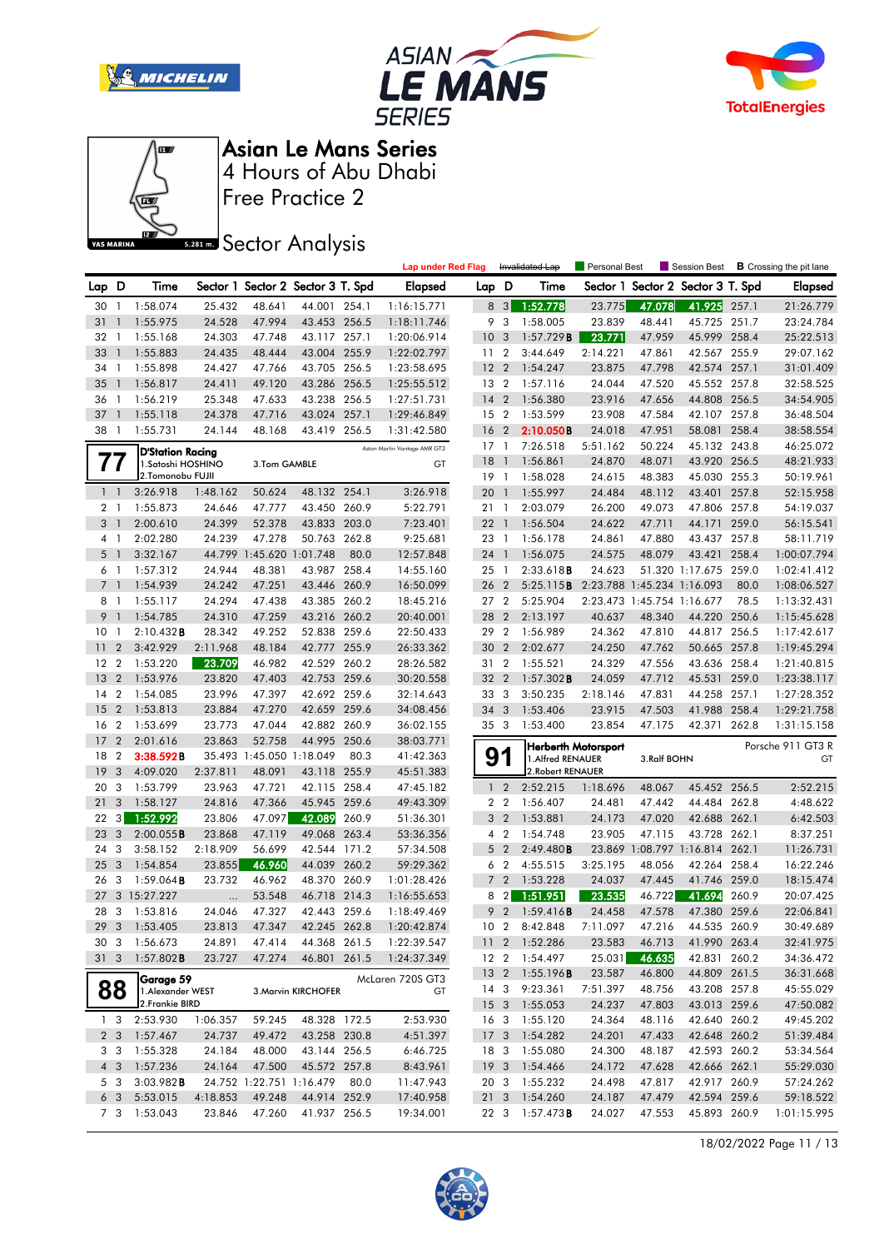







**S281ms** Sector Analysis

|                |                |                         |          |                          |                                   |       | <b>Lap under Red Flag</b>    |                 |                 | Invalidated Lap        | Personal Best              |             | Session Best                      |       | <b>B</b> Crossing the pit lane |
|----------------|----------------|-------------------------|----------|--------------------------|-----------------------------------|-------|------------------------------|-----------------|-----------------|------------------------|----------------------------|-------------|-----------------------------------|-------|--------------------------------|
| Lap D          |                | Time                    |          |                          | Sector 1 Sector 2 Sector 3 T. Spd |       | <b>Elapsed</b>               | Lap D           |                 | Time                   |                            |             | Sector 1 Sector 2 Sector 3 T. Spd |       | <b>Elapsed</b>                 |
| 30             | -1             | 1:58.074                | 25.432   | 48.641                   | 44.001 254.1                      |       | 1:16:15.771                  | 8               | 3               | 1:52.778               | 23.775                     | 47.078      | 41.925                            | 257.1 | 21:26.779                      |
| 31             | $\mathbf{1}$   | 1:55.975                | 24.528   | 47.994                   | 43.453 256.5                      |       | 1:18:11.746                  | 9               | 3               | 1:58.005               | 23.839                     | 48.441      | 45.725 251.7                      |       | 23:24.784                      |
| 32             | - 1            | 1:55.168                | 24.303   | 47.748                   | 43.117 257.1                      |       | 1:20:06.914                  | 10              | -3              | 1:57.729B              | 23.771                     | 47.959      | 45.999 258.4                      |       | 25:22.513                      |
| 33             | $\mathbf{1}$   | 1:55.883                | 24.435   | 48.444                   | 43.004 255.9                      |       | 1:22:02.797                  | 11              | $\overline{2}$  | 3:44.649               | 2:14.221                   | 47.861      | 42.567 255.9                      |       | 29:07.162                      |
| 34             | $\overline{1}$ | 1:55.898                | 24.427   | 47.766                   | 43.705                            | 256.5 | 1:23:58.695                  | 12              | $\overline{2}$  | 1:54.247               | 23.875                     | 47.798      | 42.574 257.1                      |       | 31:01.409                      |
| 35             | $\mathbf{1}$   | 1:56.817                | 24.411   | 49.120                   | 43.286 256.5                      |       | 1:25:55.512                  | 13 2            |                 | 1:57.116               | 24.044                     | 47.520      | 45.552 257.8                      |       | 32:58.525                      |
| 36             | $\overline{1}$ | 1:56.219                | 25.348   | 47.633                   | 43.238 256.5                      |       | 1:27:51.731                  | 14              | $\overline{2}$  | 1:56.380               | 23.916                     | 47.656      | 44.808 256.5                      |       | 34:54.905                      |
| 37             | $\mathbf{1}$   | 1:55.118                | 24.378   | 47.716                   | 43.024 257.1                      |       | 1:29:46.849                  | 15 <sub>2</sub> |                 | 1:53.599               | 23.908                     | 47.584      | 42.107 257.8                      |       | 36:48.504                      |
| 38             | $\overline{1}$ | 1:55.731                | 24.144   | 48.168                   | 43.419 256.5                      |       | 1:31:42.580                  | 16              | $\overline{2}$  | 2:10.050B              | 24.018                     | 47.951      | 58.081                            | 258.4 | 38:58.554                      |
|                |                | <b>D'Station Racing</b> |          |                          |                                   |       | Aston Martin Vantage AMR GT3 | 17              | $\overline{1}$  | 7:26.518               | 5:51.162                   | 50.224      | 45.132 243.8                      |       | 46:25.072                      |
|                | $\prime\prime$ | 1. Satoshi HOSHINO      |          | 3.Tom GAMBLE             |                                   |       | GT                           | 18              | $\overline{1}$  | 1:56.861               | 24.870                     | 48.071      | 43.920 256.5                      |       | 48:21.933                      |
|                |                | 2.Tomonobu FUJII        |          |                          |                                   |       |                              | 19              | $\overline{1}$  | 1:58.028               | 24.615                     | 48.383      | 45.030 255.3                      |       | 50:19.961                      |
| $1 \quad 1$    |                | 3:26.918                | 1:48.162 | 50.624                   | 48.132 254.1                      |       | 3:26.918                     | 20              | $\overline{1}$  | 1:55.997               | 24.484                     | 48.112      | 43.401                            | 257.8 | 52:15.958                      |
| 21             |                | 1:55.873                | 24.646   | 47.777                   | 43.450 260.9                      |       | 5:22.791                     | 21              | $\overline{1}$  | 2:03.079               | 26.200                     | 49.073      | 47.806 257.8                      |       | 54:19.037                      |
| 3 <sup>1</sup> |                | 2:00.610                | 24.399   | 52.378                   | 43.833                            | 203.0 | 7:23.401                     | 22 1            |                 | 1:56.504               | 24.622                     | 47.711      | 44.171 259.0                      |       | 56:15.541                      |
|                | 41             | 2:02.280                | 24.239   | 47.278                   | 50.763 262.8                      |       | 9:25.681                     | 23 1            |                 | 1:56.178               | 24.861                     | 47.880      | 43.437 257.8                      |       | 58:11.719                      |
| 5              | $\overline{1}$ | 3:32.167                |          | 44.799 1:45.620 1:01.748 |                                   | 80.0  | 12:57.848                    | 24 1            |                 | 1:56.075               | 24.575                     | 48.079      | 43.421                            | 258.4 | 1:00:07.794                    |
| 6              | $\overline{1}$ | 1:57.312                | 24.944   | 48.381                   | 43.987 258.4                      |       | 14:55.160                    | 25              | $\overline{1}$  | 2:33.618B              | 24.623                     |             | 51.320 1:17.675 259.0             |       | 1:02:41.412                    |
| $\overline{7}$ | $\overline{1}$ | 1:54.939                | 24.242   | 47.251                   | 43.446 260.9                      |       | 16:50.099                    | 26              | $\overline{2}$  | 5:25.115B              |                            |             | 2:23.788 1:45.234 1:16.093        | 80.0  | 1:08:06.527                    |
| 81             |                | 1:55.117                | 24.294   | 47.438                   | 43.385 260.2                      |       | 18:45.216                    | 27 2            |                 | 5:25.904               |                            |             | 2:23.473 1:45.754 1:16.677        | 78.5  | 1:13:32.431                    |
| 9              | $\overline{1}$ | 1:54.785                | 24.310   | 47.259                   | 43.216 260.2                      |       | 20:40.001                    | 28              | $\overline{2}$  | 2:13.197               | 40.637                     | 48.340      | 44.220 250.6                      |       | 1:15:45.628                    |
| 10             | $\mathbf{1}$   | 2:10.432B               | 28.342   | 49.252                   | 52.838 259.6                      |       | 22:50.433                    | 29 2            |                 | 1:56.989               | 24.362                     | 47.810      | 44.817 256.5                      |       | 1:17:42.617                    |
| 11             | $\overline{2}$ | 3:42.929                | 2:11.968 | 48.184                   | 42.777 255.9                      |       | 26:33.362                    | 30              | $\overline{2}$  | 2:02.677               | 24.250                     | 47.762      | 50.665 257.8                      |       | 1:19:45.294                    |
| $12 \,$        | $\overline{2}$ | 1:53.220                | 23.709   | 46.982                   | 42.529 260.2                      |       | 28:26.582                    | 31              | $\overline{2}$  | 1:55.521               | 24.329                     | 47.556      | 43.636 258.4                      |       | 1:21:40.815                    |
| 13             | $\overline{2}$ | 1:53.976                | 23.820   | 47.403                   | 42.753 259.6                      |       | 30:20.558                    | 32              | $\overline{2}$  | $1:57.302$ <b>B</b>    | 24.059                     | 47.712      | 45.531                            | 259.0 | 1:23:38.117                    |
| 14             | $\overline{2}$ | 1:54.085                | 23.996   | 47.397                   | 42.692 259.6                      |       | 32:14.643                    | 33 3            |                 | 3:50.235               | 2:18.146                   | 47.831      | 44.258 257.1                      |       | 1:27:28.352                    |
| 15             | $\overline{2}$ | 1:53.813                | 23.884   | 47.270                   | 42.659 259.6                      |       | 34:08.456                    | 34 3            |                 | 1:53.406               | 23.915                     | 47.503      | 41.988 258.4                      |       | 1:29:21.758                    |
| 16             | $\overline{2}$ | 1:53.699                | 23.773   | 47.044                   | 42.882 260.9                      |       | 36:02.155                    | 35 3            |                 | 1:53.400               | 23.854                     | 47.175      | 42.371                            | 262.8 | 1:31:15.158                    |
| 17             | $\overline{2}$ | 2:01.616                | 23.863   | 52.758                   | 44.995                            | 250.6 | 38:03.771                    |                 |                 |                        | <b>Herberth Motorsport</b> |             |                                   |       | Porsche 911 GT3 R              |
| 18             | $\overline{2}$ | 3:38.592B               |          | 35.493 1:45.050 1:18.049 |                                   | 80.3  | 41:42.363                    | 9               |                 | 1. Alfred RENAUER      |                            | 3.Ralf BOHN |                                   |       | GT                             |
| 19             | 3              | 4:09.020                | 2:37.811 | 48.091                   | 43.118 255.9                      |       | 45:51.383                    |                 |                 | 2. Robert RENAUER      |                            |             |                                   |       |                                |
| 20             | 3              | 1:53.799                | 23.963   | 47.721                   | 42.115 258.4                      |       | 47:45.182                    | $\mathbf{1}$    | $\overline{2}$  | 2:52.215               | 1:18.696                   | 48.067      | 45.452 256.5                      |       | 2:52.215                       |
| 21             | 3              | 1:58.127                | 24.816   | 47.366                   | 45.945 259.6                      |       | 49:43.309                    |                 | 2 <sub>2</sub>  | 1:56.407               | 24.481                     | 47.442      | 44.484                            | 262.8 | 4:48.622                       |
| 22             | 3              | 1:52.992                | 23.806   | 47.097                   | 42.089                            | 260.9 | 51:36.301                    | 3               | $\overline{2}$  | 1:53.881               | 24.173                     | 47.020      | 42.688 262.1                      |       | 6:42.503                       |
| 23             | 3              | 2:00.055B               | 23.868   | 47.119                   | 49.068                            | 263.4 | 53:36.356                    |                 | 4 <sup>2</sup>  | 1:54.748               | 23.905                     | 47.115      | 43.728 262.1                      |       | 8:37.251                       |
| 24             | 3              | 3:58.152                | 2:18.909 | 56.699                   | 42.544 171.2                      |       | 57:34.508                    | 5               | $\overline{2}$  | 2:49.480B              |                            |             | 23.869 1:08.797 1:16.814 262.1    |       | 11:26.731                      |
| 25             | 3              | 1:54.854                | 23.855   | 46.960                   | 44.039 260.2                      |       | 59:29.362                    | 6               | $\overline{2}$  | 4:55.515               | 3:25.195                   | 48.056      | 42.264 258.4                      |       | 16:22.246                      |
| 26             | -3             | $1:59.064$ <b>B</b>     | 23.732   | 46.962                   | 48.370 260.9                      |       | 1:01:28.426                  |                 | 7 <sub>2</sub>  | 1:53.228               | 24.037                     | 47.445      | 41.746 259.0                      |       | 18:15.474                      |
| 27             |                | 3 15:27.227             |          | 53.548                   | 46.718 214.3                      |       | 1:16:55.653                  | 8               | $\overline{2}$  | 1:51.951               | 23.535                     | 46.722      | 41.694                            | 260.9 | 20:07.425                      |
| 28             | 3              | 1:53.816                | 24.046   | 47.327                   | 42.443 259.6                      |       | 1:18:49.469                  | 9               | $\overline{2}$  | 1:59.416B              | 24.458                     | 47.578      | 47.380 259.6                      |       | 22:06.841                      |
| 29             |                | 3 1:53.405              | 23.813   | 47.347                   | 42.245 262.8                      |       | 1:20:42.874                  |                 | 10 <sub>2</sub> | 8:42.848               | 7:11.097                   | 47.216      | 44.535 260.9                      |       | 30:49.689                      |
|                |                | 30 3 1:56.673           | 24.891   | 47.414                   | 44.368 261.5                      |       | 1:22:39.547                  |                 |                 | 11 2 1:52.286          | 23.583                     | 46.713      | 41.990 263.4                      |       | 32:41.975                      |
|                |                | 31 3 1:57.802 <b>B</b>  | 23.727   | 47.274                   | 46.801 261.5                      |       | 1:24:37.349                  |                 |                 | 12 2 1:54.497          | 25.031                     | 46.635      | 42.831 260.2                      |       | 34:36.472                      |
|                |                | Garage 59               |          |                          |                                   |       | McLaren 720S GT3             |                 |                 | 13 2 1:55.196 <b>B</b> | 23.587                     | 46.800      | 44.809 261.5                      |       | 36:31.668                      |
|                | 88             | 1. Alexander WEST       |          |                          | 3. Marvin KIRCHOFER               |       | GT                           |                 |                 | 14 3 9:23.361          | 7:51.397                   | 48.756      | 43.208 257.8                      |       | 45:55.029                      |
|                |                | 2.Frankie BIRD          |          |                          |                                   |       |                              | $15 \quad 3$    |                 | 1:55.053               | 24.237                     | 47.803      | 43.013 259.6                      |       | 47:50.082                      |
|                | 13             | 2:53.930                | 1:06.357 | 59.245                   | 48.328 172.5                      |       | 2:53.930                     |                 | 16 3            | 1:55.120               | 24.364                     | 48.116      | 42.640 260.2                      |       | 49:45.202                      |
|                | 2 3            | 1:57.467                | 24.737   | 49.472                   | 43.258 230.8                      |       | 4:51.397                     | 17 <sub>3</sub> |                 | 1:54.282               | 24.201                     | 47.433      | 42.648 260.2                      |       | 51:39.484                      |
|                | 33             | 1:55.328                | 24.184   | 48.000                   | 43.144 256.5                      |       | 6:46.725                     | 18 3            |                 | 1:55.080               | 24.300                     | 48.187      | 42.593 260.2                      |       | 53:34.564                      |
|                | 4 3            | 1:57.236                | 24.164   | 47.500                   | 45.572 257.8                      |       | 8:43.961                     | 19 <sup>3</sup> |                 | 1:54.466               | 24.172                     | 47.628      | 42.666 262.1                      |       | 55:29.030                      |
|                | 5 3            | 3:03.982B               |          |                          | 24.752 1:22.751 1:16.479 80.0     |       | 11:47.943                    | 20 3            |                 | 1:55.232               | 24.498                     | 47.817      | 42.917 260.9                      |       | 57:24.262                      |
|                | 6 <sub>3</sub> | 5:53.015                | 4:18.853 | 49.248                   | 44.914 252.9                      |       | 17:40.958                    |                 |                 | 21 3 1:54.260          | 24.187                     | 47.479      | 42.594 259.6                      |       | 59:18.522                      |
|                | 7 3            | 1:53.043                | 23.846   | 47.260                   | 41.937 256.5                      |       | 19:34.001                    |                 |                 | 22 3 1:57.473 <b>B</b> | 24.027                     | 47.553      | 45.893 260.9                      |       | 1:01:15.995                    |

18/02/2022 Page 11 / 13

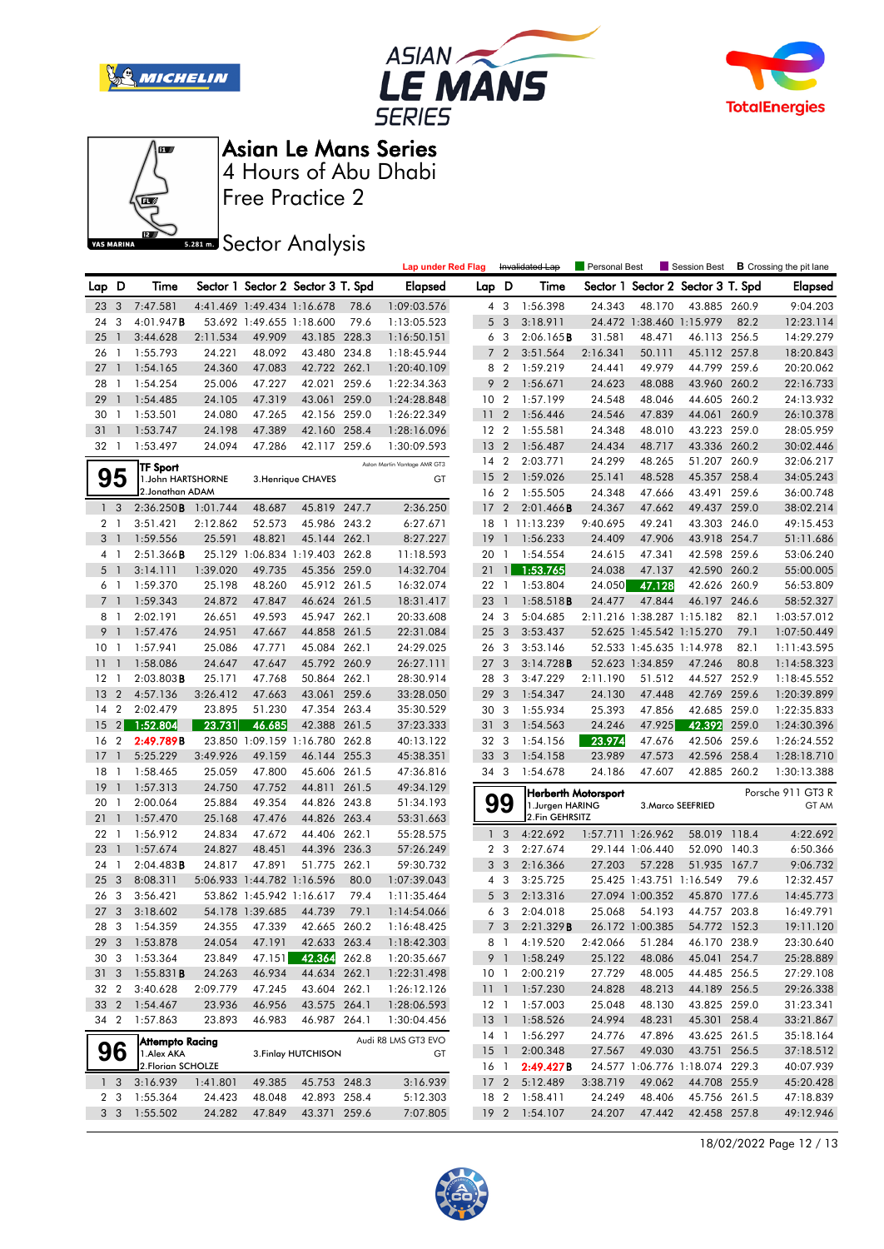







Free Practice 2

## **Sector Analysis**

|                 |                |                               |          |                            |                                   |       | <b>Lap under Red Flag</b>    |                 |                         | Invalidated Lap | Personal Best              |                 | Session Best                      |       | <b>B</b> Crossing the pit lane |
|-----------------|----------------|-------------------------------|----------|----------------------------|-----------------------------------|-------|------------------------------|-----------------|-------------------------|-----------------|----------------------------|-----------------|-----------------------------------|-------|--------------------------------|
| Lap D           |                | Time                          |          |                            | Sector 1 Sector 2 Sector 3 T. Spd |       | <b>Elapsed</b>               | Lap D           |                         | Time            |                            |                 | Sector 1 Sector 2 Sector 3 T. Spd |       | <b>Elapsed</b>                 |
| 23              | 3              | 7:47.581                      |          | 4:41.469 1:49.434 1:16.678 |                                   | 78.6  | 1:09:03.576                  |                 | 4 3                     | 1:56.398        | 24.343                     | 48.170          | 43.885 260.9                      |       | 9:04.203                       |
| 24              | 3              | 4:01.947B                     |          | 53.692 1:49.655 1:18.600   |                                   | 79.6  | 1:13:05.523                  | 5               | $\overline{\mathbf{3}}$ | 3:18.911        |                            |                 | 24.472 1:38.460 1:15.979          | 82.2  | 12:23.114                      |
| 25              | $\mathbf{1}$   | 3:44.628                      | 2:11.534 | 49.909                     | 43.185 228.3                      |       | 1:16:50.151                  |                 | 6 3                     | 2:06.165B       | 31.581                     | 48.471          | 46.113 256.5                      |       | 14:29.279                      |
| 26              | $\mathbf{1}$   | 1:55.793                      | 24.221   | 48.092                     | 43.480 234.8                      |       | 1:18:45.944                  | $\overline{7}$  | $\overline{2}$          | 3:51.564        | 2:16.341                   | 50.111          | 45.112 257.8                      |       | 18:20.843                      |
| 27              | $\overline{1}$ | 1:54.165                      | 24.360   | 47.083                     | 42.722 262.1                      |       | 1:20:40.109                  | 8               | $\overline{2}$          | 1:59.219        | 24.441                     | 49.979          | 44.799                            | 259.6 | 20:20.062                      |
| 28              | -1             | 1:54.254                      | 25.006   | 47.227                     | 42.021                            | 259.6 | 1:22:34.363                  | 9               | $\overline{2}$          | 1:56.671        | 24.623                     | 48.088          | 43.960 260.2                      |       | 22:16.733                      |
| 29              | $\mathbf{1}$   | 1:54.485                      | 24.105   | 47.319                     | 43.061 259.0                      |       | 1:24:28.848                  |                 | 10 <sub>2</sub>         | 1:57.199        | 24.548                     | 48.046          | 44.605 260.2                      |       | 24:13.932                      |
| 30              | -1             | 1:53.501                      | 24.080   | 47.265                     | 42.156 259.0                      |       | 1:26:22.349                  | $\overline{11}$ | $\overline{2}$          | 1:56.446        | 24.546                     | 47.839          | 44.061 260.9                      |       | 26:10.378                      |
| 31              | $\overline{1}$ | 1:53.747                      | 24.198   | 47.389                     | 42.160 258.4                      |       | 1:28:16.096                  |                 | 12 <sub>2</sub>         | 1:55.581        | 24.348                     | 48.010          | 43.223 259.0                      |       | 28:05.959                      |
| 32              | -1             | 1:53.497                      | 24.094   | 47.286                     | 42.117 259.6                      |       | 1:30:09.593                  | 13              | $\overline{2}$          | 1:56.487        | 24.434                     | 48.717          | 43.336 260.2                      |       | 30:02.446                      |
|                 |                |                               |          |                            |                                   |       | Aston Martin Vantage AMR GT3 |                 | 14 2                    | 2:03.771        | 24.299                     | 48.265          | 51.207 260.9                      |       | 32:06.217                      |
|                 | 95             | TF Sport<br>1.John HARTSHORNE |          |                            | 3. Henrique CHAVES                |       | GT                           | 15              | $\overline{2}$          | 1:59.026        | 25.141                     | 48.528          | 45.357 258.4                      |       | 34:05.243                      |
|                 |                | 2. Jonathan ADAM              |          |                            |                                   |       |                              |                 | 16 2                    | 1:55.505        | 24.348                     | 47.666          | 43.491                            | 259.6 | 36:00.748                      |
| 1 <sup>3</sup>  |                | 2:36.250B                     | 1:01.744 | 48.687                     | 45.819 247.7                      |       | 2:36.250                     | 17              | $\overline{2}$          | 2:01.466B       | 24.367                     | 47.662          | 49.437 259.0                      |       | 38:02.214                      |
| 2 <sub>1</sub>  |                | 3:51.421                      | 2:12.862 | 52.573                     | 45.986 243.2                      |       | 6:27.671                     |                 |                         | 18 1 11:13.239  | 9:40.695                   | 49.241          | 43.303 246.0                      |       | 49:15.453                      |
| 3 <sub>1</sub>  |                | 1:59.556                      | 25.591   | 48.821                     | 45.144 262.1                      |       | 8:27.227                     | 19              | $\overline{1}$          | 1:56.233        | 24.409                     | 47.906          | 43.918 254.7                      |       | 51:11.686                      |
| 4 <sub>1</sub>  |                | 2:51.366B                     |          |                            | 25.129 1:06.834 1:19.403          | 262.8 | 11:18.593                    | 20              | $\overline{1}$          | 1:54.554        | 24.615                     | 47.341          | 42.598 259.6                      |       | 53:06.240                      |
| 5               | $\mathbf{1}$   | 3:14.111                      | 1:39.020 | 49.735                     | 45.356 259.0                      |       | 14:32.704                    | 21              | $\mathbf{1}$            | 1:53.765        | 24.038                     | 47.137          | 42.590 260.2                      |       | 55:00.005                      |
| 6 1             |                | 1:59.370                      | 25.198   | 48.260                     | 45.912 261.5                      |       | 16:32.074                    |                 | 22 1                    | 1:53.804        | 24.050                     | 47.128          | 42.626 260.9                      |       | 56:53.809                      |
| $\overline{7}$  | $\overline{1}$ | 1:59.343                      | 24.872   | 47.847                     | 46.624 261.5                      |       | 18:31.417                    | 23              | $\overline{1}$          | 1:58.518B       | 24.477                     | 47.844          | 46.197                            | 246.6 | 58:52.327                      |
| 8               | $\overline{1}$ | 2:02.191                      | 26.651   | 49.593                     | 45.947 262.1                      |       | 20:33.608                    |                 | 24 3                    | 5:04.685        |                            |                 | 2:11.216 1:38.287 1:15.182        | 82.1  | 1:03:57.012                    |
| 9               | $\overline{1}$ | 1:57.476                      | 24.951   | 47.667                     | 44.858 261.5                      |       | 22:31.084                    | 25 <sub>3</sub> |                         | 3:53.437        |                            |                 | 52.625 1:45.542 1:15.270          | 79.1  | 1:07:50.449                    |
| 10 <sup>°</sup> | -1             | 1:57.941                      | 25.086   | 47.771                     | 45.084 262.1                      |       | 24:29.025                    |                 | 26 3                    | 3:53.146        |                            |                 | 52.533 1:45.635 1:14.978          | 82.1  | 1:11:43.595                    |
| 11              | $\mathbf{1}$   | 1:58.086                      | 24.647   | 47.647                     | 45.792 260.9                      |       | 26:27.111                    | 27              | $\overline{\mathbf{3}}$ | 3:14.728B       |                            | 52.623 1:34.859 | 47.246                            | 80.8  | 1:14:58.323                    |
| 12              | -1             | $2:03.803$ <b>B</b>           | 25.171   | 47.768                     | 50.864                            | 262.1 | 28:30.914                    | 28              | -3                      | 3:47.229        | 2:11.190                   | 51.512          | 44.527 252.9                      |       | 1:18:45.552                    |
| 13              | $\overline{2}$ | 4:57.136                      | 3:26.412 | 47.663                     | 43.061                            | 259.6 | 33:28.050                    | 29              | 3                       | 1:54.347        | 24.130                     | 47.448          | 42.769 259.6                      |       | 1:20:39.899                    |
| 14              | $\overline{2}$ | 2:02.479                      | 23.895   | 51.230                     | 47.354 263.4                      |       | 35:30.529                    |                 | 30 3                    | 1:55.934        | 25.393                     | 47.856          | 42.685 259.0                      |       | 1:22:35.833                    |
| 15              | 2 <sub>1</sub> | 1:52.804                      | 23.731   | 46.685                     | 42.388                            | 261.5 | 37:23.333                    |                 | 31 <sub>3</sub>         | 1:54.563        | 24.246                     | 47.925          | 42.392                            | 259.0 | 1:24:30.396                    |
| 16              | $\overline{2}$ | 2:49.789B                     |          |                            | 23.850 1:09.159 1:16.780          | 262.8 | 40:13.122                    |                 | 32 3                    | 1:54.156        | 23.974                     | 47.676          | 42.506 259.6                      |       | 1:26:24.552                    |
| 17              | 1              | 5:25.229                      | 3:49.926 | 49.159                     | 46.144 255.3                      |       | 45:38.351                    |                 | 33 <sup>3</sup>         | 1:54.158        | 23.989                     | 47.573          | 42.596 258.4                      |       | 1:28:18.710                    |
| 18              | -1             | 1:58.465                      | 25.059   | 47.800                     | 45.606 261.5                      |       | 47:36.816                    |                 | 34 3                    | 1:54.678        | 24.186                     | 47.607          | 42.885 260.2                      |       | 1:30:13.388                    |
| 19              | $\mathbf{1}$   | 1:57.313                      | 24.750   | 47.752                     | 44.811 261.5                      |       | 49:34.129                    |                 |                         |                 |                            |                 |                                   |       |                                |
| 20              | 1              | 2:00.064                      | 25.884   | 49.354                     | 44.826 243.8                      |       | 51:34.193                    |                 | 99                      | 1.Jurgen HARING | <b>Herberth Motorsport</b> |                 | 3. Marco SEEFRIED                 |       | Porsche 911 GT3 R<br>GT AM     |
| 21              | $\mathbf{1}$   | 1:57.470                      | 25.168   | 47.476                     | 44.826 263.4                      |       | 53:31.663                    |                 |                         | 2.Fin GEHRSITZ  |                            |                 |                                   |       |                                |
| 22              | $\overline{1}$ | 1:56.912                      | 24.834   | 47.672                     | 44.406 262.1                      |       | 55:28.575                    | $\mathbf{1}$    | $\mathbf{3}$            | 4:22.692        | 1:57.711 1:26.962          |                 | 58.019 118.4                      |       | 4:22.692                       |
| 23              | $\mathbf{1}$   | 1:57.674                      | 24.827   | 48.451                     | 44.396 236.3                      |       | 57:26.249                    | $\overline{2}$  | -3                      | 2:27.674        |                            | 29.144 1:06.440 | 52.090 140.3                      |       | 6:50.366                       |
| 24              | -1             | 2:04.483B                     | 24.817   | 47.891                     | 51.775                            | 262.1 | 59:30.732                    |                 | 3 <sub>3</sub>          | 2:16.366        | 27.203                     | 57.228          | 51.935 167.7                      |       | 9:06.732                       |
| 25              | 3              | 8:08.311                      |          | 5:06.933 1:44.782 1:16.596 |                                   | 80.0  | 1:07:39.043                  |                 | $4\quad3$               | 3:25.725        |                            |                 | 25.425 1:43.751 1:16.549          | 79.6  | 12:32.457                      |
| 26              | 3              | 3:56.421                      |          | 53.862 1:45.942 1:16.617   |                                   | 79.4  | 1:11:35.464                  |                 | 5 <sub>3</sub>          | 2:13.316        |                            | 27.094 1:00.352 | 45.870                            | 177.6 | 14:45.773                      |
| 27              | 3              | 3:18.602                      |          | 54.178 1:39.685            | 44.739                            | 79.1  | 1:14:54.066                  |                 | 6 3                     | 2:04.018        | 25.068                     | 54.193          | 44.757 203.8                      |       | 16:49.791                      |
|                 |                | 28 3 1:54.359                 |          | 24.355 47.339              | 42.665 260.2                      |       | 1:16:48.425                  |                 | 7 <sup>3</sup>          | 2:21.329B       |                            | 26.172 1:00.385 | 54.772 152.3                      |       | 19:11.120                      |
| 29 3            |                | 1:53.878                      | 24.054   | 47.191                     | 42.633 263.4                      |       | 1:18:42.303                  |                 |                         | 8 1 4:19.520    | 2:42.066                   | 51.284          | 46.170 238.9                      |       | 23:30.640                      |
| 30 3            |                | 1:53.364                      | 23.849   | 47.151                     | 42.364 262.8                      |       | 1:20:35.667                  |                 |                         | 9 1 1:58.249    | 25.122                     | 48.086          | 45.041 254.7                      |       | 25:28.889                      |
| 31 <sub>3</sub> |                | $1:55.831$ <b>B</b>           | 24.263   | 46.934                     | 44.634 262.1                      |       | 1:22:31.498                  |                 | 10 <sub>1</sub>         | 2:00.219        | 27.729                     | 48.005          | 44.485 256.5                      |       | 27:29.108                      |
| 32 2            |                | 3:40.628                      | 2:09.779 | 47.245                     | 43.604 262.1                      |       | 1:26:12.126                  | 111             |                         | 1:57.230        | 24.828                     | 48.213          | 44.189 256.5                      |       | 29:26.338                      |
| 33 2            |                | 1:54.467                      | 23.936   | 46.956                     | 43.575 264.1                      |       | 1:28:06.593                  |                 |                         | 12 1 1:57.003   | 25.048                     | 48.130          | 43.825 259.0                      |       | 31:23.341                      |
| 34 2            |                | 1:57.863                      | 23.893   | 46.983                     | 46.987 264.1                      |       | 1:30:04.456                  | 13 <sup>1</sup> |                         | 1:58.526        | 24.994                     | 48.231          | 45.301 258.4                      |       | 33:21.867                      |
|                 |                | <b>Attempto Racing</b>        |          |                            |                                   |       | Audi R8 LMS GT3 EVO          |                 | 14 1                    | 1:56.297        | 24.776                     | 47.896          | 43.625 261.5                      |       | 35:18.164                      |
|                 | 96             | 1. Alex AKA                   |          |                            | 3. Finlay HUTCHISON               |       | GT                           | 15 1            |                         | 2:00.348        | 27.567                     | 49.030          | 43.751 256.5                      |       | 37:18.512                      |
|                 |                | 2. Florian SCHOLZE            |          |                            |                                   |       |                              |                 | 16 1                    | 2:49.427B       |                            |                 | 24.577 1:06.776 1:18.074 229.3    |       | 40:07.939                      |
|                 | 1 <sub>3</sub> | 3:16.939                      | 1:41.801 | 49.385                     | 45.753 248.3                      |       | 3:16.939                     | 17 <sub>2</sub> |                         | 5:12.489        | 3:38.719                   | 49.062          | 44.708 255.9                      |       | 45:20.428                      |
|                 | 2 3            | 1:55.364                      | 24.423   | 48.048                     | 42.893 258.4                      |       | 5:12.303                     |                 | 18 2                    | 1:58.411        | 24.249                     | 48.406          | 45.756 261.5                      |       | 47:18.839                      |
|                 | 3 <sub>3</sub> | 1:55.502                      | 24.282   | 47.849                     | 43.371 259.6                      |       | 7:07.805                     |                 | 19 <sup>2</sup>         | 1:54.107        | 24.207                     | 47.442          | 42.458 257.8                      |       | 49:12.946                      |

18/02/2022 Page 12 / 13